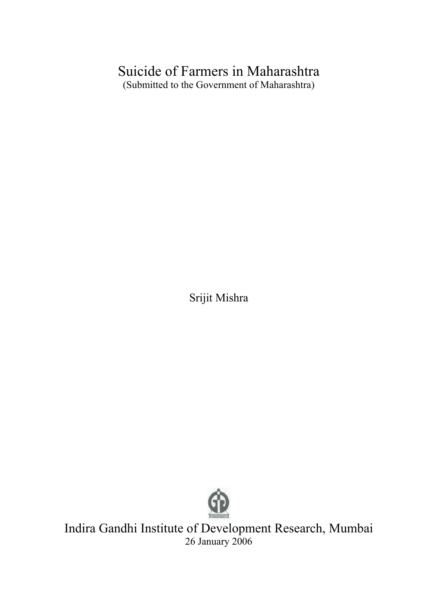# Suicide of Farmers in Maharashtra (Submitted to the Government of Maharashtra)

Srijit Mishra



Indira Gandhi Institute of Development Research, Mumbai 26 January 2006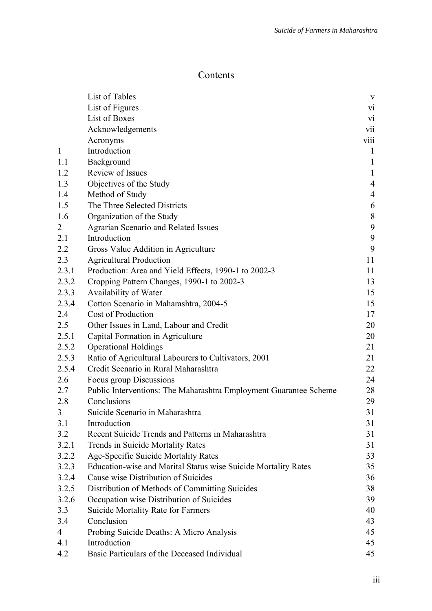## Contents

|                | List of Tables                                                    | $\mathbf{V}$     |
|----------------|-------------------------------------------------------------------|------------------|
|                | List of Figures                                                   | $\overline{vi}$  |
|                | List of Boxes                                                     | V1               |
|                | Acknowledgements                                                  | vii              |
|                | Acronyms                                                          | viii             |
| $\mathbf{1}$   | Introduction                                                      | $\mathbf{1}$     |
| 1.1            | Background                                                        | $\mathbf{1}$     |
| 1.2            | Review of Issues                                                  | $\mathbf{1}$     |
| 1.3            | Objectives of the Study                                           | $\overline{4}$   |
| 1.4            | Method of Study                                                   | $\overline{4}$   |
| 1.5            | The Three Selected Districts                                      | 6                |
| 1.6            | Organization of the Study                                         | $8\,$            |
| $\overline{2}$ | Agrarian Scenario and Related Issues                              | $\boldsymbol{9}$ |
| 2.1            | Introduction                                                      | 9                |
| 2.2            | Gross Value Addition in Agriculture                               | 9                |
| 2.3            | <b>Agricultural Production</b>                                    | 11               |
| 2.3.1          | Production: Area and Yield Effects, 1990-1 to 2002-3              | 11               |
| 2.3.2          | Cropping Pattern Changes, 1990-1 to 2002-3                        | 13               |
| 2.3.3          | Availability of Water                                             | 15               |
| 2.3.4          | Cotton Scenario in Maharashtra, 2004-5                            | 15               |
| 2.4            | Cost of Production                                                | 17               |
| 2.5            | Other Issues in Land, Labour and Credit                           | 20               |
| 2.5.1          | Capital Formation in Agriculture                                  | 20               |
| 2.5.2          | <b>Operational Holdings</b>                                       | 21               |
| 2.5.3          | Ratio of Agricultural Labourers to Cultivators, 2001              | 21               |
| 2.5.4          | Credit Scenario in Rural Maharashtra                              | 22               |
| 2.6            | Focus group Discussions                                           | 24               |
| 2.7            | Public Interventions: The Maharashtra Employment Guarantee Scheme | 28               |
| 2.8            | Conclusions                                                       | 29               |
| 3              | Suicide Scenario in Maharashtra                                   | 31               |
| 3.1            | Introduction                                                      | 31               |
| 3.2            | Recent Suicide Trends and Patterns in Maharashtra                 | 31               |
| 3.2.1          | Trends in Suicide Mortality Rates                                 | 31               |
| 3.2.2          | Age-Specific Suicide Mortality Rates                              | 33               |
| 3.2.3          | Education-wise and Marital Status wise Suicide Mortality Rates    | 35               |
| 3.2.4          | Cause wise Distribution of Suicides                               | 36               |
| 3.2.5          | Distribution of Methods of Committing Suicides                    | 38               |
| 3.2.6          | Occupation wise Distribution of Suicides                          | 39               |
| 3.3            | <b>Suicide Mortality Rate for Farmers</b>                         | 40               |
| 3.4            | Conclusion                                                        | 43               |
| $\overline{4}$ | Probing Suicide Deaths: A Micro Analysis                          | 45               |
| 4.1            | Introduction                                                      | 45               |
| 4.2            | Basic Particulars of the Deceased Individual                      | 45               |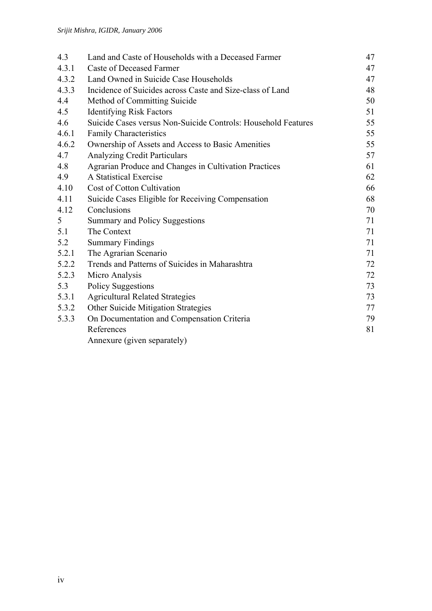| 4.3   | Land and Caste of Households with a Deceased Farmer           | 47 |
|-------|---------------------------------------------------------------|----|
| 4.3.1 | <b>Caste of Deceased Farmer</b>                               | 47 |
| 4.3.2 | Land Owned in Suicide Case Households                         | 47 |
| 4.3.3 | Incidence of Suicides across Caste and Size-class of Land     | 48 |
| 4.4   | Method of Committing Suicide                                  | 50 |
| 4.5   | <b>Identifying Risk Factors</b>                               | 51 |
| 4.6   | Suicide Cases versus Non-Suicide Controls: Household Features | 55 |
| 4.6.1 | <b>Family Characteristics</b>                                 | 55 |
| 4.6.2 | Ownership of Assets and Access to Basic Amenities             | 55 |
| 4.7   | <b>Analyzing Credit Particulars</b>                           | 57 |
| 4.8   | Agrarian Produce and Changes in Cultivation Practices         | 61 |
| 4.9   | A Statistical Exercise                                        | 62 |
| 4.10  | Cost of Cotton Cultivation                                    | 66 |
| 4.11  | Suicide Cases Eligible for Receiving Compensation             | 68 |
| 4.12  | Conclusions                                                   | 70 |
| 5     | Summary and Policy Suggestions                                | 71 |
| 5.1   | The Context                                                   | 71 |
| 5.2   | <b>Summary Findings</b>                                       | 71 |
| 5.2.1 | The Agrarian Scenario                                         | 71 |
| 5.2.2 | Trends and Patterns of Suicides in Maharashtra                | 72 |
| 5.2.3 | Micro Analysis                                                | 72 |
| 5.3   | <b>Policy Suggestions</b>                                     | 73 |
| 5.3.1 | <b>Agricultural Related Strategies</b>                        | 73 |
| 5.3.2 | Other Suicide Mitigation Strategies                           | 77 |
| 5.3.3 | On Documentation and Compensation Criteria                    | 79 |
|       | References                                                    | 81 |
|       | Annexure (given separately)                                   |    |
|       |                                                               |    |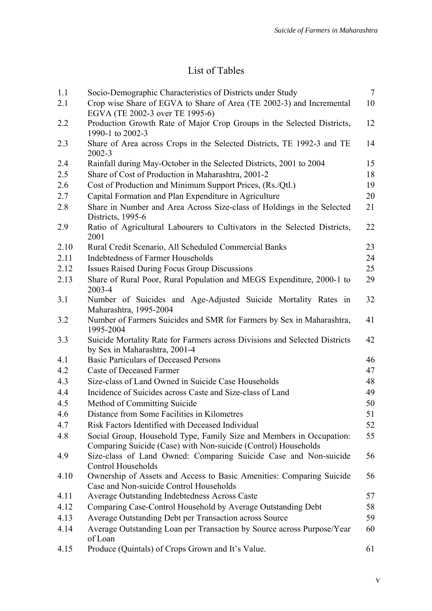# List of Tables

| 1.1  | Socio-Demographic Characteristics of Districts under Study                                                                             | $\overline{7}$ |
|------|----------------------------------------------------------------------------------------------------------------------------------------|----------------|
| 2.1  | Crop wise Share of EGVA to Share of Area (TE 2002-3) and Incremental                                                                   | 10             |
|      | EGVA (TE 2002-3 over TE 1995-6)                                                                                                        |                |
| 2.2  | Production Growth Rate of Major Crop Groups in the Selected Districts,<br>1990-1 to 2002-3                                             | 12             |
| 2.3  | Share of Area across Crops in the Selected Districts, TE 1992-3 and TE<br>$2002 - 3$                                                   | 14             |
| 2.4  | Rainfall during May-October in the Selected Districts, 2001 to 2004                                                                    | 15             |
| 2.5  | Share of Cost of Production in Maharashtra, 2001-2                                                                                     | 18             |
| 2.6  | Cost of Production and Minimum Support Prices, (Rs./Qtl.)                                                                              | 19             |
| 2.7  | Capital Formation and Plan Expenditure in Agriculture                                                                                  | 20             |
| 2.8  | Share in Number and Area Across Size-class of Holdings in the Selected<br>Districts, 1995-6                                            | 21             |
| 2.9  | Ratio of Agricultural Labourers to Cultivators in the Selected Districts,<br>2001                                                      | 22             |
| 2.10 | Rural Credit Scenario, All Scheduled Commercial Banks                                                                                  | 23             |
| 2.11 | Indebtedness of Farmer Households                                                                                                      | 24             |
| 2.12 | <b>Issues Raised During Focus Group Discussions</b>                                                                                    | 25             |
| 2.13 | Share of Rural Poor, Rural Population and MEGS Expenditure, 2000-1 to<br>2003-4                                                        | 29             |
| 3.1  | Number of Suicides and Age-Adjusted Suicide Mortality Rates in<br>Maharashtra, 1995-2004                                               | 32             |
| 3.2  | Number of Farmers Suicides and SMR for Farmers by Sex in Maharashtra,<br>1995-2004                                                     | 41             |
| 3.3  | Suicide Mortality Rate for Farmers across Divisions and Selected Districts<br>by Sex in Maharashtra, 2001-4                            | 42             |
| 4.1  | <b>Basic Particulars of Deceased Persons</b>                                                                                           | 46             |
| 4.2  | Caste of Deceased Farmer                                                                                                               | 47             |
| 4.3  | Size-class of Land Owned in Suicide Case Households                                                                                    | 48             |
| 4.4  | Incidence of Suicides across Caste and Size-class of Land                                                                              | 49             |
| 4.5  | Method of Committing Suicide                                                                                                           | 50             |
| 4.6  | Distance from Some Facilities in Kilometres                                                                                            | 51             |
| 4.7  | Risk Factors Identified with Deceased Individual                                                                                       | 52             |
| 4.8  | Social Group, Household Type, Family Size and Members in Occupation:<br>Comparing Suicide (Case) with Non-suicide (Control) Households | 55             |
| 4.9  | Size-class of Land Owned: Comparing Suicide Case and Non-suicide<br><b>Control Households</b>                                          | 56             |
| 4.10 | Ownership of Assets and Access to Basic Amenities: Comparing Suicide<br>Case and Non-suicide Control Households                        | 56             |
| 4.11 | <b>Average Outstanding Indebtedness Across Caste</b>                                                                                   | 57             |
| 4.12 | Comparing Case-Control Household by Average Outstanding Debt                                                                           | 58             |
| 4.13 | Average Outstanding Debt per Transaction across Source                                                                                 | 59             |
| 4.14 | Average Outstanding Loan per Transaction by Source across Purpose/Year<br>of Loan                                                      | 60             |
| 4.15 | Produce (Quintals) of Crops Grown and It's Value.                                                                                      | 61             |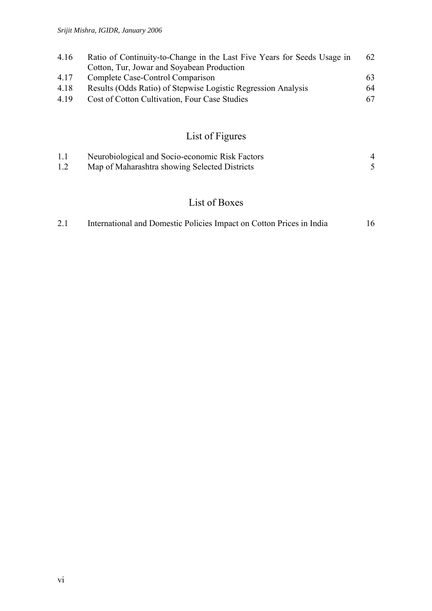| 4.16 | Ratio of Continuity-to-Change in the Last Five Years for Seeds Usage in | 62 |
|------|-------------------------------------------------------------------------|----|
|      | Cotton, Tur, Jowar and Soyabean Production                              |    |
| 4.17 | Complete Case-Control Comparison                                        | 63 |
| 4.18 | Results (Odds Ratio) of Stepwise Logistic Regression Analysis           | 64 |
| 4.19 | Cost of Cotton Cultivation, Four Case Studies                           | 67 |
|      |                                                                         |    |

# List of Figures

| 1.1 | Neurobiological and Socio-economic Risk Factors |  |
|-----|-------------------------------------------------|--|
| 1.2 | Map of Maharashtra showing Selected Districts   |  |

## List of Boxes

| International and Domestic Policies Impact on Cotton Prices in India<br>2.1 | 16 |
|-----------------------------------------------------------------------------|----|
|-----------------------------------------------------------------------------|----|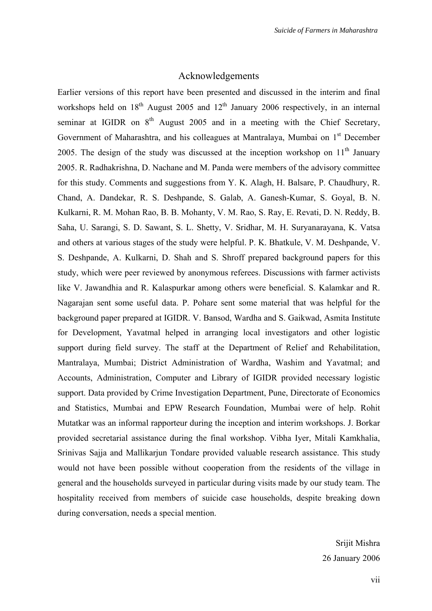#### Acknowledgements

Earlier versions of this report have been presented and discussed in the interim and final workshops held on  $18<sup>th</sup>$  August 2005 and  $12<sup>th</sup>$  January 2006 respectively, in an internal seminar at IGIDR on  $8<sup>th</sup>$  August 2005 and in a meeting with the Chief Secretary, Government of Maharashtra, and his colleagues at Mantralaya, Mumbai on  $1<sup>st</sup>$  December 2005. The design of the study was discussed at the inception workshop on  $11<sup>th</sup>$  January 2005. R. Radhakrishna, D. Nachane and M. Panda were members of the advisory committee for this study. Comments and suggestions from Y. K. Alagh, H. Balsare, P. Chaudhury, R. Chand, A. Dandekar, R. S. Deshpande, S. Galab, A. Ganesh-Kumar, S. Goyal, B. N. Kulkarni, R. M. Mohan Rao, B. B. Mohanty, V. M. Rao, S. Ray, E. Revati, D. N. Reddy, B. Saha, U. Sarangi, S. D. Sawant, S. L. Shetty, V. Sridhar, M. H. Suryanarayana, K. Vatsa and others at various stages of the study were helpful. P. K. Bhatkule, V. M. Deshpande, V. S. Deshpande, A. Kulkarni, D. Shah and S. Shroff prepared background papers for this study, which were peer reviewed by anonymous referees. Discussions with farmer activists like V. Jawandhia and R. Kalaspurkar among others were beneficial. S. Kalamkar and R. Nagarajan sent some useful data. P. Pohare sent some material that was helpful for the background paper prepared at IGIDR. V. Bansod, Wardha and S. Gaikwad, Asmita Institute for Development, Yavatmal helped in arranging local investigators and other logistic support during field survey. The staff at the Department of Relief and Rehabilitation, Mantralaya, Mumbai; District Administration of Wardha, Washim and Yavatmal; and Accounts, Administration, Computer and Library of IGIDR provided necessary logistic support. Data provided by Crime Investigation Department, Pune, Directorate of Economics and Statistics, Mumbai and EPW Research Foundation, Mumbai were of help. Rohit Mutatkar was an informal rapporteur during the inception and interim workshops. J. Borkar provided secretarial assistance during the final workshop. Vibha Iyer, Mitali Kamkhalia, Srinivas Sajja and Mallikarjun Tondare provided valuable research assistance. This study would not have been possible without cooperation from the residents of the village in general and the households surveyed in particular during visits made by our study team. The hospitality received from members of suicide case households, despite breaking down during conversation, needs a special mention.

> Srijit Mishra 26 January 2006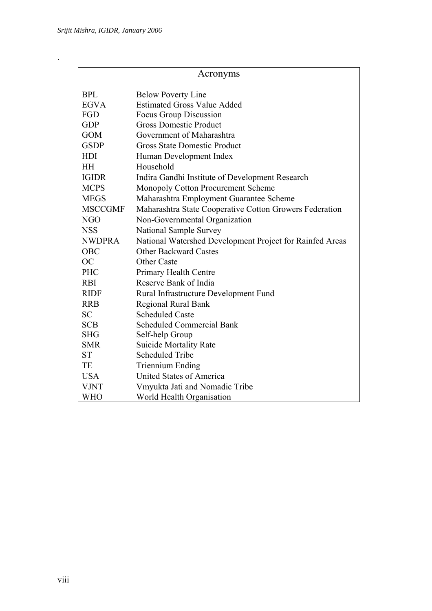.

|                | Acronyms                                                 |  |  |  |  |  |  |
|----------------|----------------------------------------------------------|--|--|--|--|--|--|
| <b>BPL</b>     | <b>Below Poverty Line</b>                                |  |  |  |  |  |  |
| <b>EGVA</b>    | <b>Estimated Gross Value Added</b>                       |  |  |  |  |  |  |
| FGD            | Focus Group Discussion                                   |  |  |  |  |  |  |
| <b>GDP</b>     | <b>Gross Domestic Product</b>                            |  |  |  |  |  |  |
| <b>GOM</b>     | Government of Maharashtra                                |  |  |  |  |  |  |
| <b>GSDP</b>    | <b>Gross State Domestic Product</b>                      |  |  |  |  |  |  |
| <b>HDI</b>     | Human Development Index                                  |  |  |  |  |  |  |
| <b>HH</b>      | Household                                                |  |  |  |  |  |  |
| <b>IGIDR</b>   | Indira Gandhi Institute of Development Research          |  |  |  |  |  |  |
| <b>MCPS</b>    | Monopoly Cotton Procurement Scheme                       |  |  |  |  |  |  |
| <b>MEGS</b>    | Maharashtra Employment Guarantee Scheme                  |  |  |  |  |  |  |
| <b>MSCCGMF</b> | Maharashtra State Cooperative Cotton Growers Federation  |  |  |  |  |  |  |
| NGO            | Non-Governmental Organization                            |  |  |  |  |  |  |
| <b>NSS</b>     | National Sample Survey                                   |  |  |  |  |  |  |
| <b>NWDPRA</b>  | National Watershed Development Project for Rainfed Areas |  |  |  |  |  |  |
| <b>OBC</b>     | <b>Other Backward Castes</b>                             |  |  |  |  |  |  |
| <b>OC</b>      | <b>Other Caste</b>                                       |  |  |  |  |  |  |
| PHC            | Primary Health Centre                                    |  |  |  |  |  |  |
| <b>RBI</b>     | Reserve Bank of India                                    |  |  |  |  |  |  |
| <b>RIDF</b>    | Rural Infrastructure Development Fund                    |  |  |  |  |  |  |
| <b>RRB</b>     | <b>Regional Rural Bank</b>                               |  |  |  |  |  |  |
| <b>SC</b>      | <b>Scheduled Caste</b>                                   |  |  |  |  |  |  |
| <b>SCB</b>     | <b>Scheduled Commercial Bank</b>                         |  |  |  |  |  |  |
| <b>SHG</b>     | Self-help Group                                          |  |  |  |  |  |  |
| <b>SMR</b>     | <b>Suicide Mortality Rate</b>                            |  |  |  |  |  |  |
| <b>ST</b>      | <b>Scheduled Tribe</b>                                   |  |  |  |  |  |  |
| TE             | <b>Triennium Ending</b>                                  |  |  |  |  |  |  |
| <b>USA</b>     | <b>United States of America</b>                          |  |  |  |  |  |  |
| <b>VJNT</b>    | Vmyukta Jati and Nomadic Tribe                           |  |  |  |  |  |  |
| WHO            | World Health Organisation                                |  |  |  |  |  |  |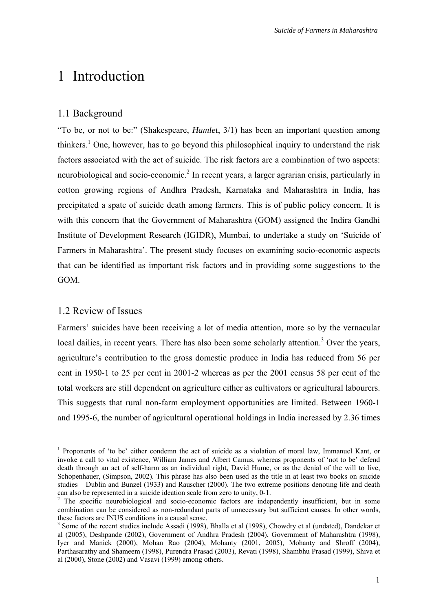# 1 Introduction

### 1.1 Background

"To be, or not to be:" (Shakespeare, *Hamlet*, 3/1) has been an important question among thinkers.<sup>[1](#page-8-0)</sup> One, however, has to go beyond this philosophical inquiry to understand the risk factors associated with the act of suicide. The risk factors are a combination of two aspects: neurobiological and socio-economic.<sup>2</sup> [I](#page-8-1)n recent years, a larger agrarian crisis, particularly in cotton growing regions of Andhra Pradesh, Karnataka and Maharashtra in India, has precipitated a spate of suicide death among farmers. This is of public policy concern. It is with this concern that the Government of Maharashtra (GOM) assigned the Indira Gandhi Institute of Development Research (IGIDR), Mumbai, to undertake a study on 'Suicide of Farmers in Maharashtra'. The present study focuses on examining socio-economic aspects that can be identified as important risk factors and in providing some suggestions to the GOM.

#### 1.2 Review of Issues

 $\overline{a}$ 

Farmers' suicides have been receiving a lot of media attention, more so by the vernacular local dailies, in recent years. There has also been some scholarly attention.<sup>[3](#page-8-2)</sup> Over the years, agriculture's contribution to the gross domestic produce in India has reduced from 56 per cent in 1950-1 to 25 per cent in 2001-2 whereas as per the 2001 census 58 per cent of the total workers are still dependent on agriculture either as cultivators or agricultural labourers. This suggests that rural non-farm employment opportunities are limited. Between 1960-1 and 1995-6, the number of agricultural operational holdings in India increased by 2.36 times

<span id="page-8-0"></span><sup>&</sup>lt;sup>1</sup> Proponents of 'to be' either condemn the act of suicide as a violation of moral law, Immanuel Kant, or invoke a call to vital existence, William James and Albert Camus, whereas proponents of 'not to be' defend death through an act of self-harm as an individual right, David Hume, or as the denial of the will to live, Schopenhauer, (Simpson, 2002). This phrase has also been used as the title in at least two books on suicide studies – Dublin and Bunzel (1933) and Rauscher (2000). The two extreme positions denoting life and death can also be represented in a suicide ideation scale from zero to unity, 0-1. 2

<span id="page-8-1"></span> $2^{\circ}$  The specific neurobiological and socio-economic factors are independently insufficient, but in some combination can be considered as non-redundant parts of unnecessary but sufficient causes. In other words, these factors are INUS conditions in a causal sense.

<span id="page-8-2"></span> $3$  Some of the recent studies include Assadi (1998), Bhalla et al (1998), Chowdry et al (undated), Dandekar et al (2005), Deshpande (2002), Government of Andhra Pradesh (2004), Government of Maharashtra (1998), Iyer and Manick (2000), Mohan Rao (2004), Mohanty (2001, 2005), Mohanty and Shroff (2004), Parthasarathy and Shameem (1998), Purendra Prasad (2003), Revati (1998), Shambhu Prasad (1999), Shiva et al (2000), Stone (2002) and Vasavi (1999) among others.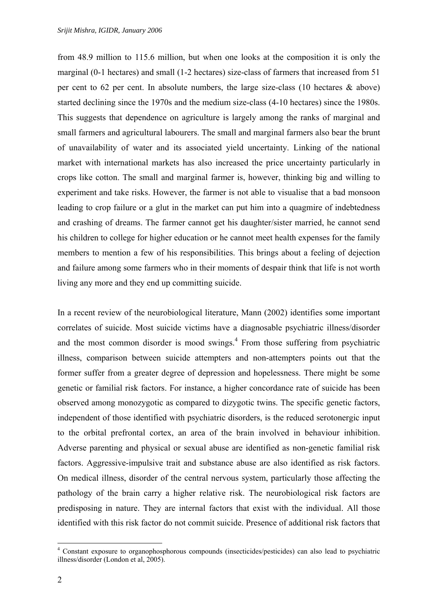from 48.9 million to 115.6 million, but when one looks at the composition it is only the marginal (0-1 hectares) and small (1-2 hectares) size-class of farmers that increased from 51 per cent to 62 per cent. In absolute numbers, the large size-class (10 hectares & above) started declining since the 1970s and the medium size-class (4-10 hectares) since the 1980s. This suggests that dependence on agriculture is largely among the ranks of marginal and small farmers and agricultural labourers. The small and marginal farmers also bear the brunt of unavailability of water and its associated yield uncertainty. Linking of the national market with international markets has also increased the price uncertainty particularly in crops like cotton. The small and marginal farmer is, however, thinking big and willing to experiment and take risks. However, the farmer is not able to visualise that a bad monsoon leading to crop failure or a glut in the market can put him into a quagmire of indebtedness and crashing of dreams. The farmer cannot get his daughter/sister married, he cannot send his children to college for higher education or he cannot meet health expenses for the family members to mention a few of his responsibilities. This brings about a feeling of dejection and failure among some farmers who in their moments of despair think that life is not worth living any more and they end up committing suicide.

In a recent review of the neurobiological literature, Mann (2002) identifies some important correlates of suicide. Most suicide victims have a diagnosable psychiatric illness/disorder andthe most common disorder is mood swings.<sup>4</sup> From those suffering from psychiatric illness, comparison between suicide attempters and non-attempters points out that the former suffer from a greater degree of depression and hopelessness. There might be some genetic or familial risk factors. For instance, a higher concordance rate of suicide has been observed among monozygotic as compared to dizygotic twins. The specific genetic factors, independent of those identified with psychiatric disorders, is the reduced serotonergic input to the orbital prefrontal cortex, an area of the brain involved in behaviour inhibition. Adverse parenting and physical or sexual abuse are identified as non-genetic familial risk factors. Aggressive-impulsive trait and substance abuse are also identified as risk factors. On medical illness, disorder of the central nervous system, particularly those affecting the pathology of the brain carry a higher relative risk. The neurobiological risk factors are predisposing in nature. They are internal factors that exist with the individual. All those identified with this risk factor do not commit suicide. Presence of additional risk factors that

 $\overline{a}$ 

<span id="page-9-0"></span><sup>4</sup> Constant exposure to organophosphorous compounds (insecticides/pesticides) can also lead to psychiatric illness/disorder (London et al, 2005).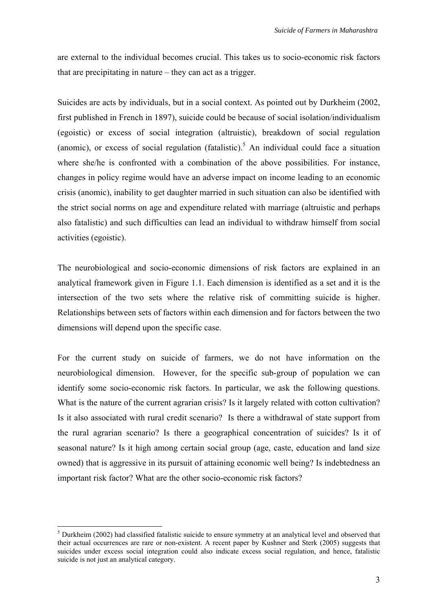are external to the individual becomes crucial. This takes us to socio-economic risk factors that are precipitating in nature – they can act as a trigger.

Suicides are acts by individuals, but in a social context. As pointed out by Durkheim (2002, first published in French in 1897), suicide could be because of social isolation/individualism (egoistic) or excess of social integration (altruistic), breakdown of social regulation (anomic), or excess of social regulation (fatalistic).<sup>[5](#page-10-0)</sup> An individual could face a situation where she/he is confronted with a combination of the above possibilities. For instance, changes in policy regime would have an adverse impact on income leading to an economic crisis (anomic), inability to get daughter married in such situation can also be identified with the strict social norms on age and expenditure related with marriage (altruistic and perhaps also fatalistic) and such difficulties can lead an individual to withdraw himself from social activities (egoistic).

The neurobiological and socio-economic dimensions of risk factors are explained in an analytical framework given in Figure 1.1. Each dimension is identified as a set and it is the intersection of the two sets where the relative risk of committing suicide is higher. Relationships between sets of factors within each dimension and for factors between the two dimensions will depend upon the specific case.

For the current study on suicide of farmers, we do not have information on the neurobiological dimension. However, for the specific sub-group of population we can identify some socio-economic risk factors. In particular, we ask the following questions. What is the nature of the current agrarian crisis? Is it largely related with cotton cultivation? Is it also associated with rural credit scenario? Is there a withdrawal of state support from the rural agrarian scenario? Is there a geographical concentration of suicides? Is it of seasonal nature? Is it high among certain social group (age, caste, education and land size owned) that is aggressive in its pursuit of attaining economic well being? Is indebtedness an important risk factor? What are the other socio-economic risk factors?

 $\overline{a}$ 

<span id="page-10-0"></span> $<sup>5</sup>$  Durkheim (2002) had classified fatalistic suicide to ensure symmetry at an analytical level and observed that</sup> their actual occurrences are rare or non-existent. A recent paper by Kushner and Sterk (2005) suggests that suicides under excess social integration could also indicate excess social regulation, and hence, fatalistic suicide is not just an analytical category.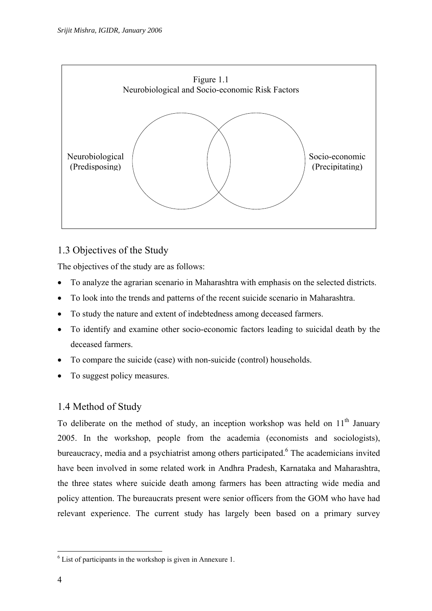

## 1.3 Objectives of the Study

The objectives of the study are as follows:

- To analyze the agrarian scenario in Maharashtra with emphasis on the selected districts.
- To look into the trends and patterns of the recent suicide scenario in Maharashtra.
- To study the nature and extent of indebtedness among deceased farmers.
- To identify and examine other socio-economic factors leading to suicidal death by the deceased farmers.
- To compare the suicide (case) with non-suicide (control) households.
- To suggest policy measures.

## 1.4 Method of Study

To deliberate on the method of study, an inception workshop was held on  $11<sup>th</sup>$  January 2005. In the workshop, people from the academia (economists and sociologists), bureaucracy, media and a psychiatrist among others participated.<sup>[6](#page-11-0)</sup> The academicians invited have been involved in some related work in Andhra Pradesh, Karnataka and Maharashtra, the three states where suicide death among farmers has been attracting wide media and policy attention. The bureaucrats present were senior officers from the GOM who have had relevant experience. The current study has largely been based on a primary survey

 $\overline{a}$ 

<span id="page-11-0"></span><sup>&</sup>lt;sup>6</sup> List of participants in the workshop is given in Annexure 1.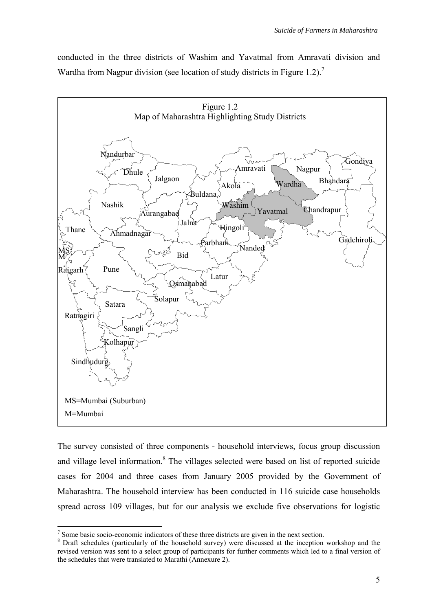conducted in the three districts of Washim and Yavatmal from Amravati division and Wardhafrom Nagpur division (see location of study districts in Figure 1.2).<sup>7</sup>



The survey consisted of three components - household interviews, focus group discussion and village level information.<sup>8</sup> The villages selected were based on list of reported suicide cases for 2004 and three cases from January 2005 provided by the Government of Maharashtra. The household interview has been conducted in 116 suicide case households spread across 109 villages, but for our analysis we exclude five observations for logistic

<sup>-&</sup>lt;br>7  $\frac{1}{2}$  Some basic socio-economic indicators of these three districts are given in the next section.

<span id="page-12-1"></span><span id="page-12-0"></span><sup>&</sup>lt;sup>8</sup> Draft schedules (particularly of the household survey) were discussed at the inception workshop and the revised version was sent to a select group of participants for further comments which led to a final version of the schedules that were translated to Marathi (Annexure 2).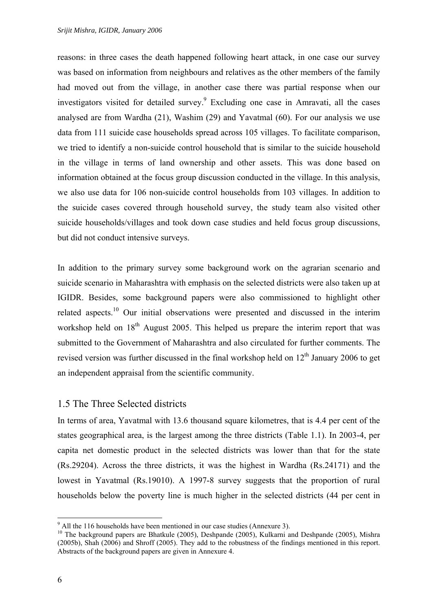reasons: in three cases the death happened following heart attack, in one case our survey was based on information from neighbours and relatives as the other members of the family had moved out from the village, in another case there was partial response when our investigators visited for detailed survey.<sup>[9](#page-13-0)</sup> Excluding one case in Amravati, all the cases analysed are from Wardha (21), Washim (29) and Yavatmal (60). For our analysis we use data from 111 suicide case households spread across 105 villages. To facilitate comparison, we tried to identify a non-suicide control household that is similar to the suicide household in the village in terms of land ownership and other assets. This was done based on information obtained at the focus group discussion conducted in the village. In this analysis, we also use data for 106 non-suicide control households from 103 villages. In addition to the suicide cases covered through household survey, the study team also visited other suicide households/villages and took down case studies and held focus group discussions, but did not conduct intensive surveys.

In addition to the primary survey some background work on the agrarian scenario and suicide scenario in Maharashtra with emphasis on the selected districts were also taken up at IGIDR. Besides, some background papers were also commissioned to highlight other related aspects.<sup>10</sup> Our initial observations were presented and discussed in the interim workshop held on 18<sup>th</sup> August 2005. This helped us prepare the interim report that was submitted to the Government of Maharashtra and also circulated for further comments. The revised version was further discussed in the final workshop held on  $12<sup>th</sup>$  January 2006 to get an independent appraisal from the scientific community.

### 1.5 The Three Selected districts

In terms of area, Yavatmal with 13.6 thousand square kilometres, that is 4.4 per cent of the states geographical area, is the largest among the three districts (Table 1.1). In 2003-4, per capita net domestic product in the selected districts was lower than that for the state (Rs.29204). Across the three districts, it was the highest in Wardha (Rs.24171) and the lowest in Yavatmal (Rs.19010). A 1997-8 survey suggests that the proportion of rural households below the poverty line is much higher in the selected districts (44 per cent in

<sup>-&</sup>lt;br>9

<span id="page-13-1"></span><span id="page-13-0"></span><sup>&</sup>lt;sup>9</sup> All the 116 households have been mentioned in our case studies (Annexure 3).<br><sup>10</sup> The background papers are Bhatkule (2005), Deshpande (2005), Kulkarni and Deshpande (2005), Mishra (2005b), Shah (2006) and Shroff (2005). They add to the robustness of the findings mentioned in this report. Abstracts of the background papers are given in Annexure 4.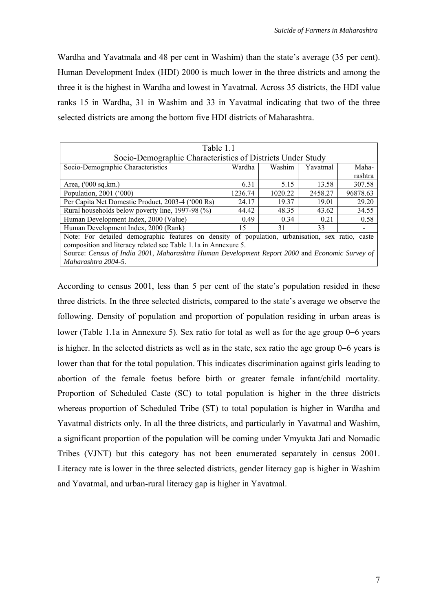Wardha and Yavatmala and 48 per cent in Washim) than the state's average (35 per cent). Human Development Index (HDI) 2000 is much lower in the three districts and among the three it is the highest in Wardha and lowest in Yavatmal. Across 35 districts, the HDI value ranks 15 in Wardha, 31 in Washim and 33 in Yavatmal indicating that two of the three selected districts are among the bottom five HDI districts of Maharashtra.

| Table 1.1                                                                                        |                                                            |         |          |          |  |  |  |  |  |
|--------------------------------------------------------------------------------------------------|------------------------------------------------------------|---------|----------|----------|--|--|--|--|--|
|                                                                                                  | Socio-Demographic Characteristics of Districts Under Study |         |          |          |  |  |  |  |  |
| Socio-Demographic Characteristics                                                                | Wardha                                                     | Washim  | Yavatmal | Maha-    |  |  |  |  |  |
|                                                                                                  |                                                            |         |          | rashtra  |  |  |  |  |  |
| Area, ('000 sq.km.)                                                                              | 6.31                                                       | 5.15    | 13.58    | 307.58   |  |  |  |  |  |
| Population, 2001 ('000)                                                                          | 1236.74                                                    | 1020.22 | 2458.27  | 96878.63 |  |  |  |  |  |
| Per Capita Net Domestic Product, 2003-4 ('000 Rs)                                                | 24.17                                                      | 19.37   | 19.01    | 29.20    |  |  |  |  |  |
| Rural households below poverty line, 1997-98 (%)                                                 | 44.42                                                      | 48.35   | 43.62    | 34.55    |  |  |  |  |  |
| Human Development Index, 2000 (Value)                                                            | 0.49                                                       | 0.34    | 0.21     | 0.58     |  |  |  |  |  |
| Human Development Index, 2000 (Rank)                                                             | 15                                                         | 31      | 33       |          |  |  |  |  |  |
| Note: For detailed demographic features on density of population, urbanisation, sex ratio, caste |                                                            |         |          |          |  |  |  |  |  |
| composition and literacy related see Table 1.1a in Annexure 5.                                   |                                                            |         |          |          |  |  |  |  |  |
| Source: Census of India 2001, Maharashtra Human Development Report 2000 and Economic Survey of   |                                                            |         |          |          |  |  |  |  |  |
| Maharashtra 2004-5.                                                                              |                                                            |         |          |          |  |  |  |  |  |

According to census 2001, less than 5 per cent of the state's population resided in these three districts. In the three selected districts, compared to the state's average we observe the following. Density of population and proportion of population residing in urban areas is lower (Table 1.1a in Annexure 5). Sex ratio for total as well as for the age group 0−6 years is higher. In the selected districts as well as in the state, sex ratio the age group 0−6 years is lower than that for the total population. This indicates discrimination against girls leading to abortion of the female foetus before birth or greater female infant/child mortality. Proportion of Scheduled Caste (SC) to total population is higher in the three districts whereas proportion of Scheduled Tribe (ST) to total population is higher in Wardha and Yavatmal districts only. In all the three districts, and particularly in Yavatmal and Washim, a significant proportion of the population will be coming under Vmyukta Jati and Nomadic Tribes (VJNT) but this category has not been enumerated separately in census 2001. Literacy rate is lower in the three selected districts, gender literacy gap is higher in Washim and Yavatmal, and urban-rural literacy gap is higher in Yavatmal.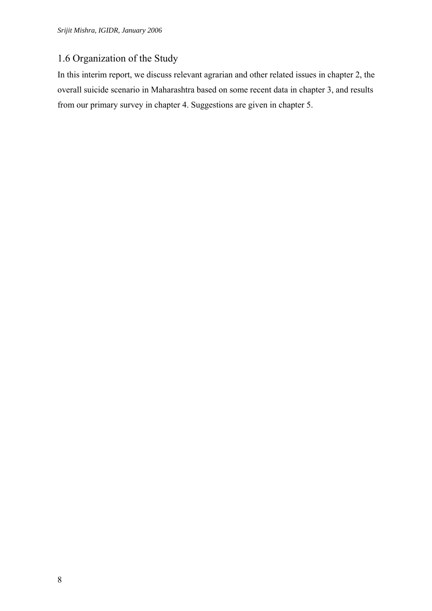## 1.6 Organization of the Study

In this interim report, we discuss relevant agrarian and other related issues in chapter 2, the overall suicide scenario in Maharashtra based on some recent data in chapter 3, and results from our primary survey in chapter 4. Suggestions are given in chapter 5.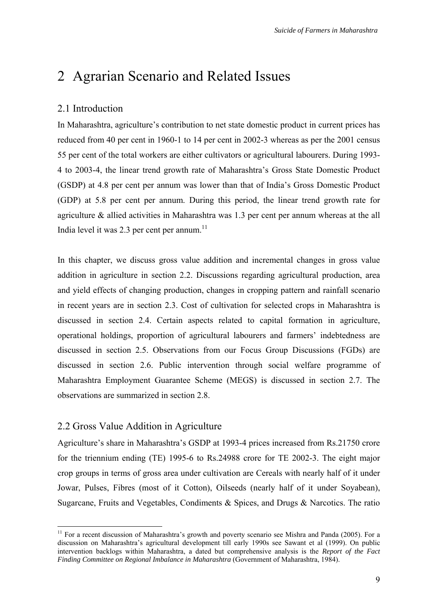# 2 Agrarian Scenario and Related Issues

#### 2.1 Introduction

In Maharashtra, agriculture's contribution to net state domestic product in current prices has reduced from 40 per cent in 1960-1 to 14 per cent in 2002-3 whereas as per the 2001 census 55 per cent of the total workers are either cultivators or agricultural labourers. During 1993- 4 to 2003-4, the linear trend growth rate of Maharashtra's Gross State Domestic Product (GSDP) at 4.8 per cent per annum was lower than that of India's Gross Domestic Product (GDP) at 5.8 per cent per annum. During this period, the linear trend growth rate for agriculture & allied activities in Maharashtra was 1.3 per cent per annum whereas at the all India level it was 2.3 per cent per annum. $11$ 

In this chapter, we discuss gross value addition and incremental changes in gross value addition in agriculture in section 2.2. Discussions regarding agricultural production, area and yield effects of changing production, changes in cropping pattern and rainfall scenario in recent years are in section 2.3. Cost of cultivation for selected crops in Maharashtra is discussed in section 2.4. Certain aspects related to capital formation in agriculture, operational holdings, proportion of agricultural labourers and farmers' indebtedness are discussed in section 2.5. Observations from our Focus Group Discussions (FGDs) are discussed in section 2.6. Public intervention through social welfare programme of Maharashtra Employment Guarantee Scheme (MEGS) is discussed in section 2.7. The observations are summarized in section 2.8.

#### 2.2 Gross Value Addition in Agriculture

Agriculture's share in Maharashtra's GSDP at 1993-4 prices increased from Rs.21750 crore for the triennium ending (TE) 1995-6 to Rs.24988 crore for TE 2002-3. The eight major crop groups in terms of gross area under cultivation are Cereals with nearly half of it under Jowar, Pulses, Fibres (most of it Cotton), Oilseeds (nearly half of it under Soyabean), Sugarcane, Fruits and Vegetables, Condiments & Spices, and Drugs & Narcotics. The ratio

<span id="page-16-0"></span><sup>&</sup>lt;sup>11</sup> For a recent discussion of Maharashtra's growth and poverty scenario see Mishra and Panda (2005). For a discussion on Maharashtra's agricultural development till early 1990s see Sawant et al (1999). On public intervention backlogs within Maharashtra, a dated but comprehensive analysis is the *Report of the Fact Finding Committee on Regional Imbalance in Maharashtra* (Government of Maharashtra, 1984).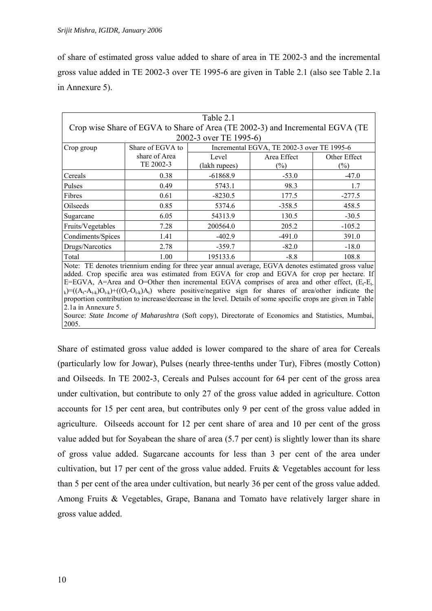of share of estimated gross value added to share of area in TE 2002-3 and the incremental gross value added in TE 2002-3 over TE 1995-6 are given in Table 2.1 (also see Table 2.1a in Annexure 5).

| Table 2.1                                                                                                                     |                                                                                                                                                                                         |               |             |              |  |  |  |  |  |
|-------------------------------------------------------------------------------------------------------------------------------|-----------------------------------------------------------------------------------------------------------------------------------------------------------------------------------------|---------------|-------------|--------------|--|--|--|--|--|
| Crop wise Share of EGVA to Share of Area (TE 2002-3) and Incremental EGVA (TE                                                 |                                                                                                                                                                                         |               |             |              |  |  |  |  |  |
| 2002-3 over TE 1995-6)                                                                                                        |                                                                                                                                                                                         |               |             |              |  |  |  |  |  |
| Crop group                                                                                                                    | Share of EGVA to<br>Incremental EGVA, TE 2002-3 over TE 1995-6                                                                                                                          |               |             |              |  |  |  |  |  |
|                                                                                                                               | share of Area                                                                                                                                                                           | Level         | Area Effect | Other Effect |  |  |  |  |  |
|                                                                                                                               | TE 2002-3                                                                                                                                                                               | (lakh rupees) | $(\%)$      | $(\%)$       |  |  |  |  |  |
| Cereals                                                                                                                       | 0.38                                                                                                                                                                                    | $-61868.9$    | $-53.0$     | $-47.0$      |  |  |  |  |  |
| Pulses                                                                                                                        | 0.49                                                                                                                                                                                    | 5743.1        | 98.3        | 1.7          |  |  |  |  |  |
| Fibres                                                                                                                        | 0.61                                                                                                                                                                                    | $-8230.5$     | 177.5       | $-277.5$     |  |  |  |  |  |
| Oilseeds                                                                                                                      | 0.85                                                                                                                                                                                    | 5374.6        | $-358.5$    | 458.5        |  |  |  |  |  |
| Sugarcane                                                                                                                     | 6.05                                                                                                                                                                                    | 54313.9       | 130.5       | $-30.5$      |  |  |  |  |  |
| Fruits/Vegetables                                                                                                             | 7.28                                                                                                                                                                                    | 200564.0      | 205.2       | $-105.2$     |  |  |  |  |  |
| Condiments/Spices                                                                                                             | 1.41                                                                                                                                                                                    | $-402.9$      | $-491.0$    | 391.0        |  |  |  |  |  |
| Drugs/Narcotics                                                                                                               | 2.78                                                                                                                                                                                    | $-359.7$      | $-82.0$     | $-18.0$      |  |  |  |  |  |
| Total                                                                                                                         | 1.00                                                                                                                                                                                    | 195133.6      | $-8.8$      | 108.8        |  |  |  |  |  |
|                                                                                                                               | Note: TE denotes triennium ending for three year annual average, EGVA denotes estimated gross value                                                                                     |               |             |              |  |  |  |  |  |
|                                                                                                                               | added. Crop specific area was estimated from EGVA for crop and EGVA for crop per hectare. If                                                                                            |               |             |              |  |  |  |  |  |
|                                                                                                                               | E=EGVA, A=Area and O=Other then incremental EGVA comprises of area and other effect, $(E_t-E_t)$                                                                                        |               |             |              |  |  |  |  |  |
|                                                                                                                               | $_{k}$ )=((A <sub>t</sub> -A <sub>t-k</sub> )O <sub>t-k</sub> )+((O <sub>t</sub> -O <sub>t-k</sub> )A <sub>t</sub> ) where positive/negative sign for shares of area/other indicate the |               |             |              |  |  |  |  |  |
|                                                                                                                               | proportion contribution to increase/decrease in the level. Details of some specific crops are given in Table                                                                            |               |             |              |  |  |  |  |  |
| 2.1a in Annexure 5.<br>Source: <i>State Income of Maharashtra</i> (Soft conv.) Directorate of Economics and Statistics Mumbai |                                                                                                                                                                                         |               |             |              |  |  |  |  |  |

*harashtra* (Soft copy), Directorate of Economics and Statistics, 2005.

Share of estimated gross value added is lower compared to the share of area for Cereals (particularly low for Jowar), Pulses (nearly three-tenths under Tur), Fibres (mostly Cotton) and Oilseeds. In TE 2002-3, Cereals and Pulses account for 64 per cent of the gross area under cultivation, but contribute to only 27 of the gross value added in agriculture. Cotton accounts for 15 per cent area, but contributes only 9 per cent of the gross value added in agriculture. Oilseeds account for 12 per cent share of area and 10 per cent of the gross value added but for Soyabean the share of area (5.7 per cent) is slightly lower than its share of gross value added. Sugarcane accounts for less than 3 per cent of the area under cultivation, but 17 per cent of the gross value added. Fruits & Vegetables account for less than 5 per cent of the area under cultivation, but nearly 36 per cent of the gross value added. Among Fruits & Vegetables, Grape, Banana and Tomato have relatively larger share in gross value added.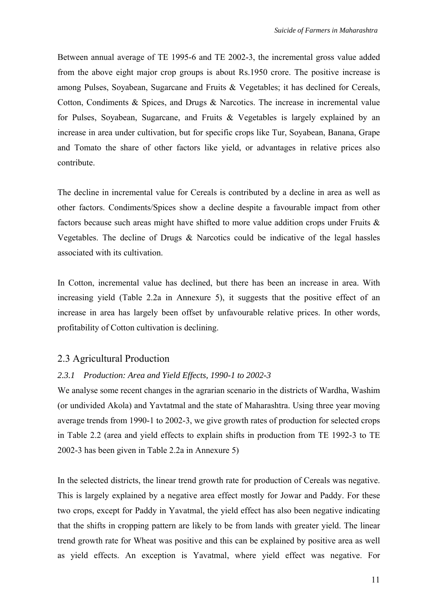Between annual average of TE 1995-6 and TE 2002-3, the incremental gross value added from the above eight major crop groups is about Rs.1950 crore. The positive increase is among Pulses, Soyabean, Sugarcane and Fruits & Vegetables; it has declined for Cereals, Cotton, Condiments & Spices, and Drugs & Narcotics. The increase in incremental value for Pulses, Soyabean, Sugarcane, and Fruits & Vegetables is largely explained by an increase in area under cultivation, but for specific crops like Tur, Soyabean, Banana, Grape and Tomato the share of other factors like yield, or advantages in relative prices also contribute.

The decline in incremental value for Cereals is contributed by a decline in area as well as other factors. Condiments/Spices show a decline despite a favourable impact from other factors because such areas might have shifted to more value addition crops under Fruits & Vegetables. The decline of Drugs & Narcotics could be indicative of the legal hassles associated with its cultivation.

In Cotton, incremental value has declined, but there has been an increase in area. With increasing yield (Table 2.2a in Annexure 5), it suggests that the positive effect of an increase in area has largely been offset by unfavourable relative prices. In other words, profitability of Cotton cultivation is declining.

#### 2.3 Agricultural Production

#### *2.3.1 Production: Area and Yield Effects, 1990-1 to 2002-3*

We analyse some recent changes in the agrarian scenario in the districts of Wardha, Washim (or undivided Akola) and Yavtatmal and the state of Maharashtra. Using three year moving average trends from 1990-1 to 2002-3, we give growth rates of production for selected crops in Table 2.2 (area and yield effects to explain shifts in production from TE 1992-3 to TE 2002-3 has been given in Table 2.2a in Annexure 5)

In the selected districts, the linear trend growth rate for production of Cereals was negative. This is largely explained by a negative area effect mostly for Jowar and Paddy. For these two crops, except for Paddy in Yavatmal, the yield effect has also been negative indicating that the shifts in cropping pattern are likely to be from lands with greater yield. The linear trend growth rate for Wheat was positive and this can be explained by positive area as well as yield effects. An exception is Yavatmal, where yield effect was negative. For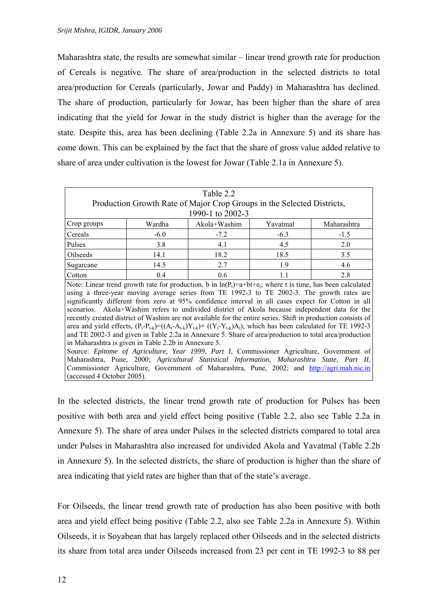Maharashtra state, the results are somewhat similar – linear trend growth rate for production of Cereals is negative. The share of area/production in the selected districts to total area/production for Cereals (particularly, Jowar and Paddy) in Maharashtra has declined. The share of production, particularly for Jowar, has been higher than the share of area indicating that the yield for Jowar in the study district is higher than the average for the state. Despite this, area has been declining (Table 2.2a in Annexure 5) and its share has come down. This can be explained by the fact that the share of gross value added relative to share of area under cultivation is the lowest for Jowar (Table 2.1a in Annexure 5).

| Table 2.2                                            |                                                                                             |                                                                                                                                       |          |                                                                                            |  |  |  |  |
|------------------------------------------------------|---------------------------------------------------------------------------------------------|---------------------------------------------------------------------------------------------------------------------------------------|----------|--------------------------------------------------------------------------------------------|--|--|--|--|
|                                                      | Production Growth Rate of Major Crop Groups in the Selected Districts,                      |                                                                                                                                       |          |                                                                                            |  |  |  |  |
|                                                      | 1990-1 to 2002-3                                                                            |                                                                                                                                       |          |                                                                                            |  |  |  |  |
| Crop groups                                          | Wardha                                                                                      | Akola+Washim                                                                                                                          | Yavatmal | Maharashtra                                                                                |  |  |  |  |
| Cereals                                              | $-6.0$                                                                                      | $-7.2$                                                                                                                                | $-6.3$   | $-1.5$                                                                                     |  |  |  |  |
| Pulses                                               | 3.8                                                                                         | 4.1                                                                                                                                   | 4.5      | 2.0                                                                                        |  |  |  |  |
| Oilseeds                                             | 14.1                                                                                        | 18.2                                                                                                                                  | 18.5     | 3.5                                                                                        |  |  |  |  |
| Sugarcane                                            | 14.5                                                                                        | 2.7                                                                                                                                   | 1.9      | 4.6                                                                                        |  |  |  |  |
| 0.4<br>0.6<br>2.8<br>Cotton<br>1.1                   |                                                                                             |                                                                                                                                       |          |                                                                                            |  |  |  |  |
|                                                      |                                                                                             | Note: Linear trend growth rate for production, b in $\ln(P_t)=a+bt+e_i$ ; where t is time, has been calculated                        |          |                                                                                            |  |  |  |  |
|                                                      |                                                                                             | using a three-year moving average series from TE 1992-3 to TE 2002-3. The growth rates are                                            |          |                                                                                            |  |  |  |  |
|                                                      |                                                                                             | significantly different from zero at 95% confidence interval in all cases expect for Cotton in all                                    |          |                                                                                            |  |  |  |  |
|                                                      |                                                                                             | scenarios. Akola+Washim refers to undivided district of Akola because independent data for the                                        |          |                                                                                            |  |  |  |  |
|                                                      |                                                                                             | recently created district of Washim are not available for the entire series. Shift in production consists of                          |          |                                                                                            |  |  |  |  |
|                                                      |                                                                                             | area and yield effects, $(P_t - P_{t-k}) = ((A_t - A_{t-k})Y_{t-k}) + ((Y_t - Y_{t-k})A_t)$ , which has been calculated for TE 1992-3 |          |                                                                                            |  |  |  |  |
|                                                      |                                                                                             | and TE 2002-3 and given in Table 2.2a in Annexure 5. Share of area/production to total area/production                                |          |                                                                                            |  |  |  |  |
| in Maharashtra is given in Table 2.2b in Annexure 5. |                                                                                             |                                                                                                                                       |          |                                                                                            |  |  |  |  |
|                                                      |                                                                                             |                                                                                                                                       |          | Source: Epitome of Agriculture, Year 1999, Part I, Commissioner Agriculture, Government of |  |  |  |  |
|                                                      |                                                                                             | Maharashtra, Pune, 2000; Agricultural Statistical Information, Maharashtra State, Part II,                                            |          |                                                                                            |  |  |  |  |
|                                                      | Commissioner Agriculture, Government of Maharashtra, Pune, 2002; and http://agri.mah.nic.in |                                                                                                                                       |          |                                                                                            |  |  |  |  |
| (accessed 4 October 2005).                           |                                                                                             |                                                                                                                                       |          |                                                                                            |  |  |  |  |

In the selected districts, the linear trend growth rate of production for Pulses has been positive with both area and yield effect being positive (Table 2.2, also see Table 2.2a in Annexure 5). The share of area under Pulses in the selected districts compared to total area under Pulses in Maharashtra also increased for undivided Akola and Yavatmal (Table 2.2b in Annexure 5). In the selected districts, the share of production is higher than the share of area indicating that yield rates are higher than that of the state's average.

For Oilseeds, the linear trend growth rate of production has also been positive with both area and yield effect being positive (Table 2.2, also see Table 2.2a in Annexure 5). Within Oilseeds, it is Soyabean that has largely replaced other Oilseeds and in the selected districts its share from total area under Oilseeds increased from 23 per cent in TE 1992-3 to 88 per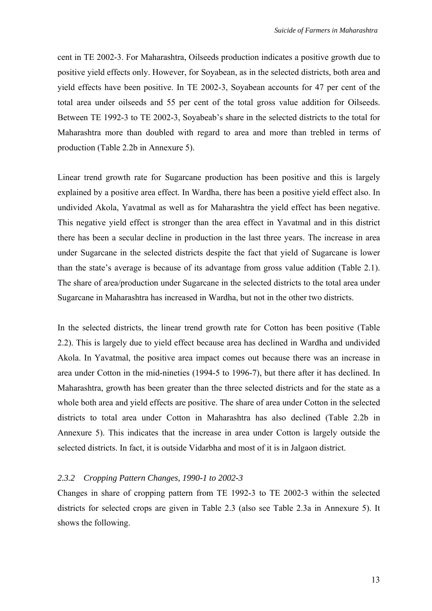cent in TE 2002-3. For Maharashtra, Oilseeds production indicates a positive growth due to positive yield effects only. However, for Soyabean, as in the selected districts, both area and yield effects have been positive. In TE 2002-3, Soyabean accounts for 47 per cent of the total area under oilseeds and 55 per cent of the total gross value addition for Oilseeds. Between TE 1992-3 to TE 2002-3, Soyabeab's share in the selected districts to the total for Maharashtra more than doubled with regard to area and more than trebled in terms of production (Table 2.2b in Annexure 5).

Linear trend growth rate for Sugarcane production has been positive and this is largely explained by a positive area effect. In Wardha, there has been a positive yield effect also. In undivided Akola, Yavatmal as well as for Maharashtra the yield effect has been negative. This negative yield effect is stronger than the area effect in Yavatmal and in this district there has been a secular decline in production in the last three years. The increase in area under Sugarcane in the selected districts despite the fact that yield of Sugarcane is lower than the state's average is because of its advantage from gross value addition (Table 2.1). The share of area/production under Sugarcane in the selected districts to the total area under Sugarcane in Maharashtra has increased in Wardha, but not in the other two districts.

In the selected districts, the linear trend growth rate for Cotton has been positive (Table 2.2). This is largely due to yield effect because area has declined in Wardha and undivided Akola. In Yavatmal, the positive area impact comes out because there was an increase in area under Cotton in the mid-nineties (1994-5 to 1996-7), but there after it has declined. In Maharashtra, growth has been greater than the three selected districts and for the state as a whole both area and yield effects are positive. The share of area under Cotton in the selected districts to total area under Cotton in Maharashtra has also declined (Table 2.2b in Annexure 5). This indicates that the increase in area under Cotton is largely outside the selected districts. In fact, it is outside Vidarbha and most of it is in Jalgaon district.

#### *2.3.2 Cropping Pattern Changes, 1990-1 to 2002-3*

Changes in share of cropping pattern from TE 1992-3 to TE 2002-3 within the selected districts for selected crops are given in Table 2.3 (also see Table 2.3a in Annexure 5). It shows the following.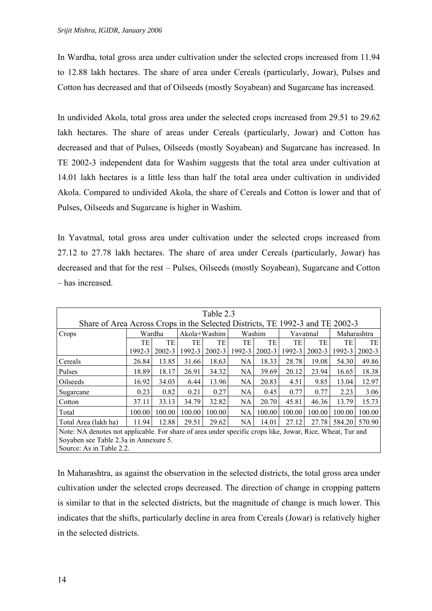In Wardha, total gross area under cultivation under the selected crops increased from 11.94 to 12.88 lakh hectares. The share of area under Cereals (particularly, Jowar), Pulses and Cotton has decreased and that of Oilseeds (mostly Soyabean) and Sugarcane has increased.

In undivided Akola, total gross area under the selected crops increased from 29.51 to 29.62 lakh hectares. The share of areas under Cereals (particularly, Jowar) and Cotton has decreased and that of Pulses, Oilseeds (mostly Soyabean) and Sugarcane has increased. In TE 2002-3 independent data for Washim suggests that the total area under cultivation at 14.01 lakh hectares is a little less than half the total area under cultivation in undivided Akola. Compared to undivided Akola, the share of Cereals and Cotton is lower and that of Pulses, Oilseeds and Sugarcane is higher in Washim.

In Yavatmal, total gross area under cultivation under the selected crops increased from 27.12 to 27.78 lakh hectares. The share of area under Cereals (particularly, Jowar) has decreased and that for the rest – Pulses, Oilseeds (mostly Soyabean), Sugarcane and Cotton – has increased.

| Table 2.3                                                                                                 |           |            |                |        |           |               |        |            |             |            |
|-----------------------------------------------------------------------------------------------------------|-----------|------------|----------------|--------|-----------|---------------|--------|------------|-------------|------------|
| Share of Area Across Crops in the Selected Districts, TE 1992-3 and TE 2002-3                             |           |            |                |        |           |               |        |            |             |            |
| Crops                                                                                                     |           | Wardha     | $Akola+Washim$ |        |           | <b>Washim</b> |        | Yavatmal   | Maharashtra |            |
|                                                                                                           | <b>TE</b> | TE         | TE             | TE     | <b>TE</b> | TE            | TE     | TE         | TE          | TE         |
|                                                                                                           | 1992-3    | $2002 - 3$ | 1992-3         | 2002-3 | 1992-3    | $2002 - 3$    | 1992-3 | $2002 - 3$ | 1992-3      | $2002 - 3$ |
| Cereals                                                                                                   | 26.84     | 13.85      | 31.66          | 18.63  | NA.       | 18.33         | 28.78  | 19.08      | 54.30       | 49.86      |
| Pulses                                                                                                    | 18.89     | 18.17      | 26.91          | 34.32  | <b>NA</b> | 39.69         | 20.12  | 23.94      | 16.65       | 18.38      |
| Oilseeds                                                                                                  | 16.92     | 34.03      | 6.44           | 13.96  | NA.       | 20.83         | 4.51   | 9.85       | 13.04       | 12.97      |
| Sugarcane                                                                                                 | 0.23      | 0.82       | 0.21           | 0.27   | NA.       | 0.45          | 0.77   | 0.77       | 2.23        | 3.06       |
| Cotton                                                                                                    | 37.11     | 33.13      | 34.79          | 32.82  | NA.       | 20.70         | 45.81  | 46.36      | 13.79       | 15.73      |
| Total                                                                                                     | 100.00    | 100.00     | 100.00         | 100.00 | NA.       | 100.00        | 100.00 | 100.00     | 100.00      | 100.00     |
| Total Area (lakh ha)                                                                                      | 11.94     | 12.88      | 29.51          | 29.62  | NA.       | 14.01         | 27.12  | 27.78      | 584.20      | 570.90     |
| Note: NA denotes not applicable. For share of area under specific crops like, Jowar, Rice, Wheat, Tur and |           |            |                |        |           |               |        |            |             |            |
| Soyaben see Table 2.3a in Annexure 5.                                                                     |           |            |                |        |           |               |        |            |             |            |
| Source: As in Table 2.2.                                                                                  |           |            |                |        |           |               |        |            |             |            |

In Maharashtra, as against the observation in the selected districts, the total gross area under cultivation under the selected crops decreased. The direction of change in cropping pattern is similar to that in the selected districts, but the magnitude of change is much lower. This indicates that the shifts, particularly decline in area from Cereals (Jowar) is relatively higher in the selected districts.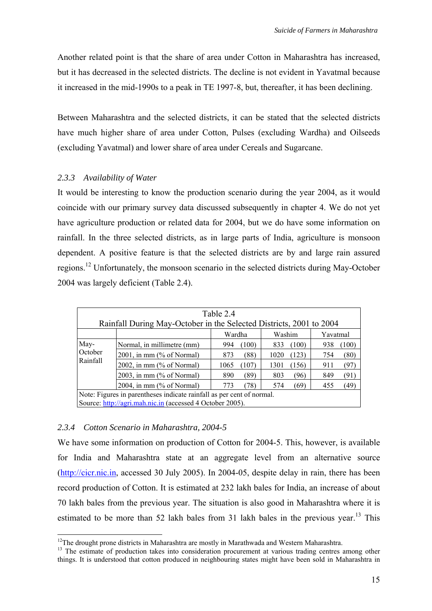<span id="page-22-1"></span>Another related point is that the share of area under Cotton in Maharashtra has increased, but it has decreased in the selected districts. The decline is not evident in Yavatmal because it increased in the mid-1990s to a peak in TE 1997-8, but, thereafter, it has been declining.

Between Maharashtra and the selected districts, it can be stated that the selected districts have much higher share of area under Cotton, Pulses (excluding Wardha) and Oilseeds (excluding Yavatmal) and lower share of area under Cereals and Sugarcane.

#### *2.3.3 Availability of Water*

It would be interesting to know the production scenario during the year 2004, as it would coincide with our primary survey data discussed subsequently in chapter 4. We do not yet have agriculture production or related data for 2004, but we do have some information on rainfall. In the three selected districts, as in large parts of India, agriculture is monsoon dependent. A positive feature is that the selected districts are by and large rain assured regions.<sup>12</sup> Unfortunately, the monsoon scenario in the selected districts during May-October 2004 was largely deficient (Table 2.4).

| Table 2.4<br>Rainfall During May-October in the Selected Districts, 2001 to 2004 |                                                                           |               |               |              |  |  |  |  |  |
|----------------------------------------------------------------------------------|---------------------------------------------------------------------------|---------------|---------------|--------------|--|--|--|--|--|
|                                                                                  |                                                                           |               |               |              |  |  |  |  |  |
|                                                                                  |                                                                           | Wardha        | Washim        | Yavatmal     |  |  |  |  |  |
| May-                                                                             | Normal, in millimetre (mm)                                                | (100)<br>994  | (100)<br>833  | 938<br>(100) |  |  |  |  |  |
| October                                                                          | 2001, in mm $(\%$ of Normal)                                              | (88)<br>873   | (123)<br>1020 | (80)<br>754  |  |  |  |  |  |
| Rainfall                                                                         | 2002, in mm $(\%$ of Normal)                                              | (107)<br>1065 | (156)<br>1301 | (97)<br>911  |  |  |  |  |  |
|                                                                                  | 2003, in mm $(\%$ of Normal)                                              | (89)<br>890   | (96)<br>803   | (91)<br>849  |  |  |  |  |  |
|                                                                                  | (49)<br>2004, in mm $(\%$ of Normal)<br>(78)<br>(69)<br>455<br>773<br>574 |               |               |              |  |  |  |  |  |
| Note: Figures in parentheses indicate rainfall as per cent of normal.            |                                                                           |               |               |              |  |  |  |  |  |
|                                                                                  | Source: http://agri.mah.nic.in (accessed 4 October 2005).                 |               |               |              |  |  |  |  |  |

#### *2.3.4 Cotton Scenario in Maharashtra, 2004-5*

We have some information on production of Cotton for 2004-5. This, however, is available for India and Maharashtra state at an aggregate level from an alternative source [\(http://cicr.nic.in,](http://cicr.nic.in/) accessed 30 July 2005). In 2004-05, despite delay in rain, there has been record production of Cotton. It is estimated at 232 lakh bales for India, an increase of about 70 lakh bales from the previous year. The situation is also good in Maharashtra where it is estimated to be more than 52 lakh bales from 31 lakh bales in the previous vear.<sup>13</sup> This

<span id="page-22-0"></span>

<sup>&</sup>lt;sup>12</sup>The drought prone districts in Maharashtra are mostly in Marathwada and Western Maharashtra.<br><sup>13</sup> The estimate of production takes into consideration procurement at various trading centres among other things. It is understood that cotton produced in neighbouring states might have been sold in Maharashtra in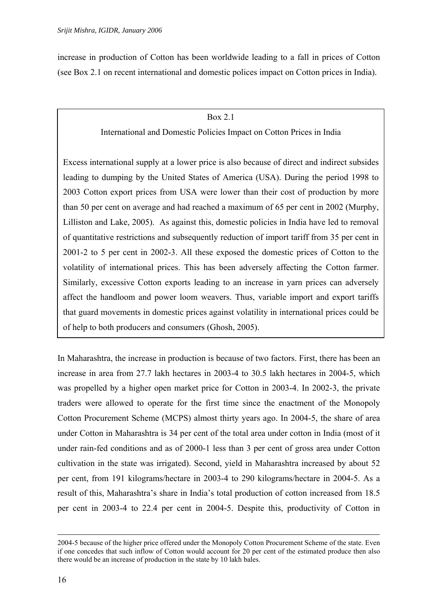increase in production of Cotton has been worldwide leading to a fall in prices of Cotton (see Box 2.1 on recent international and domestic polices impact on Cotton prices in India).

#### Box 2.1

International and Domestic Policies Impact on Cotton Prices in India

Excess international supply at a lower price is also because of direct and indirect subsides leading to dumping by the United States of America (USA). During the period 1998 to 2003 Cotton export prices from USA were lower than their cost of production by more than 50 per cent on average and had reached a maximum of 65 per cent in 2002 (Murphy, Lilliston and Lake, 2005). As against this, domestic policies in India have led to removal of quantitative restrictions and subsequently reduction of import tariff from 35 per cent in 2001-2 to 5 per cent in 2002-3. All these exposed the domestic prices of Cotton to the volatility of international prices. This has been adversely affecting the Cotton farmer. Similarly, excessive Cotton exports leading to an increase in yarn prices can adversely affect the handloom and power loom weavers. Thus, variable import and export tariffs that guard movements in domestic prices against volatility in international prices could be of help to both producers and consumers (Ghosh, 2005).

In Maharashtra, the increase in production is because of two factors. First, there has been an increase in area from 27.7 lakh hectares in 2003-4 to 30.5 lakh hectares in 2004-5, which was propelled by a higher open market price for Cotton in 2003-4. In 2002-3, the private traders were allowed to operate for the first time since the enactment of the Monopoly Cotton Procurement Scheme (MCPS) almost thirty years ago. In 2004-5, the share of area under Cotton in Maharashtra is 34 per cent of the total area under cotton in India (most of it under rain-fed conditions and as of 2000-1 less than 3 per cent of gross area under Cotton cultivation in the state was irrigated). Second, yield in Maharashtra increased by about 52 per cent, from 191 kilograms/hectare in 2003-4 to 290 kilograms/hectare in 2004-5. As a result of this, Maharashtra's share in India's total production of cotton increased from 18.5 per cent in 2003-4 to 22.4 per cent in 2004-5. Despite this, productivity of Cotton in

 <sup>2004-5</sup> because of the higher price offered under the Monopoly Cotton Procurement Scheme of the state. Even if one concedes that such inflow of Cotton would account for 20 per cent of the estimated produce then also there would be an increase of production in the state by 10 lakh bales.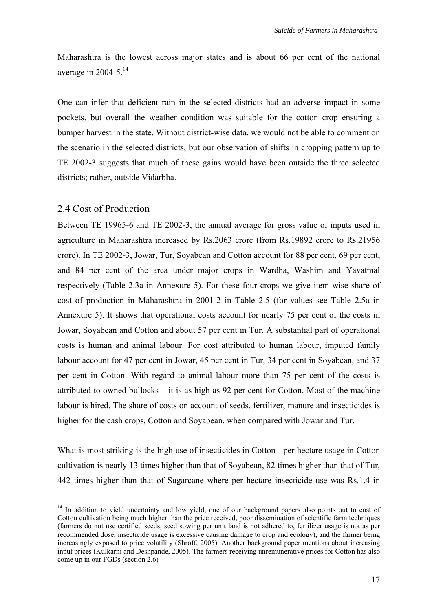Maharashtra is the lowest across major states and is about 66 per cent of the national average in 2004-5. $^{14}$ 

One can infer that deficient rain in the selected districts had an adverse impact in some pockets, but overall the weather condition was suitable for the cotton crop ensuring a bumper harvest in the state. Without district-wise data, we would not be able to comment on the scenario in the selected districts, but our observation of shifts in cropping pattern up to TE 2002-3 suggests that much of these gains would have been outside the three selected districts; rather, outside Vidarbha.

### 2.4 Cost of Production

Between TE 19965-6 and TE 2002-3, the annual average for gross value of inputs used in agriculture in Maharashtra increased by Rs.2063 crore (from Rs.19892 crore to Rs.21956 crore). In TE 2002-3, Jowar, Tur, Soyabean and Cotton account for 88 per cent, 69 per cent, and 84 per cent of the area under major crops in Wardha, Washim and Yavatmal respectively (Table 2.3a in Annexure 5). For these four crops we give item wise share of cost of production in Maharashtra in 2001-2 in Table 2.5 (for values see Table 2.5a in Annexure 5). It shows that operational costs account for nearly 75 per cent of the costs in Jowar, Soyabean and Cotton and about 57 per cent in Tur. A substantial part of operational costs is human and animal labour. For cost attributed to human labour, imputed family labour account for 47 per cent in Jowar, 45 per cent in Tur, 34 per cent in Soyabean, and 37 per cent in Cotton. With regard to animal labour more than 75 per cent of the costs is attributed to owned bullocks – it is as high as 92 per cent for Cotton. Most of the machine labour is hired. The share of costs on account of seeds, fertilizer, manure and insecticides is higher for the cash crops, Cotton and Soyabean, when compared with Jowar and Tur.

What is most striking is the high use of insecticides in Cotton - per hectare usage in Cotton cultivation is nearly 13 times higher than that of Soyabean, 82 times higher than that of Tur, 442 times higher than that of Sugarcane where per hectare insecticide use was Rs.1.4 in

<span id="page-24-0"></span><sup>&</sup>lt;sup>14</sup> In addition to vield uncertainty and low yield, one of our background papers also points out to cost of Cotton cultivation being much higher than the price received, poor dissemination of scientific farm techniques (farmers do not use certified seeds, seed sowing per unit land is not adhered to, fertilizer usage is not as per recommended dose, insecticide usage is excessive causing damage to crop and ecology), and the farmer being increasingly exposed to price volatility (Shroff, 2005). Another background paper mentions about increasing input prices (Kulkarni and Deshpande, 2005). The farmers receiving unremunerative prices for Cotton has also come up in our FGDs (section 2.6)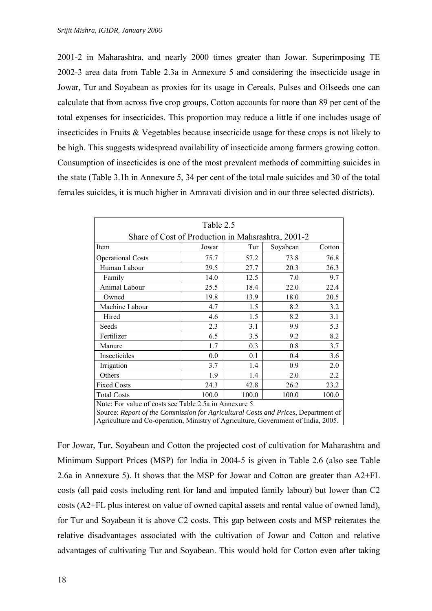2001-2 in Maharashtra, and nearly 2000 times greater than Jowar. Superimposing TE 2002-3 area data from Table 2.3a in Annexure 5 and considering the insecticide usage in Jowar, Tur and Soyabean as proxies for its usage in Cereals, Pulses and Oilseeds one can calculate that from across five crop groups, Cotton accounts for more than 89 per cent of the total expenses for insecticides. This proportion may reduce a little if one includes usage of insecticides in Fruits & Vegetables because insecticide usage for these crops is not likely to be high. This suggests widespread availability of insecticide among farmers growing cotton. Consumption of insecticides is one of the most prevalent methods of committing suicides in the state (Table 3.1h in Annexure 5, 34 per cent of the total male suicides and 30 of the total females suicides, it is much higher in Amravati division and in our three selected districts).

| Table 2.5                                                                         |                                    |      |      |      |  |  |  |
|-----------------------------------------------------------------------------------|------------------------------------|------|------|------|--|--|--|
| Share of Cost of Production in Mahsrashtra, 2001-2                                |                                    |      |      |      |  |  |  |
| Item                                                                              | Soyabean<br>Jowar<br>Tur<br>Cotton |      |      |      |  |  |  |
| <b>Operational Costs</b>                                                          | 75.7                               | 57.2 | 73.8 | 76.8 |  |  |  |
| Human Labour                                                                      | 29.5                               | 27.7 | 20.3 | 26.3 |  |  |  |
| Family                                                                            | 14.0                               | 12.5 | 7.0  | 9.7  |  |  |  |
| Animal Labour                                                                     | 25.5                               | 18.4 | 22.0 | 22.4 |  |  |  |
| Owned                                                                             | 19.8                               | 13.9 | 18.0 | 20.5 |  |  |  |
| Machine Labour                                                                    | 4.7                                | 1.5  | 8.2  | 3.2  |  |  |  |
| Hired                                                                             | 4.6                                | 1.5  | 8.2  | 3.1  |  |  |  |
| Seeds                                                                             | 2.3                                | 3.1  | 9.9  | 5.3  |  |  |  |
| Fertilizer                                                                        | 6.5                                | 3.5  | 9.2  | 8.2  |  |  |  |
| Manure                                                                            | 1.7                                | 0.3  | 0.8  | 3.7  |  |  |  |
| Insecticides                                                                      | 0.0                                | 0.1  | 0.4  | 3.6  |  |  |  |
| Irrigation                                                                        | 3.7                                | 1.4  | 0.9  | 2.0  |  |  |  |
| Others                                                                            | 1.9                                | 1.4  | 2.0  | 2.2  |  |  |  |
| <b>Fixed Costs</b>                                                                | 24.3                               | 42.8 | 26.2 | 23.2 |  |  |  |
| <b>Total Costs</b>                                                                | 100.0<br>100.0<br>100.0<br>100.0   |      |      |      |  |  |  |
| Note: For value of costs see Table 2.5a in Annexure 5.                            |                                    |      |      |      |  |  |  |
| Source: Report of the Commission for Agricultural Costs and Prices, Department of |                                    |      |      |      |  |  |  |
| Agriculture and Co-operation, Ministry of Agriculture, Government of India, 2005. |                                    |      |      |      |  |  |  |

For Jowar, Tur, Soyabean and Cotton the projected cost of cultivation for Maharashtra and Minimum Support Prices (MSP) for India in 2004-5 is given in Table 2.6 (also see Table 2.6a in Annexure 5). It shows that the MSP for Jowar and Cotton are greater than A2+FL costs (all paid costs including rent for land and imputed family labour) but lower than C2 costs (A2+FL plus interest on value of owned capital assets and rental value of owned land), for Tur and Soyabean it is above C2 costs. This gap between costs and MSP reiterates the relative disadvantages associated with the cultivation of Jowar and Cotton and relative advantages of cultivating Tur and Soyabean. This would hold for Cotton even after taking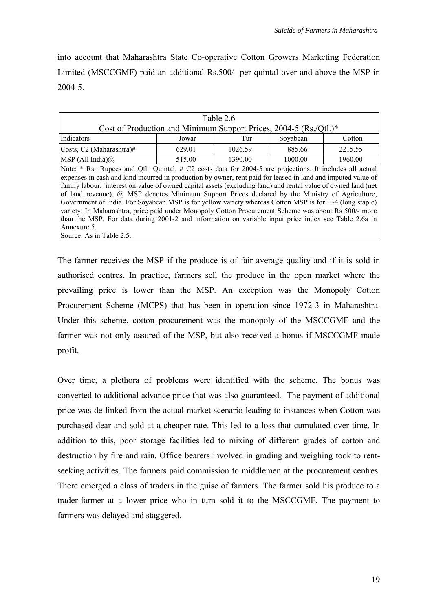into account that Maharashtra State Co-operative Cotton Growers Marketing Federation Limited (MSCCGMF) paid an additional Rs.500/- per quintal over and above the MSP in 2004-5.

| Table 2.6                                                                                                                                                                                                                                                                                                                                                                                                                                                                                                                                                                                                                                                                                                                                                                             |        |                           |         |         |  |  |  |  |
|---------------------------------------------------------------------------------------------------------------------------------------------------------------------------------------------------------------------------------------------------------------------------------------------------------------------------------------------------------------------------------------------------------------------------------------------------------------------------------------------------------------------------------------------------------------------------------------------------------------------------------------------------------------------------------------------------------------------------------------------------------------------------------------|--------|---------------------------|---------|---------|--|--|--|--|
| Cost of Production and Minimum Support Prices, 2004-5 (Rs./Qtl.)*                                                                                                                                                                                                                                                                                                                                                                                                                                                                                                                                                                                                                                                                                                                     |        |                           |         |         |  |  |  |  |
| Indicators                                                                                                                                                                                                                                                                                                                                                                                                                                                                                                                                                                                                                                                                                                                                                                            | Jowar  | Soyabean<br>Tur<br>Cotton |         |         |  |  |  |  |
| Costs, C <sub>2</sub> (Maharashtra)#                                                                                                                                                                                                                                                                                                                                                                                                                                                                                                                                                                                                                                                                                                                                                  | 629.01 | 1026.59                   | 885.66  | 2215.55 |  |  |  |  |
| MSP (All India) $\omega$                                                                                                                                                                                                                                                                                                                                                                                                                                                                                                                                                                                                                                                                                                                                                              | 515.00 | 1390.00                   | 1000.00 | 1960.00 |  |  |  |  |
| Note: * Rs.=Rupees and Qtl.=Quintal. # C2 costs data for 2004-5 are projections. It includes all actual<br>expenses in cash and kind incurred in production by owner, rent paid for leased in land and imputed value of<br>family labour, interest on value of owned capital assets (excluding land) and rental value of owned land (net<br>of land revenue). @ MSP denotes Minimum Support Prices declared by the Ministry of Agriculture,<br>Government of India. For Soyabean MSP is for yellow variety whereas Cotton MSP is for H-4 (long staple)<br>variety. In Maharashtra, price paid under Monopoly Cotton Procurement Scheme was about Rs 500/- more<br>than the MSP. For data during 2001-2 and information on variable input price index see Table 2.6a in<br>Annexure 5. |        |                           |         |         |  |  |  |  |

The farmer receives the MSP if the produce is of fair average quality and if it is sold in authorised centres. In practice, farmers sell the produce in the open market where the prevailing price is lower than the MSP. An exception was the Monopoly Cotton Procurement Scheme (MCPS) that has been in operation since 1972-3 in Maharashtra. Under this scheme, cotton procurement was the monopoly of the MSCCGMF and the farmer was not only assured of the MSP, but also received a bonus if MSCCGMF made profit.

Over time, a plethora of problems were identified with the scheme. The bonus was converted to additional advance price that was also guaranteed. The payment of additional price was de-linked from the actual market scenario leading to instances when Cotton was purchased dear and sold at a cheaper rate. This led to a loss that cumulated over time. In addition to this, poor storage facilities led to mixing of different grades of cotton and destruction by fire and rain. Office bearers involved in grading and weighing took to rentseeking activities. The farmers paid commission to middlemen at the procurement centres. There emerged a class of traders in the guise of farmers. The farmer sold his produce to a trader-farmer at a lower price who in turn sold it to the MSCCGMF. The payment to farmers was delayed and staggered.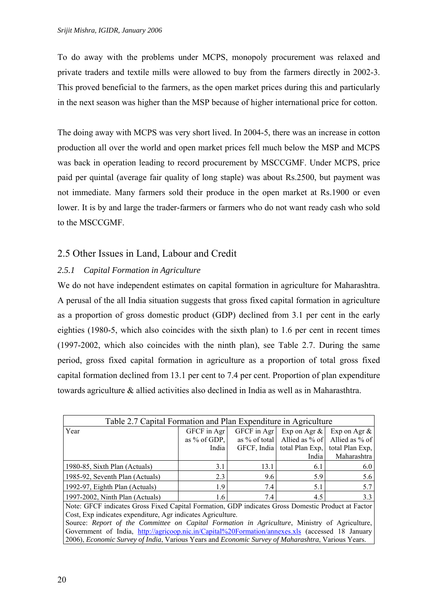To do away with the problems under MCPS, monopoly procurement was relaxed and private traders and textile mills were allowed to buy from the farmers directly in 2002-3. This proved beneficial to the farmers, as the open market prices during this and particularly in the next season was higher than the MSP because of higher international price for cotton.

The doing away with MCPS was very short lived. In 2004-5, there was an increase in cotton production all over the world and open market prices fell much below the MSP and MCPS was back in operation leading to record procurement by MSCCGMF. Under MCPS, price paid per quintal (average fair quality of long staple) was about Rs.2500, but payment was not immediate. Many farmers sold their produce in the open market at Rs.1900 or even lower. It is by and large the trader-farmers or farmers who do not want ready cash who sold to the MSCCGMF.

## 2.5 Other Issues in Land, Labour and Credit

### *2.5.1 Capital Formation in Agriculture*

We do not have independent estimates on capital formation in agriculture for Maharashtra. A perusal of the all India situation suggests that gross fixed capital formation in agriculture as a proportion of gross domestic product (GDP) declined from 3.1 per cent in the early eighties (1980-5, which also coincides with the sixth plan) to 1.6 per cent in recent times (1997-2002, which also coincides with the ninth plan), see Table 2.7. During the same period, gross fixed capital formation in agriculture as a proportion of total gross fixed capital formation declined from 13.1 per cent to 7.4 per cent. Proportion of plan expenditure towards agriculture & allied activities also declined in India as well as in Maharasthtra.

| Table 2.7 Capital Formation and Plan Expenditure in Agriculture |                |                                                |                             |                                             |  |  |  |
|-----------------------------------------------------------------|----------------|------------------------------------------------|-----------------------------|---------------------------------------------|--|--|--|
| Year                                                            | GFCF in Agr    | GFCF in Agr<br>Exp on Agr $\&$ Exp on Agr $\&$ |                             |                                             |  |  |  |
|                                                                 | as $%$ of GDP. |                                                |                             | as % of total Allied as % of Allied as % of |  |  |  |
|                                                                 | India          |                                                | GFCF, India total Plan Exp. | total Plan Exp.                             |  |  |  |
|                                                                 |                |                                                | India                       | Maharashtra                                 |  |  |  |
| 1980-85, Sixth Plan (Actuals)                                   | 3.1            | 13.1                                           | 6.1                         | 6.0                                         |  |  |  |
| 1985-92, Seventh Plan (Actuals)                                 | 2.3            | 9.6                                            | 5.9                         | 5.6                                         |  |  |  |
| 1992-97, Eighth Plan (Actuals)                                  | 1.9            | 7.4                                            | 5.1                         | 5.7                                         |  |  |  |
| 1997-2002, Ninth Plan (Actuals)                                 | 1.6            | 7.4                                            | 4.5                         | 3.3                                         |  |  |  |

Note: GFCF indicates Gross Fixed Capital Formation, GDP indicates Gross Domestic Product at Factor Cost, Exp indicates expenditure, Agr indicates Agriculture.

Source: *Report of the Committee on Capital Formation in Agriculture*, Ministry of Agriculture, Government of India, [http://agricoop.nic.in/Capital%20Formation/annexes.xls](http://agricoop.nic.in/Capital Formation/annexes.xls) (accessed 18 January 2006), *Economic Survey of India*, Various Years and *Economic Survey of Maharashtra*, Various Years.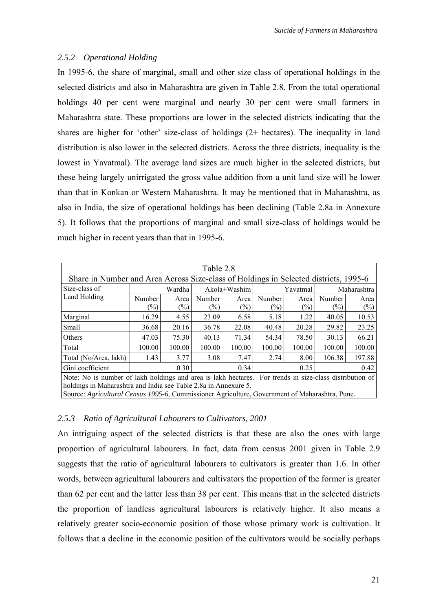#### *2.5.2 Operational Holding*

In 1995-6, the share of marginal, small and other size class of operational holdings in the selected districts and also in Maharashtra are given in Table 2.8. From the total operational holdings 40 per cent were marginal and nearly 30 per cent were small farmers in Maharashtra state. These proportions are lower in the selected districts indicating that the shares are higher for 'other' size-class of holdings (2+ hectares). The inequality in land distribution is also lower in the selected districts. Across the three districts, inequality is the lowest in Yavatmal). The average land sizes are much higher in the selected districts, but these being largely unirrigated the gross value addition from a unit land size will be lower than that in Konkan or Western Maharashtra. It may be mentioned that in Maharashtra, as also in India, the size of operational holdings has been declining (Table 2.8a in Annexure 5). It follows that the proportions of marginal and small size-class of holdings would be much higher in recent years than that in 1995-6.

| Table 2.8                                                                                               |        |        |                            |                |          |        |        |             |
|---------------------------------------------------------------------------------------------------------|--------|--------|----------------------------|----------------|----------|--------|--------|-------------|
| Share in Number and Area Across Size-class of Holdings in Selected districts, 1995-6                    |        |        |                            |                |          |        |        |             |
| Size-class of                                                                                           |        | Wardha | Akola+Washim               |                | Yavatmal |        |        | Maharashtra |
| Land Holding                                                                                            | Number | Area   | Number                     | Area           | Number   | Area   | Number | Area        |
|                                                                                                         | $(\%)$ | $(\%)$ | $\left(\frac{0}{0}\right)$ | $\binom{0}{0}$ | $(\%)$   | $(\%)$ | $(\%)$ | $(\%)$      |
| Marginal                                                                                                | 16.29  | 4.55   | 23.09                      | 6.58           | 5.18     | 1.22   | 40.05  | 10.53       |
| Small                                                                                                   | 36.68  | 20.16  | 36.78                      | 22.08          | 40.48    | 20.28  | 29.82  | 23.25       |
| Others                                                                                                  | 47.03  | 75.30  | 40.13                      | 71.34          | 54.34    | 78.50  | 30.13  | 66.21       |
| Total                                                                                                   | 100.00 | 100.00 | 100.00                     | 100.00         | 100.00   | 100.00 | 100.00 | 100.00      |
| Total (No/Area, lakh)                                                                                   | 1.43   | 3.77   | 3.08                       | 7.47           | 2.74     | 8.00   | 106.38 | 197.88      |
| Gini coefficient<br>0.30<br>0.34<br>0.42<br>0.25                                                        |        |        |                            |                |          |        |        |             |
| Note: No is number of lakh holdings and area is lakh hectares. For trends in size-class distribution of |        |        |                            |                |          |        |        |             |
| holdings in Maharashtra and India see Table 2.8a in Annexure 5.                                         |        |        |                            |                |          |        |        |             |
| Source: Agricultural Census 1995-6, Commissioner Agriculture, Government of Maharashtra, Pune.          |        |        |                            |                |          |        |        |             |

### *2.5.3 Ratio of Agricultural Labourers to Cultivators, 2001*

An intriguing aspect of the selected districts is that these are also the ones with large proportion of agricultural labourers. In fact, data from census 2001 given in Table 2.9 suggests that the ratio of agricultural labourers to cultivators is greater than 1.6. In other words, between agricultural labourers and cultivators the proportion of the former is greater than 62 per cent and the latter less than 38 per cent. This means that in the selected districts the proportion of landless agricultural labourers is relatively higher. It also means a relatively greater socio-economic position of those whose primary work is cultivation. It follows that a decline in the economic position of the cultivators would be socially perhaps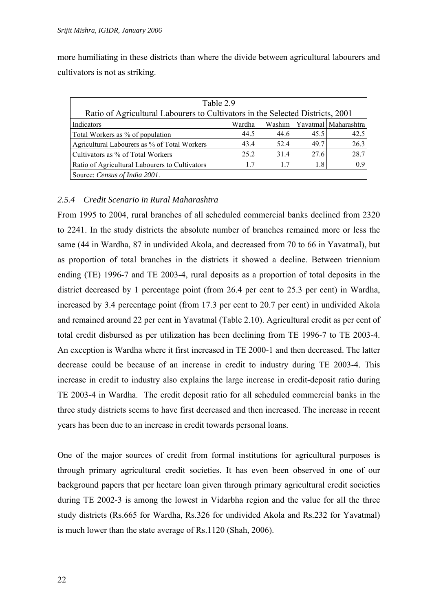more humiliating in these districts than where the divide between agricultural labourers and cultivators is not as striking.

| Table 2.9<br>Ratio of Agricultural Labourers to Cultivators in the Selected Districts, 2001 |        |        |      |                      |  |  |  |
|---------------------------------------------------------------------------------------------|--------|--------|------|----------------------|--|--|--|
| Indicators                                                                                  | Wardha | Washim |      | Yavatmal Maharashtra |  |  |  |
| Total Workers as % of population                                                            | 44.5   | 44.6   | 45.5 | 42.5                 |  |  |  |
| Agricultural Labourers as % of Total Workers                                                | 43.4   | 52.4   | 49.7 | 26.3                 |  |  |  |
| Cultivators as % of Total Workers                                                           | 25.2   | 31.4   | 27.6 | 28.7                 |  |  |  |
| Ratio of Agricultural Labourers to Cultivators                                              | 17     | 1.7    | 1.8  | 0.9                  |  |  |  |
| Source: Census of India 2001.                                                               |        |        |      |                      |  |  |  |

#### *2.5.4 Credit Scenario in Rural Maharashtra*

From 1995 to 2004, rural branches of all scheduled commercial banks declined from 2320 to 2241. In the study districts the absolute number of branches remained more or less the same (44 in Wardha, 87 in undivided Akola, and decreased from 70 to 66 in Yavatmal), but as proportion of total branches in the districts it showed a decline. Between triennium ending (TE) 1996-7 and TE 2003-4, rural deposits as a proportion of total deposits in the district decreased by 1 percentage point (from 26.4 per cent to 25.3 per cent) in Wardha, increased by 3.4 percentage point (from 17.3 per cent to 20.7 per cent) in undivided Akola and remained around 22 per cent in Yavatmal (Table 2.10). Agricultural credit as per cent of total credit disbursed as per utilization has been declining from TE 1996-7 to TE 2003-4. An exception is Wardha where it first increased in TE 2000-1 and then decreased. The latter decrease could be because of an increase in credit to industry during TE 2003-4. This increase in credit to industry also explains the large increase in credit-deposit ratio during TE 2003-4 in Wardha. The credit deposit ratio for all scheduled commercial banks in the three study districts seems to have first decreased and then increased. The increase in recent years has been due to an increase in credit towards personal loans.

One of the major sources of credit from formal institutions for agricultural purposes is through primary agricultural credit societies. It has even been observed in one of our background papers that per hectare loan given through primary agricultural credit societies during TE 2002-3 is among the lowest in Vidarbha region and the value for all the three study districts (Rs.665 for Wardha, Rs.326 for undivided Akola and Rs.232 for Yavatmal) is much lower than the state average of Rs.1120 (Shah, 2006).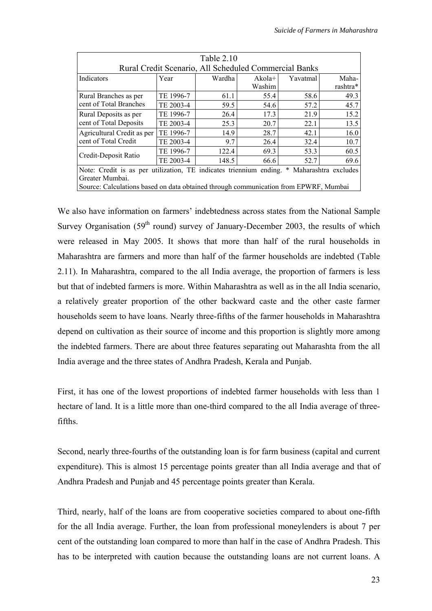| Table 2.10                                                                                                              |           |        |                    |          |                   |  |
|-------------------------------------------------------------------------------------------------------------------------|-----------|--------|--------------------|----------|-------------------|--|
| Rural Credit Scenario, All Scheduled Commercial Banks                                                                   |           |        |                    |          |                   |  |
| Indicators                                                                                                              | Year      | Wardha | $Akola+$<br>Washim | Yavatmal | Maha-<br>rashtra* |  |
| Rural Branches as per                                                                                                   | TE 1996-7 | 61.1   | 55.4               | 58.6     | 49.3              |  |
| cent of Total Branches                                                                                                  | TE 2003-4 | 59.5   | 54.6               | 57.2     | 45.7              |  |
| Rural Deposits as per                                                                                                   | TE 1996-7 | 26.4   | 17.3               | 21.9     | 15.2              |  |
| cent of Total Deposits                                                                                                  | TE 2003-4 | 25.3   | 20.7               | 22.1     | 13.5              |  |
| Agricultural Credit as per                                                                                              | TE 1996-7 | 14.9   | 28.7               | 42.1     | 16.0              |  |
| cent of Total Credit                                                                                                    | TE 2003-4 | 9.7    | 26.4               | 32.4     | 10.7              |  |
| Credit-Deposit Ratio                                                                                                    | TE 1996-7 | 122.4  | 69.3               | 53.3     | 60.5              |  |
|                                                                                                                         | TE 2003-4 | 148.5  | 66.6               | 52.7     | 69.6              |  |
| Note: Credit is as per utilization, TE indicates triennium ending.<br>$\ast$<br>Maharashtra excludes<br>Greater Mumbai. |           |        |                    |          |                   |  |
| Source: Calculations based on data obtained through communication from EPWRF, Mumbai                                    |           |        |                    |          |                   |  |

We also have information on farmers' indebtedness across states from the National Sample Survey Organisation ( $59<sup>th</sup>$  round) survey of January-December 2003, the results of which were released in May 2005. It shows that more than half of the rural households in Maharashtra are farmers and more than half of the farmer households are indebted (Table 2.11). In Maharashtra, compared to the all India average, the proportion of farmers is less but that of indebted farmers is more. Within Maharashtra as well as in the all India scenario, a relatively greater proportion of the other backward caste and the other caste farmer households seem to have loans. Nearly three-fifths of the farmer households in Maharashtra depend on cultivation as their source of income and this proportion is slightly more among the indebted farmers. There are about three features separating out Maharashta from the all India average and the three states of Andhra Pradesh, Kerala and Punjab.

First, it has one of the lowest proportions of indebted farmer households with less than 1 hectare of land. It is a little more than one-third compared to the all India average of threefifths.

Second, nearly three-fourths of the outstanding loan is for farm business (capital and current expenditure). This is almost 15 percentage points greater than all India average and that of Andhra Pradesh and Punjab and 45 percentage points greater than Kerala.

Third, nearly, half of the loans are from cooperative societies compared to about one-fifth for the all India average. Further, the loan from professional moneylenders is about 7 per cent of the outstanding loan compared to more than half in the case of Andhra Pradesh. This has to be interpreted with caution because the outstanding loans are not current loans. A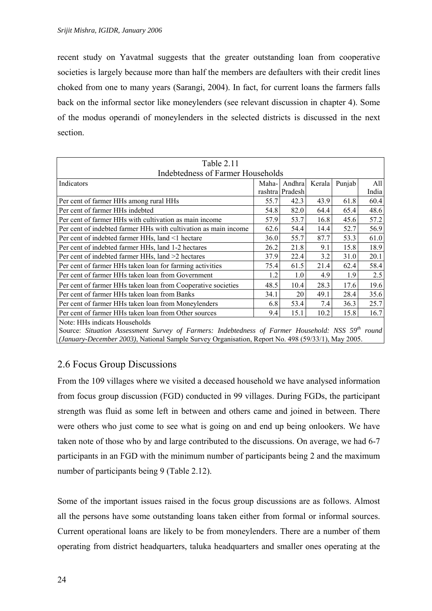recent study on Yavatmal suggests that the greater outstanding loan from cooperative societies is largely because more than half the members are defaulters with their credit lines choked from one to many years (Sarangi, 2004). In fact, for current loans the farmers falls back on the informal sector like moneylenders (see relevant discussion in chapter 4). Some of the modus operandi of moneylenders in the selected districts is discussed in the next section.

| Table 2.11                                                                                        |        |                 |        |        |       |  |  |  |
|---------------------------------------------------------------------------------------------------|--------|-----------------|--------|--------|-------|--|--|--|
| Indebtedness of Farmer Households                                                                 |        |                 |        |        |       |  |  |  |
| Indicators                                                                                        | Maha-1 | Andhra          | Kerala | Punjab | All   |  |  |  |
|                                                                                                   |        | rashtra Pradesh |        |        | India |  |  |  |
| Per cent of farmer HHs among rural HHs                                                            | 55.7   | 42.3            | 43.9   | 61.8   | 60.4  |  |  |  |
| Per cent of farmer HHs indebted                                                                   | 54.8   | 82.0            | 64.4   | 65.4   | 48.6  |  |  |  |
| Per cent of farmer HHs with cultivation as main income                                            | 57.9   | 53.7            | 16.8   | 45.6   | 57.2  |  |  |  |
| Per cent of indebted farmer HHs with cultivation as main income                                   | 62.6   | 54.4            | 14.4   | 52.7   | 56.9  |  |  |  |
| Per cent of indebted farmer HHs, land <1 hectare                                                  | 36.0   | 55.7            | 87.7   | 53.3   | 61.0  |  |  |  |
| Per cent of indebted farmer HHs, land 1-2 hectares                                                | 26.2   | 21.8            | 9.1    | 15.8   | 18.9  |  |  |  |
| Per cent of indebted farmer HHs, land >2 hectares                                                 | 37.9   | 22.4            | 3.2    | 31.0   | 20.1  |  |  |  |
| Per cent of farmer HHs taken loan for farming activities                                          | 75.4   | 61.5            | 21.4   | 62.4   | 58.4  |  |  |  |
| Per cent of farmer HHs taken loan from Government                                                 | 1.2    | 1.0             | 4.9    | 1.9    | 2.5   |  |  |  |
| Per cent of farmer HHs taken loan from Cooperative societies                                      | 48.5   | 10.4            | 28.3   | 17.6   | 19.6  |  |  |  |
| Per cent of farmer HHs taken loan from Banks                                                      | 34.1   | 20              | 49.1   | 28.4   | 35.6  |  |  |  |
| Per cent of farmer HHs taken loan from Moneylenders                                               | 6.8    | 53.4            | 7.4    | 36.3   | 25.7  |  |  |  |
| Per cent of farmer HHs taken loan from Other sources                                              | 9.4    | 15.1            | 10.2   | 15.8   | 16.7  |  |  |  |
| Note: HHs indicats Households                                                                     |        |                 |        |        |       |  |  |  |
| Source: City ation Agazoniant Comers of Formance Indektedngs of Forman Household, NCC 50th normal |        |                 |        |        |       |  |  |  |

Source: *Situation Assessment Survey of Farmers: Indebtedness of Farmer Household: NSS 59<sup>th</sup> round (January-December 2003)*, National Sample Survey Organisation, Report No. 498 (59/33/1), May 2005.

## 2.6 Focus Group Discussions

From the 109 villages where we visited a deceased household we have analysed information from focus group discussion (FGD) conducted in 99 villages. During FGDs, the participant strength was fluid as some left in between and others came and joined in between. There were others who just come to see what is going on and end up being onlookers. We have taken note of those who by and large contributed to the discussions. On average, we had 6-7 participants in an FGD with the minimum number of participants being 2 and the maximum number of participants being 9 (Table 2.12).

Some of the important issues raised in the focus group discussions are as follows. Almost all the persons have some outstanding loans taken either from formal or informal sources. Current operational loans are likely to be from moneylenders. There are a number of them operating from district headquarters, taluka headquarters and smaller ones operating at the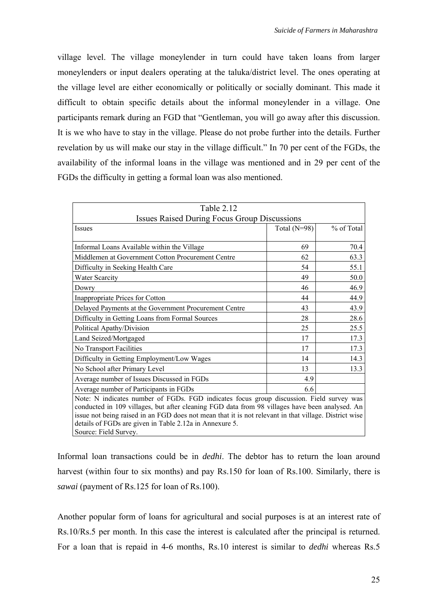village level. The village moneylender in turn could have taken loans from larger moneylenders or input dealers operating at the taluka/district level. The ones operating at the village level are either economically or politically or socially dominant. This made it difficult to obtain specific details about the informal moneylender in a village. One participants remark during an FGD that "Gentleman, you will go away after this discussion. It is we who have to stay in the village. Please do not probe further into the details. Further revelation by us will make our stay in the village difficult." In 70 per cent of the FGDs, the availability of the informal loans in the village was mentioned and in 29 per cent of the FGDs the difficulty in getting a formal loan was also mentioned.

| Table 2.12                                                                                            |                |            |  |  |  |  |
|-------------------------------------------------------------------------------------------------------|----------------|------------|--|--|--|--|
| <b>Issues Raised During Focus Group Discussions</b>                                                   |                |            |  |  |  |  |
| Issues                                                                                                | Total $(N=98)$ | % of Total |  |  |  |  |
|                                                                                                       |                |            |  |  |  |  |
| Informal Loans Available within the Village                                                           | 69             | 70.4       |  |  |  |  |
| Middlemen at Government Cotton Procurement Centre                                                     | 62             | 63.3       |  |  |  |  |
| Difficulty in Seeking Health Care                                                                     | 54             | 55.1       |  |  |  |  |
| <b>Water Scarcity</b>                                                                                 | 49             | 50.0       |  |  |  |  |
| Dowry                                                                                                 | 46             | 46.9       |  |  |  |  |
| Inappropriate Prices for Cotton                                                                       | 44             | 44.9       |  |  |  |  |
| Delayed Payments at the Government Procurement Centre                                                 | 43             | 43.9       |  |  |  |  |
| Difficulty in Getting Loans from Formal Sources                                                       | 28             | 28.6       |  |  |  |  |
| Political Apathy/Division                                                                             | 25             | 25.5       |  |  |  |  |
| Land Seized/Mortgaged                                                                                 | 17             | 17.3       |  |  |  |  |
| No Transport Facilities                                                                               | 17             | 17.3       |  |  |  |  |
| Difficulty in Getting Employment/Low Wages                                                            | 14             | 14.3       |  |  |  |  |
| No School after Primary Level                                                                         | 13             | 13.3       |  |  |  |  |
| Average number of Issues Discussed in FGDs                                                            | 4.9            |            |  |  |  |  |
| Average number of Participants in FGDs<br>6.6                                                         |                |            |  |  |  |  |
| Note: N indicates number of FGDs. FGD indicates focus group discussion. Field survey was              |                |            |  |  |  |  |
| conducted in 109 villages, but after cleaning FGD data from 98 villages have been analysed. An        |                |            |  |  |  |  |
| issue not being raised in an FGD does not mean that it is not relevant in that village. District wise |                |            |  |  |  |  |
| details of FGDs are given in Table 2.12a in Annexure 5.                                               |                |            |  |  |  |  |
| Source: Field Survey.                                                                                 |                |            |  |  |  |  |

Informal loan transactions could be in *dedhi*. The debtor has to return the loan around harvest (within four to six months) and pay Rs.150 for loan of Rs.100. Similarly, there is *sawai* (payment of Rs.125 for loan of Rs.100).

Another popular form of loans for agricultural and social purposes is at an interest rate of Rs.10/Rs.5 per month. In this case the interest is calculated after the principal is returned. For a loan that is repaid in 4-6 months, Rs.10 interest is similar to *dedhi* whereas Rs.5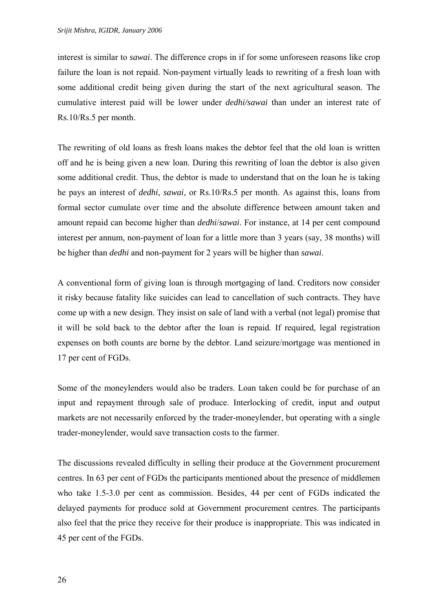interest is similar to *sawai*. The difference crops in if for some unforeseen reasons like crop failure the loan is not repaid. Non-payment virtually leads to rewriting of a fresh loan with some additional credit being given during the start of the next agricultural season. The cumulative interest paid will be lower under *dedhi/sawai* than under an interest rate of Rs.10/Rs.5 per month.

The rewriting of old loans as fresh loans makes the debtor feel that the old loan is written off and he is being given a new loan. During this rewriting of loan the debtor is also given some additional credit. Thus, the debtor is made to understand that on the loan he is taking he pays an interest of *dedhi*, *sawai*, or Rs.10/Rs.5 per month. As against this, loans from formal sector cumulate over time and the absolute difference between amount taken and amount repaid can become higher than *dedhi*/*sawai*. For instance, at 14 per cent compound interest per annum, non-payment of loan for a little more than 3 years (say, 38 months) will be higher than *dedhi* and non-payment for 2 years will be higher than *sawai*.

A conventional form of giving loan is through mortgaging of land. Creditors now consider it risky because fatality like suicides can lead to cancellation of such contracts. They have come up with a new design. They insist on sale of land with a verbal (not legal) promise that it will be sold back to the debtor after the loan is repaid. If required, legal registration expenses on both counts are borne by the debtor. Land seizure/mortgage was mentioned in 17 per cent of FGDs.

Some of the moneylenders would also be traders. Loan taken could be for purchase of an input and repayment through sale of produce. Interlocking of credit, input and output markets are not necessarily enforced by the trader-moneylender, but operating with a single trader-moneylender, would save transaction costs to the farmer.

The discussions revealed difficulty in selling their produce at the Government procurement centres. In 63 per cent of FGDs the participants mentioned about the presence of middlemen who take 1.5-3.0 per cent as commission. Besides, 44 per cent of FGDs indicated the delayed payments for produce sold at Government procurement centres. The participants also feel that the price they receive for their produce is inappropriate. This was indicated in 45 per cent of the FGDs.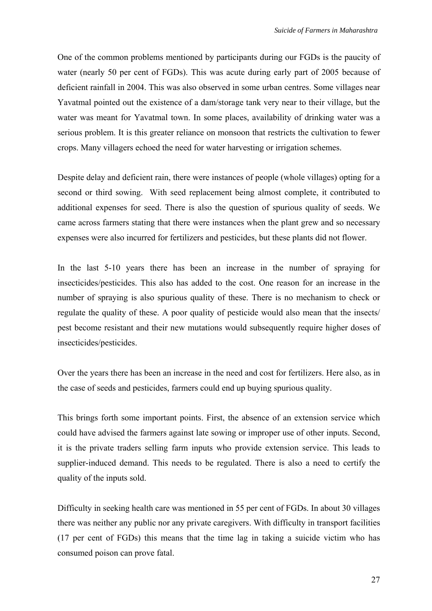One of the common problems mentioned by participants during our FGDs is the paucity of water (nearly 50 per cent of FGDs). This was acute during early part of 2005 because of deficient rainfall in 2004. This was also observed in some urban centres. Some villages near Yavatmal pointed out the existence of a dam/storage tank very near to their village, but the water was meant for Yavatmal town. In some places, availability of drinking water was a serious problem. It is this greater reliance on monsoon that restricts the cultivation to fewer crops. Many villagers echoed the need for water harvesting or irrigation schemes.

Despite delay and deficient rain, there were instances of people (whole villages) opting for a second or third sowing. With seed replacement being almost complete, it contributed to additional expenses for seed. There is also the question of spurious quality of seeds. We came across farmers stating that there were instances when the plant grew and so necessary expenses were also incurred for fertilizers and pesticides, but these plants did not flower.

In the last 5-10 years there has been an increase in the number of spraying for insecticides/pesticides. This also has added to the cost. One reason for an increase in the number of spraying is also spurious quality of these. There is no mechanism to check or regulate the quality of these. A poor quality of pesticide would also mean that the insects/ pest become resistant and their new mutations would subsequently require higher doses of insecticides/pesticides.

Over the years there has been an increase in the need and cost for fertilizers. Here also, as in the case of seeds and pesticides, farmers could end up buying spurious quality.

This brings forth some important points. First, the absence of an extension service which could have advised the farmers against late sowing or improper use of other inputs. Second, it is the private traders selling farm inputs who provide extension service. This leads to supplier-induced demand. This needs to be regulated. There is also a need to certify the quality of the inputs sold.

Difficulty in seeking health care was mentioned in 55 per cent of FGDs. In about 30 villages there was neither any public nor any private caregivers. With difficulty in transport facilities (17 per cent of FGDs) this means that the time lag in taking a suicide victim who has consumed poison can prove fatal.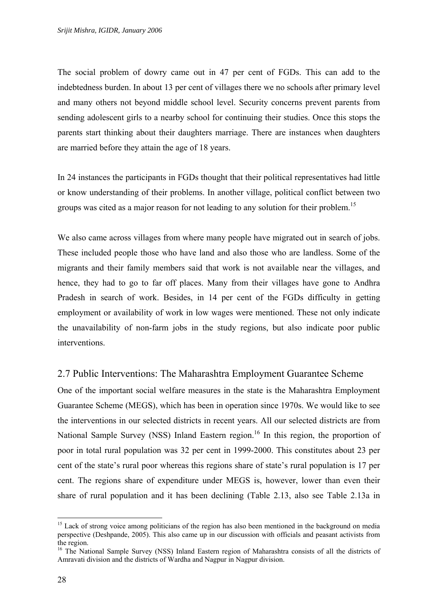The social problem of dowry came out in 47 per cent of FGDs. This can add to the indebtedness burden. In about 13 per cent of villages there we no schools after primary level and many others not beyond middle school level. Security concerns prevent parents from sending adolescent girls to a nearby school for continuing their studies. Once this stops the parents start thinking about their daughters marriage. There are instances when daughters are married before they attain the age of 18 years.

In 24 instances the participants in FGDs thought that their political representatives had little or know understanding of their problems. In another village, political conflict between two groups was cited as a major reason for not leading to any solution for their problem. [15](#page-35-0) 

We also came across villages from where many people have migrated out in search of jobs. These included people those who have land and also those who are landless. Some of the migrants and their family members said that work is not available near the villages, and hence, they had to go to far off places. Many from their villages have gone to Andhra Pradesh in search of work. Besides, in 14 per cent of the FGDs difficulty in getting employment or availability of work in low wages were mentioned. These not only indicate the unavailability of non-farm jobs in the study regions, but also indicate poor public interventions.

#### 2.7 Public Interventions: The Maharashtra Employment Guarantee Scheme

One of the important social welfare measures in the state is the Maharashtra Employment Guarantee Scheme (MEGS), which has been in operation since 1970s. We would like to see the interventions in our selected districts in recent years. All our selected districts are from National Sample Survey (NSS) Inland Eastern region.<sup>16</sup> In this region, the proportion of poor in total rural population was 32 per cent in 1999-2000. This constitutes about 23 per cent of the state's rural poor whereas this regions share of state's rural population is 17 per cent. The regions share of expenditure under MEGS is, however, lower than even their share of rural population and it has been declining (Table 2.13, also see Table 2.13a in

<span id="page-35-0"></span><sup>&</sup>lt;sup>15</sup> Lack of strong voice among politicians of the region has also been mentioned in the background on media perspective (Deshpande, 2005). This also came up in our discussion with officials and peasant activists from the region.<br><sup>16</sup> The National Sample Survey (NSS) Inland Eastern region of Maharashtra consists of all the districts of

<span id="page-35-1"></span>Amravati division and the districts of Wardha and Nagpur in Nagpur division.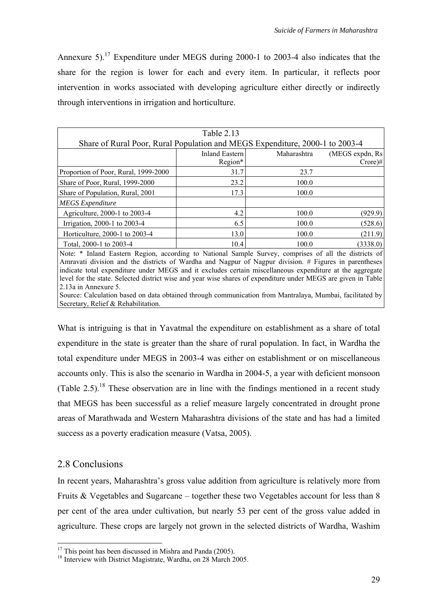Annexure 5)[.17](#page-36-0) Expenditure under MEGS during 2000-1 to 2003-4 also indicates that the share for the region is lower for each and every item. In particular, it reflects poor intervention in works associated with developing agriculture either directly or indirectly through interventions in irrigation and horticulture.

|                                                                                                      | Table 2.13                       |             |                                          |
|------------------------------------------------------------------------------------------------------|----------------------------------|-------------|------------------------------------------|
| Share of Rural Poor, Rural Population and MEGS Expenditure, 2000-1 to 2003-4                         |                                  |             |                                          |
|                                                                                                      | <b>Inland Eastern</b><br>Region* | Maharashtra | (MEGS expdn, Rs)<br>$Crore$ <sup>#</sup> |
| Proportion of Poor, Rural, 1999-2000                                                                 | 31.7                             | 23.7        |                                          |
| Share of Poor, Rural, 1999-2000                                                                      | 23.2                             | 100.0       |                                          |
| Share of Population, Rural, 2001                                                                     | 17.3                             | 100.0       |                                          |
| <b>MEGS</b> Expenditure                                                                              |                                  |             |                                          |
| Agriculture, 2000-1 to 2003-4                                                                        | 4.2                              | 100.0       | (929.9)                                  |
| Irrigation, 2000-1 to 2003-4                                                                         | 6.5                              | 100.0       | (528.6)                                  |
| Horticulture, 2000-1 to 2003-4                                                                       | 13.0                             | 100.0       | (211.9)                                  |
| Total, 2000-1 to 2003-4                                                                              | 10.4                             | 100.0       | (3338.0)                                 |
| Note: * Inland Eastern Degion, according to National Sample Survey comprises of all the districts of |                                  |             |                                          |

Inland Eastern Region, according to National Sample Survey, comprises of all the districts of Amravati division and the districts of Wardha and Nagpur of Nagpur division. # Figures in parentheses indicate total expenditure under MEGS and it excludes certain miscellaneous expenditure at the aggregate level for the state. Selected district wise and year wise shares of expenditure under MEGS are given in Table 2.13a in Annexure 5.

Source: Calculation based on data obtained through communication from Mantralaya, Mumbai, facilitated by Secretary, Relief & Rehabilitation.

What is intriguing is that in Yavatmal the expenditure on establishment as a share of total expenditure in the state is greater than the share of rural population. In fact, in Wardha the total expenditure under MEGS in 2003-4 was either on establishment or on miscellaneous accounts only. This is also the scenario in Wardha in 2004-5, a year with deficient monsoon (Table 2.5).<sup>18</sup> These observation are in line with the findings mentioned in a recent study that MEGS has been successful as a relief measure largely concentrated in drought prone areas of Marathwada and Western Maharashtra divisions of the state and has had a limited success as a poverty eradication measure (Vatsa, 2005).

# 2.8 Conclusions

In recent years, Maharashtra's gross value addition from agriculture is relatively more from Fruits & Vegetables and Sugarcane – together these two Vegetables account for less than 8 per cent of the area under cultivation, but nearly 53 per cent of the gross value added in agriculture. These crops are largely not grown in the selected districts of Wardha, Washim

<span id="page-36-1"></span><span id="page-36-0"></span>

<sup>&</sup>lt;sup>17</sup> This point has been discussed in Mishra and Panda (2005).<br><sup>18</sup> Interview with District Magistrate, Wardha, on 28 March 2005.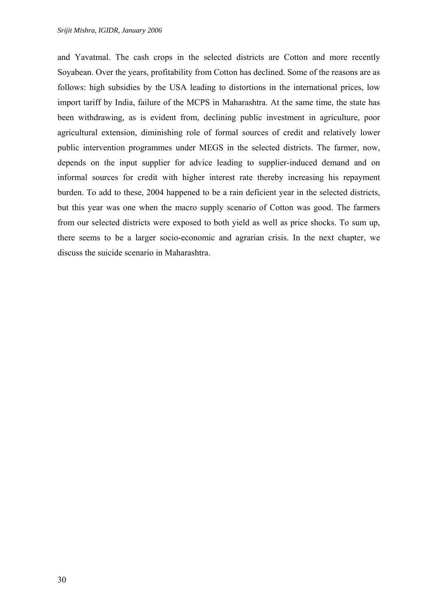and Yavatmal. The cash crops in the selected districts are Cotton and more recently Soyabean. Over the years, profitability from Cotton has declined. Some of the reasons are as follows: high subsidies by the USA leading to distortions in the international prices, low import tariff by India, failure of the MCPS in Maharashtra. At the same time, the state has been withdrawing, as is evident from, declining public investment in agriculture, poor agricultural extension, diminishing role of formal sources of credit and relatively lower public intervention programmes under MEGS in the selected districts. The farmer, now, depends on the input supplier for advice leading to supplier-induced demand and on informal sources for credit with higher interest rate thereby increasing his repayment burden. To add to these, 2004 happened to be a rain deficient year in the selected districts, but this year was one when the macro supply scenario of Cotton was good. The farmers from our selected districts were exposed to both yield as well as price shocks. To sum up, there seems to be a larger socio-economic and agrarian crisis. In the next chapter, we discuss the suicide scenario in Maharashtra.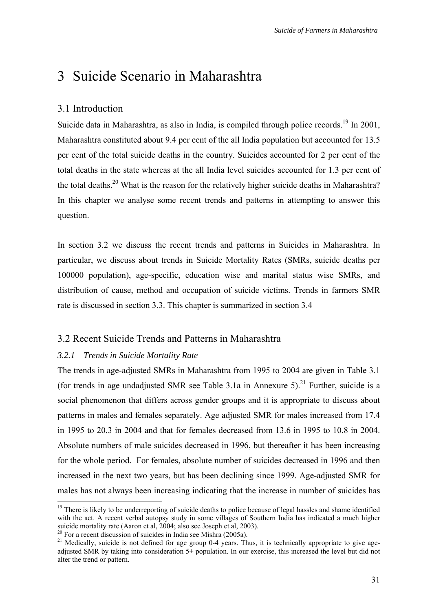# 3 Suicide Scenario in Maharashtra

## 3.1 Introduction

Suicide data in Maharashtra, as also in India, is compiled through police records.<sup>19</sup> In 2001, Maharashtra constituted about 9.4 per cent of the all India population but accounted for 13.5 per cent of the total suicide deaths in the country. Suicides accounted for 2 per cent of the total deaths in the state whereas at the all India level suicides accounted for 1.3 per cent of the total deaths.<sup>20</sup> What is the reason for the relatively higher suicide deaths in Maharashtra? In this chapter we analyse some recent trends and patterns in attempting to answer this question.

In section 3.2 we discuss the recent trends and patterns in Suicides in Maharashtra. In particular, we discuss about trends in Suicide Mortality Rates (SMRs, suicide deaths per 100000 population), age-specific, education wise and marital status wise SMRs, and distribution of cause, method and occupation of suicide victims. Trends in farmers SMR rate is discussed in section 3.3. This chapter is summarized in section 3.4

#### 3.2 Recent Suicide Trends and Patterns in Maharashtra

#### *3.2.1 Trends in Suicide Mortality Rate*

The trends in age-adjusted SMRs in Maharashtra from 1995 to 2004 are given in Table 3.1 (for trends in age undadjusted SMR see Table 3.1a in Annexure 5).<sup>21</sup> Further, suicide is a social phenomenon that differs across gender groups and it is appropriate to discuss about patterns in males and females separately. Age adjusted SMR for males increased from 17.4 in 1995 to 20.3 in 2004 and that for females decreased from 13.6 in 1995 to 10.8 in 2004. Absolute numbers of male suicides decreased in 1996, but thereafter it has been increasing for the whole period. For females, absolute number of suicides decreased in 1996 and then increased in the next two years, but has been declining since 1999. Age-adjusted SMR for males has not always been increasing indicating that the increase in number of suicides has

<span id="page-38-0"></span><sup>&</sup>lt;sup>19</sup> There is likely to be underreporting of suicide deaths to police because of legal hassles and shame identified with the act. A recent verbal autopsy study in some villages of Southern India has indicated a much higher suicide mortality rate (Aaron et al, 2004; also see Joseph et al, 2003).

<span id="page-38-2"></span><span id="page-38-1"></span>

 $^{20}$  For a recent discussion of suicides in India see Mishra (2005a).<br><sup>21</sup> Medically, suicide is not defined for age group 0-4 years. Thus, it is technically appropriate to give ageadjusted SMR by taking into consideration 5+ population. In our exercise, this increased the level but did not alter the trend or pattern.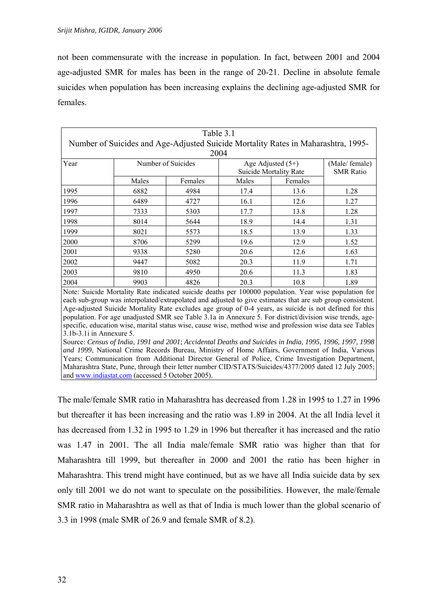not been commensurate with the increase in population. In fact, between 2001 and 2004 age-adjusted SMR for males has been in the range of 20-21. Decline in absolute female suicides when population has been increasing explains the declining age-adjusted SMR for females.

| Table 3.1                                                                         |       |                    |       |                               |                  |  |  |
|-----------------------------------------------------------------------------------|-------|--------------------|-------|-------------------------------|------------------|--|--|
| Number of Suicides and Age-Adjusted Suicide Mortality Rates in Maharashtra, 1995– |       |                    |       |                               |                  |  |  |
|                                                                                   | 2004  |                    |       |                               |                  |  |  |
| Year                                                                              |       | Number of Suicides |       | Age Adjusted $(5+)$           | (Male/female)    |  |  |
|                                                                                   |       |                    |       | <b>Suicide Mortality Rate</b> | <b>SMR</b> Ratio |  |  |
|                                                                                   | Males | Females            | Males | Females                       |                  |  |  |
| 1995                                                                              | 6882  | 4984               | 17.4  | 13.6                          | 1.28             |  |  |
| 1996                                                                              | 6489  | 4727               | 16.1  | 12.6                          | 1.27             |  |  |
| 1997                                                                              | 7333  | 5303               | 17.7  | 13.8                          | 1.28             |  |  |
| 1998                                                                              | 8014  | 5644               | 18.9  | 14.4                          | 1.31             |  |  |
| 1999                                                                              | 8021  | 5573               | 18.5  | 13.9                          | 1.33             |  |  |
| 2000                                                                              | 8706  | 5299               | 19.6  | 12.9                          | 1.52             |  |  |
| 2001                                                                              | 9338  | 5280               | 20.6  | 12.6                          | 1.63             |  |  |
| 2002                                                                              | 9447  | 5082               | 20.3  | 11.9                          | 1.71             |  |  |
| 2003                                                                              | 9810  | 4950               | 20.6  | 11.3                          | 1.83             |  |  |
| 2004                                                                              | 9903  | 4826               | 20.3  | 10.8                          | 1.89             |  |  |

Note: Suicide Mortality Rate indicated suicide deaths per 100000 population. Year wise population for each sub-group was interpolated/extrapolated and adjusted to give estimates that are sub group consistent. Age-adjusted Suicide Mortality Rate excludes age group of 0-4 years, as suicide is not defined for this population. For age unadjusted SMR see Table 3.1a in Annexure 5. For district/division wise trends, agespecific, education wise, marital status wise, cause wise, method wise and profession wise data see Tables 3.1b-3.1i in Annexure 5.

Source: *Census of India*, *1991 and 2001*; *Accidental Deaths and Suicides in India*, *1995, 1996, 1997, 1998 and 1999*, National Crime Records Bureau, Ministry of Home Affairs, Government of India, Various Years; Communication from Additional Director General of Police, Crime Investigation Department, Maharashtra State, Pune, through their letter number CID/STATS/Suicides/4377/2005 dated 12 July 2005; and [www.indiastat.com](http://www.indiastat.com/) (accessed 5 October 2005).

The male/female SMR ratio in Maharashtra has decreased from 1.28 in 1995 to 1.27 in 1996 but thereafter it has been increasing and the ratio was 1.89 in 2004. At the all India level it has decreased from 1.32 in 1995 to 1.29 in 1996 but thereafter it has increased and the ratio was 1.47 in 2001. The all India male/female SMR ratio was higher than that for Maharashtra till 1999, but thereafter in 2000 and 2001 the ratio has been higher in Maharashtra. This trend might have continued, but as we have all India suicide data by sex only till 2001 we do not want to speculate on the possibilities. However, the male/female SMR ratio in Maharashtra as well as that of India is much lower than the global scenario of 3.3 in 1998 (male SMR of 26.9 and female SMR of 8.2).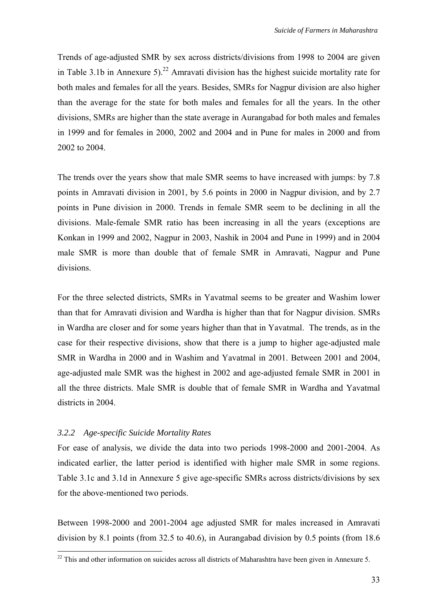Trends of age-adjusted SMR by sex across districts/divisions from 1998 to 2004 are given in Table 3.1b in Annexure 5).<sup>22</sup> Amravati division has the highest suicide mortality rate for both males and females for all the years. Besides, SMRs for Nagpur division are also higher than the average for the state for both males and females for all the years. In the other divisions, SMRs are higher than the state average in Aurangabad for both males and females in 1999 and for females in 2000, 2002 and 2004 and in Pune for males in 2000 and from 2002 to 2004.

The trends over the years show that male SMR seems to have increased with jumps: by 7.8 points in Amravati division in 2001, by 5.6 points in 2000 in Nagpur division, and by 2.7 points in Pune division in 2000. Trends in female SMR seem to be declining in all the divisions. Male-female SMR ratio has been increasing in all the years (exceptions are Konkan in 1999 and 2002, Nagpur in 2003, Nashik in 2004 and Pune in 1999) and in 2004 male SMR is more than double that of female SMR in Amravati, Nagpur and Pune divisions.

For the three selected districts, SMRs in Yavatmal seems to be greater and Washim lower than that for Amravati division and Wardha is higher than that for Nagpur division. SMRs in Wardha are closer and for some years higher than that in Yavatmal. The trends, as in the case for their respective divisions, show that there is a jump to higher age-adjusted male SMR in Wardha in 2000 and in Washim and Yavatmal in 2001. Between 2001 and 2004, age-adjusted male SMR was the highest in 2002 and age-adjusted female SMR in 2001 in all the three districts. Male SMR is double that of female SMR in Wardha and Yavatmal districts in 2004.

#### *3.2.2 Age-specific Suicide Mortality Rates*

For ease of analysis, we divide the data into two periods 1998-2000 and 2001-2004. As indicated earlier, the latter period is identified with higher male SMR in some regions. Table 3.1c and 3.1d in Annexure 5 give age-specific SMRs across districts/divisions by sex for the above-mentioned two periods.

Between 1998-2000 and 2001-2004 age adjusted SMR for males increased in Amravati division by 8.1 points (from 32.5 to 40.6), in Aurangabad division by 0.5 points (from 18.6

<span id="page-40-0"></span><sup>&</sup>lt;sup>22</sup> This and other information on suicides across all districts of Maharashtra have been given in Annexure 5.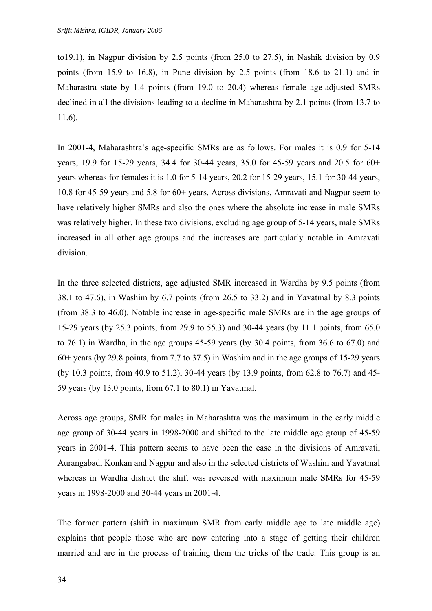to19.1), in Nagpur division by 2.5 points (from 25.0 to 27.5), in Nashik division by 0.9 points (from 15.9 to 16.8), in Pune division by 2.5 points (from 18.6 to 21.1) and in Maharastra state by 1.4 points (from 19.0 to 20.4) whereas female age-adjusted SMRs declined in all the divisions leading to a decline in Maharashtra by 2.1 points (from 13.7 to 11.6).

In 2001-4, Maharashtra's age-specific SMRs are as follows. For males it is 0.9 for 5-14 years, 19.9 for 15-29 years, 34.4 for 30-44 years, 35.0 for 45-59 years and 20.5 for 60+ years whereas for females it is 1.0 for 5-14 years, 20.2 for 15-29 years, 15.1 for 30-44 years, 10.8 for 45-59 years and 5.8 for 60+ years. Across divisions, Amravati and Nagpur seem to have relatively higher SMRs and also the ones where the absolute increase in male SMRs was relatively higher. In these two divisions, excluding age group of 5-14 years, male SMRs increased in all other age groups and the increases are particularly notable in Amravati division.

In the three selected districts, age adjusted SMR increased in Wardha by 9.5 points (from 38.1 to 47.6), in Washim by 6.7 points (from 26.5 to 33.2) and in Yavatmal by 8.3 points (from 38.3 to 46.0). Notable increase in age-specific male SMRs are in the age groups of 15-29 years (by 25.3 points, from 29.9 to 55.3) and 30-44 years (by 11.1 points, from 65.0 to 76.1) in Wardha, in the age groups 45-59 years (by 30.4 points, from 36.6 to 67.0) and 60+ years (by 29.8 points, from 7.7 to 37.5) in Washim and in the age groups of 15-29 years (by 10.3 points, from 40.9 to 51.2), 30-44 years (by 13.9 points, from 62.8 to 76.7) and 45- 59 years (by 13.0 points, from 67.1 to 80.1) in Yavatmal.

Across age groups, SMR for males in Maharashtra was the maximum in the early middle age group of 30-44 years in 1998-2000 and shifted to the late middle age group of 45-59 years in 2001-4. This pattern seems to have been the case in the divisions of Amravati, Aurangabad, Konkan and Nagpur and also in the selected districts of Washim and Yavatmal whereas in Wardha district the shift was reversed with maximum male SMRs for 45-59 years in 1998-2000 and 30-44 years in 2001-4.

The former pattern (shift in maximum SMR from early middle age to late middle age) explains that people those who are now entering into a stage of getting their children married and are in the process of training them the tricks of the trade. This group is an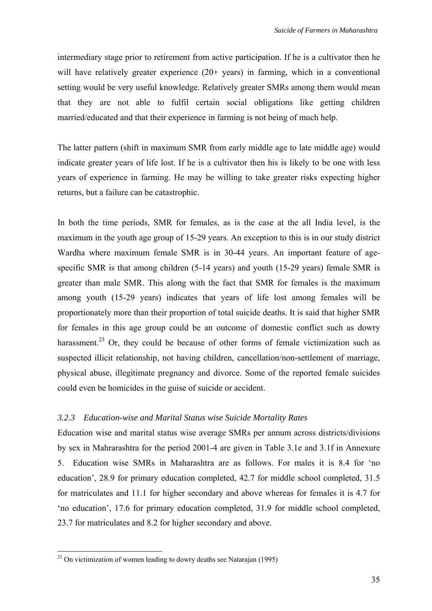intermediary stage prior to retirement from active participation. If he is a cultivator then he will have relatively greater experience (20+ years) in farming, which in a conventional setting would be very useful knowledge. Relatively greater SMRs among them would mean that they are not able to fulfil certain social obligations like getting children married/educated and that their experience in farming is not being of much help.

The latter pattern (shift in maximum SMR from early middle age to late middle age) would indicate greater years of life lost. If he is a cultivator then his is likely to be one with less years of experience in farming. He may be willing to take greater risks expecting higher returns, but a failure can be catastrophic.

In both the time periods, SMR for females, as is the case at the all India level, is the maximum in the youth age group of 15-29 years. An exception to this is in our study district Wardha where maximum female SMR is in 30-44 years. An important feature of agespecific SMR is that among children (5-14 years) and youth (15-29 years) female SMR is greater than male SMR. This along with the fact that SMR for females is the maximum among youth (15-29 years) indicates that years of life lost among females will be proportionately more than their proportion of total suicide deaths. It is said that higher SMR for females in this age group could be an outcome of domestic conflict such as dowry harassment.<sup>23</sup> Or, they could be because of other forms of female victimization such as suspected illicit relationship, not having children, cancellation/non-settlement of marriage, physical abuse, illegitimate pregnancy and divorce. Some of the reported female suicides could even be homicides in the guise of suicide or accident.

#### *3.2.3 Education-wise and Marital Status wise Suicide Mortality Rates*

Education wise and marital status wise average SMRs per annum across districts/divisions by sex in Mahrarashtra for the period 2001-4 are given in Table 3.1e and 3.1f in Annexure 5. Education wise SMRs in Maharashtra are as follows. For males it is 8.4 for 'no education', 28.9 for primary education completed, 42.7 for middle school completed, 31.5 for matriculates and 11.1 for higher secondary and above whereas for females it is 4.7 for 'no education', 17.6 for primary education completed, 31.9 for middle school completed, 23.7 for matriculates and 8.2 for higher secondary and above.

<span id="page-42-0"></span> $^{23}$  On victimization of women leading to dowry deaths see Natarajan (1995)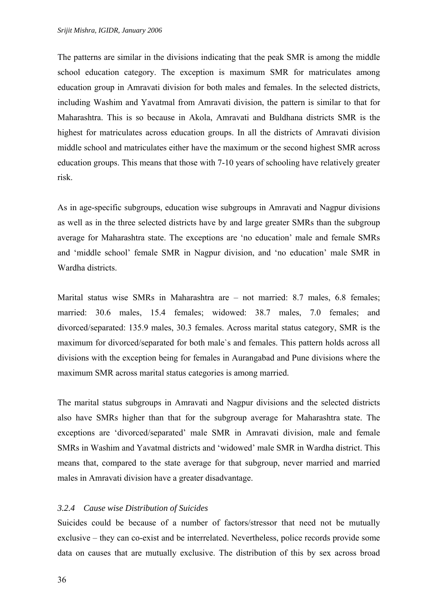The patterns are similar in the divisions indicating that the peak SMR is among the middle school education category. The exception is maximum SMR for matriculates among education group in Amravati division for both males and females. In the selected districts, including Washim and Yavatmal from Amravati division, the pattern is similar to that for Maharashtra. This is so because in Akola, Amravati and Buldhana districts SMR is the highest for matriculates across education groups. In all the districts of Amravati division middle school and matriculates either have the maximum or the second highest SMR across education groups. This means that those with 7-10 years of schooling have relatively greater risk.

As in age-specific subgroups, education wise subgroups in Amravati and Nagpur divisions as well as in the three selected districts have by and large greater SMRs than the subgroup average for Maharashtra state. The exceptions are 'no education' male and female SMRs and 'middle school' female SMR in Nagpur division, and 'no education' male SMR in Wardha districts.

Marital status wise SMRs in Maharashtra are – not married: 8.7 males, 6.8 females; married: 30.6 males, 15.4 females; widowed: 38.7 males, 7.0 females; and divorced/separated: 135.9 males, 30.3 females. Across marital status category, SMR is the maximum for divorced/separated for both male`s and females. This pattern holds across all divisions with the exception being for females in Aurangabad and Pune divisions where the maximum SMR across marital status categories is among married.

The marital status subgroups in Amravati and Nagpur divisions and the selected districts also have SMRs higher than that for the subgroup average for Maharashtra state. The exceptions are 'divorced/separated' male SMR in Amravati division, male and female SMRs in Washim and Yavatmal districts and 'widowed' male SMR in Wardha district. This means that, compared to the state average for that subgroup, never married and married males in Amravati division have a greater disadvantage.

#### *3.2.4 Cause wise Distribution of Suicides*

Suicides could be because of a number of factors/stressor that need not be mutually exclusive – they can co-exist and be interrelated. Nevertheless, police records provide some data on causes that are mutually exclusive. The distribution of this by sex across broad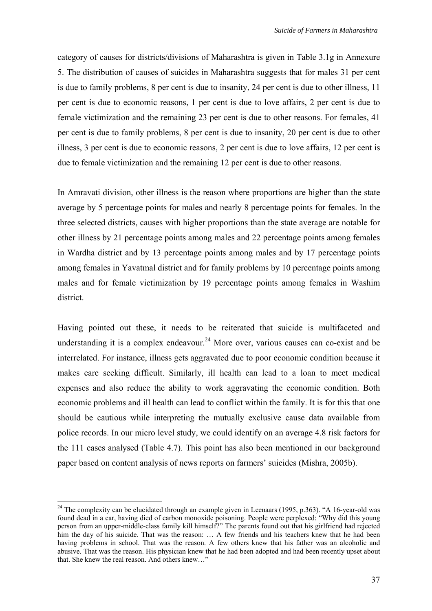category of causes for districts/divisions of Maharashtra is given in Table 3.1g in Annexure 5. The distribution of causes of suicides in Maharashtra suggests that for males 31 per cent is due to family problems, 8 per cent is due to insanity, 24 per cent is due to other illness, 11 per cent is due to economic reasons, 1 per cent is due to love affairs, 2 per cent is due to female victimization and the remaining 23 per cent is due to other reasons. For females, 41 per cent is due to family problems, 8 per cent is due to insanity, 20 per cent is due to other illness, 3 per cent is due to economic reasons, 2 per cent is due to love affairs, 12 per cent is due to female victimization and the remaining 12 per cent is due to other reasons.

In Amravati division, other illness is the reason where proportions are higher than the state average by 5 percentage points for males and nearly 8 percentage points for females. In the three selected districts, causes with higher proportions than the state average are notable for other illness by 21 percentage points among males and 22 percentage points among females in Wardha district and by 13 percentage points among males and by 17 percentage points among females in Yavatmal district and for family problems by 10 percentage points among males and for female victimization by 19 percentage points among females in Washim district.

Having pointed out these, it needs to be reiterated that suicide is multifaceted and understanding it is a complex endeavour.<sup>24</sup> More over, various causes can co-exist and be interrelated. For instance, illness gets aggravated due to poor economic condition because it makes care seeking difficult. Similarly, ill health can lead to a loan to meet medical expenses and also reduce the ability to work aggravating the economic condition. Both economic problems and ill health can lead to conflict within the family. It is for this that one should be cautious while interpreting the mutually exclusive cause data available from police records. In our micro level study, we could identify on an average 4.8 risk factors for the 111 cases analysed (Table 4.7). This point has also been mentioned in our background paper based on content analysis of news reports on farmers' suicides (Mishra, 2005b).

<span id="page-44-0"></span><sup>&</sup>lt;sup>24</sup> The complexity can be elucidated through an example given in Leenaars (1995, p.363). "A 16-year-old was found dead in a car, having died of carbon monoxide poisoning. People were perplexed: "Why did this young person from an upper-middle-class family kill himself?" The parents found out that his girlfriend had rejected him the day of his suicide. That was the reason: ... A few friends and his teachers knew that he had been having problems in school. That was the reason. A few others knew that his father was an alcoholic and abusive. That was the reason. His physician knew that he had been adopted and had been recently upset about that. She knew the real reason. And others knew…"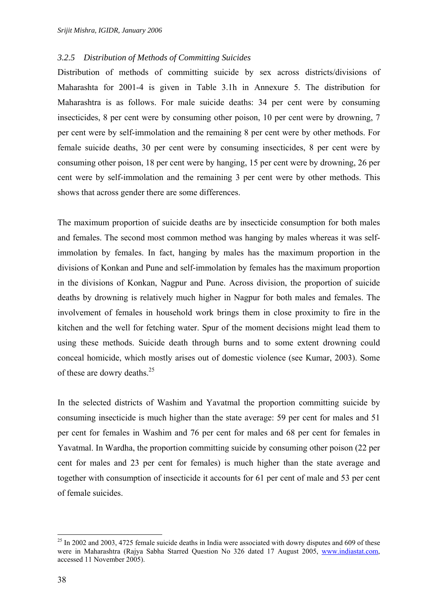#### *3.2.5 Distribution of Methods of Committing Suicides*

Distribution of methods of committing suicide by sex across districts/divisions of Maharashta for 2001-4 is given in Table 3.1h in Annexure 5. The distribution for Maharashtra is as follows. For male suicide deaths: 34 per cent were by consuming insecticides, 8 per cent were by consuming other poison, 10 per cent were by drowning, 7 per cent were by self-immolation and the remaining 8 per cent were by other methods. For female suicide deaths, 30 per cent were by consuming insecticides, 8 per cent were by consuming other poison, 18 per cent were by hanging, 15 per cent were by drowning, 26 per cent were by self-immolation and the remaining 3 per cent were by other methods. This shows that across gender there are some differences.

The maximum proportion of suicide deaths are by insecticide consumption for both males and females. The second most common method was hanging by males whereas it was selfimmolation by females. In fact, hanging by males has the maximum proportion in the divisions of Konkan and Pune and self-immolation by females has the maximum proportion in the divisions of Konkan, Nagpur and Pune. Across division, the proportion of suicide deaths by drowning is relatively much higher in Nagpur for both males and females. The involvement of females in household work brings them in close proximity to fire in the kitchen and the well for fetching water. Spur of the moment decisions might lead them to using these methods. Suicide death through burns and to some extent drowning could conceal homicide, which mostly arises out of domestic violence (see Kumar, 2003). Some of these are dowry deaths. $25$ 

In the selected districts of Washim and Yavatmal the proportion committing suicide by consuming insecticide is much higher than the state average: 59 per cent for males and 51 per cent for females in Washim and 76 per cent for males and 68 per cent for females in Yavatmal. In Wardha, the proportion committing suicide by consuming other poison (22 per cent for males and 23 per cent for females) is much higher than the state average and together with consumption of insecticide it accounts for 61 per cent of male and 53 per cent of female suicides.

<span id="page-45-0"></span><sup>&</sup>lt;sup>25</sup> In 2002 and 2003, 4725 female suicide deaths in India were associated with dowry disputes and 609 of these were in Maharashtra (Rajya Sabha Starred Question No 326 dated 17 August 2005, [www.indiastat.com,](http://www.indiastat.com/) accessed 11 November 2005).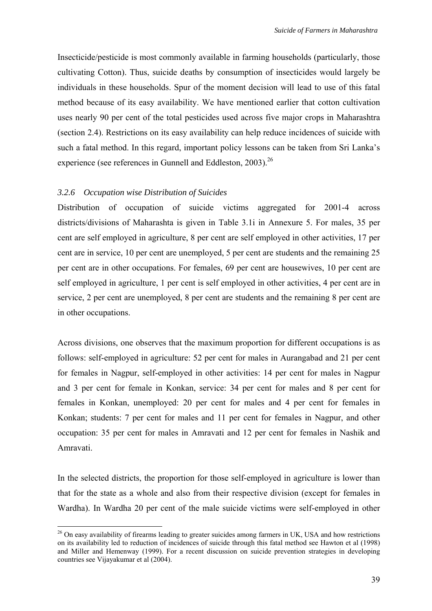Insecticide/pesticide is most commonly available in farming households (particularly, those cultivating Cotton). Thus, suicide deaths by consumption of insecticides would largely be individuals in these households. Spur of the moment decision will lead to use of this fatal method because of its easy availability. We have mentioned earlier that cotton cultivation uses nearly 90 per cent of the total pesticides used across five major crops in Maharashtra (section 2.4). Restrictions on its easy availability can help reduce incidences of suicide with such a fatal method. In this regard, important policy lessons can be taken from Sri Lanka's experience (see references in Gunnell and Eddleston, 2003).<sup>26</sup>

#### *3.2.6 Occupation wise Distribution of Suicides*

Distribution of occupation of suicide victims aggregated for 2001-4 across districts/divisions of Maharashta is given in Table 3.1i in Annexure 5. For males, 35 per cent are self employed in agriculture, 8 per cent are self employed in other activities, 17 per cent are in service, 10 per cent are unemployed, 5 per cent are students and the remaining 25 per cent are in other occupations. For females, 69 per cent are housewives, 10 per cent are self employed in agriculture, 1 per cent is self employed in other activities, 4 per cent are in service, 2 per cent are unemployed, 8 per cent are students and the remaining 8 per cent are in other occupations.

Across divisions, one observes that the maximum proportion for different occupations is as follows: self-employed in agriculture: 52 per cent for males in Aurangabad and 21 per cent for females in Nagpur, self-employed in other activities: 14 per cent for males in Nagpur and 3 per cent for female in Konkan, service: 34 per cent for males and 8 per cent for females in Konkan, unemployed: 20 per cent for males and 4 per cent for females in Konkan; students: 7 per cent for males and 11 per cent for females in Nagpur, and other occupation: 35 per cent for males in Amravati and 12 per cent for females in Nashik and Amravati.

In the selected districts, the proportion for those self-employed in agriculture is lower than that for the state as a whole and also from their respective division (except for females in Wardha). In Wardha 20 per cent of the male suicide victims were self-employed in other

<span id="page-46-0"></span><sup>&</sup>lt;sup>26</sup> On easy availability of firearms leading to greater suicides among farmers in UK, USA and how restrictions on its availability led to reduction of incidences of suicide through this fatal method see Hawton et al (1998) and Miller and Hemenway (1999). For a recent discussion on suicide prevention strategies in developing countries see Vijayakumar et al (2004).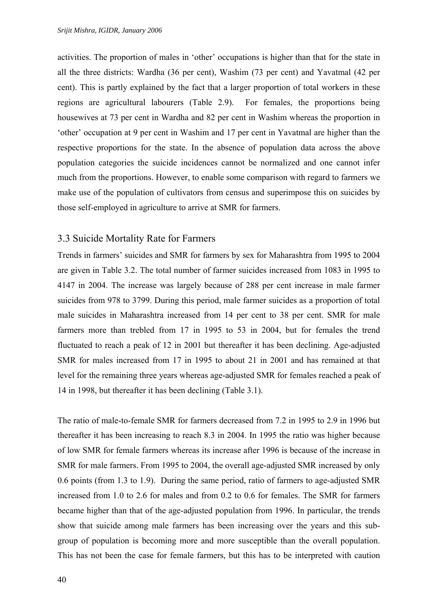activities. The proportion of males in 'other' occupations is higher than that for the state in all the three districts: Wardha (36 per cent), Washim (73 per cent) and Yavatmal (42 per cent). This is partly explained by the fact that a larger proportion of total workers in these regions are agricultural labourers (Table 2.9). For females, the proportions being housewives at 73 per cent in Wardha and 82 per cent in Washim whereas the proportion in 'other' occupation at 9 per cent in Washim and 17 per cent in Yavatmal are higher than the respective proportions for the state. In the absence of population data across the above population categories the suicide incidences cannot be normalized and one cannot infer much from the proportions. However, to enable some comparison with regard to farmers we make use of the population of cultivators from census and superimpose this on suicides by those self-employed in agriculture to arrive at SMR for farmers.

#### 3.3 Suicide Mortality Rate for Farmers

Trends in farmers' suicides and SMR for farmers by sex for Maharashtra from 1995 to 2004 are given in Table 3.2. The total number of farmer suicides increased from 1083 in 1995 to 4147 in 2004. The increase was largely because of 288 per cent increase in male farmer suicides from 978 to 3799. During this period, male farmer suicides as a proportion of total male suicides in Maharashtra increased from 14 per cent to 38 per cent. SMR for male farmers more than trebled from 17 in 1995 to 53 in 2004, but for females the trend fluctuated to reach a peak of 12 in 2001 but thereafter it has been declining. Age-adjusted SMR for males increased from 17 in 1995 to about 21 in 2001 and has remained at that level for the remaining three years whereas age-adjusted SMR for females reached a peak of 14 in 1998, but thereafter it has been declining (Table 3.1).

The ratio of male-to-female SMR for farmers decreased from 7.2 in 1995 to 2.9 in 1996 but thereafter it has been increasing to reach 8.3 in 2004. In 1995 the ratio was higher because of low SMR for female farmers whereas its increase after 1996 is because of the increase in SMR for male farmers. From 1995 to 2004, the overall age-adjusted SMR increased by only 0.6 points (from 1.3 to 1.9). During the same period, ratio of farmers to age-adjusted SMR increased from 1.0 to 2.6 for males and from 0.2 to 0.6 for females. The SMR for farmers became higher than that of the age-adjusted population from 1996. In particular, the trends show that suicide among male farmers has been increasing over the years and this subgroup of population is becoming more and more susceptible than the overall population. This has not been the case for female farmers, but this has to be interpreted with caution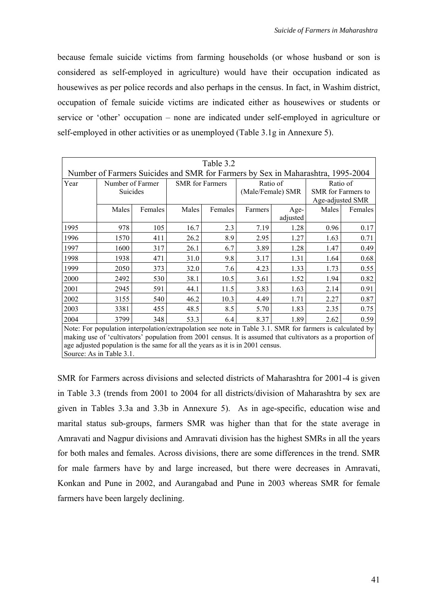because female suicide victims from farming households (or whose husband or son is considered as self-employed in agriculture) would have their occupation indicated as housewives as per police records and also perhaps in the census. In fact, in Washim district, occupation of female suicide victims are indicated either as housewives or students or service or 'other' occupation – none are indicated under self-employed in agriculture or self-employed in other activities or as unemployed (Table 3.1g in Annexure 5).

|      | Table 3.2                                                                                                  |         |                        |         |         |                   |                           |         |
|------|------------------------------------------------------------------------------------------------------------|---------|------------------------|---------|---------|-------------------|---------------------------|---------|
|      | Number of Farmers Suicides and SMR for Farmers by Sex in Maharashtra, 1995-2004                            |         |                        |         |         |                   |                           |         |
| Year | Number of Farmer                                                                                           |         | <b>SMR</b> for Farmers |         |         | Ratio of          | Ratio of                  |         |
|      | Suicides                                                                                                   |         |                        |         |         | (Male/Female) SMR | <b>SMR</b> for Farmers to |         |
|      |                                                                                                            |         |                        |         |         |                   | Age-adjusted SMR          |         |
|      | Males                                                                                                      | Females | Males                  | Females | Farmers | Age-              | Males                     | Females |
|      |                                                                                                            |         |                        |         |         | adjusted          |                           |         |
| 1995 | 978                                                                                                        | 105     | 16.7                   | 2.3     | 7.19    | 1.28              | 0.96                      | 0.17    |
| 1996 | 1570                                                                                                       | 411     | 26.2                   | 8.9     | 2.95    | 1.27              | 1.63                      | 0.71    |
| 1997 | 1600                                                                                                       | 317     | 26.1                   | 6.7     | 3.89    | 1.28              | 1.47                      | 0.49    |
| 1998 | 1938                                                                                                       | 471     | 31.0                   | 9.8     | 3.17    | 1.31              | 1.64                      | 0.68    |
| 1999 | 2050                                                                                                       | 373     | 32.0                   | 7.6     | 4.23    | 1.33              | 1.73                      | 0.55    |
| 2000 | 2492                                                                                                       | 530     | 38.1                   | 10.5    | 3.61    | 1.52              | 1.94                      | 0.82    |
| 2001 | 2945                                                                                                       | 591     | 44.1                   | 11.5    | 3.83    | 1.63              | 2.14                      | 0.91    |
| 2002 | 3155                                                                                                       | 540     | 46.2                   | 10.3    | 4.49    | 1.71              | 2.27                      | 0.87    |
| 2003 | 3381                                                                                                       | 455     | 48.5                   | 8.5     | 5.70    | 1.83              | 2.35                      | 0.75    |
| 2004 | 3799                                                                                                       | 348     | 53.3                   | 6.4     | 8.37    | 1.89              | 2.62                      | 0.59    |
|      | Note: For population interpolation/extrapolation see note in Table 3.1. SMR for farmers is calculated by   |         |                        |         |         |                   |                           |         |
|      | making use of 'cultivators' population from 2001 census. It is assumed that cultivators as a proportion of |         |                        |         |         |                   |                           |         |
|      | age adjusted population is the same for all the years as it is in 2001 census.                             |         |                        |         |         |                   |                           |         |

Source: As in Table 3.1.

SMR for Farmers across divisions and selected districts of Maharashtra for 2001-4 is given in Table 3.3 (trends from 2001 to 2004 for all districts/division of Maharashtra by sex are given in Tables 3.3a and 3.3b in Annexure 5). As in age-specific, education wise and marital status sub-groups, farmers SMR was higher than that for the state average in Amravati and Nagpur divisions and Amravati division has the highest SMRs in all the years for both males and females. Across divisions, there are some differences in the trend. SMR for male farmers have by and large increased, but there were decreases in Amravati, Konkan and Pune in 2002, and Aurangabad and Pune in 2003 whereas SMR for female farmers have been largely declining.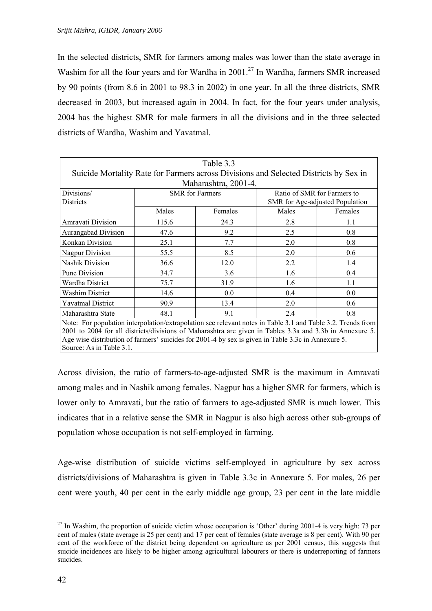In the selected districts, SMR for farmers among males was lower than the state average in Washim for all the four years and for Wardha in  $2001$ .<sup>27</sup> In Wardha, farmers SMR increased by 90 points (from 8.6 in 2001 to 98.3 in 2002) in one year. In all the three districts, SMR decreased in 2003, but increased again in 2004. In fact, for the four years under analysis, 2004 has the highest SMR for male farmers in all the divisions and in the three selected districts of Wardha, Washim and Yavatmal.

|                                                                                                                                                                                                                                                                                                                               |       | Table 3.3              |                             |                                 |  |
|-------------------------------------------------------------------------------------------------------------------------------------------------------------------------------------------------------------------------------------------------------------------------------------------------------------------------------|-------|------------------------|-----------------------------|---------------------------------|--|
| Suicide Mortality Rate for Farmers across Divisions and Selected Districts by Sex in                                                                                                                                                                                                                                          |       |                        |                             |                                 |  |
|                                                                                                                                                                                                                                                                                                                               |       | Maharashtra, 2001-4.   |                             |                                 |  |
| Divisions/<br><b>Districts</b>                                                                                                                                                                                                                                                                                                |       | <b>SMR</b> for Farmers | Ratio of SMR for Farmers to | SMR for Age-adjusted Population |  |
|                                                                                                                                                                                                                                                                                                                               | Males | Females                | Males                       | Females                         |  |
| Amravati Division                                                                                                                                                                                                                                                                                                             | 115.6 | 24.3                   | 2.8                         | 1.1                             |  |
| Aurangabad Division                                                                                                                                                                                                                                                                                                           | 47.6  | 9.2                    | 2.5                         | 0.8                             |  |
| Konkan Division                                                                                                                                                                                                                                                                                                               | 25.1  | 7.7                    | 2.0                         | 0.8                             |  |
| <b>Nagpur Division</b>                                                                                                                                                                                                                                                                                                        | 55.5  | 8.5                    | 2.0                         | 0.6                             |  |
| Nashik Division                                                                                                                                                                                                                                                                                                               | 36.6  | 12.0                   | 2.2                         | 1.4                             |  |
| <b>Pune Division</b>                                                                                                                                                                                                                                                                                                          | 34.7  | 3.6                    | 1.6                         | 0.4                             |  |
| Wardha District                                                                                                                                                                                                                                                                                                               | 75.7  | 31.9                   | 1.6                         | 1.1                             |  |
| Washim District                                                                                                                                                                                                                                                                                                               | 14.6  | 0.0                    | 0.4                         | 0.0                             |  |
| <b>Yavatmal District</b>                                                                                                                                                                                                                                                                                                      | 90.9  | 13.4                   | 2.0                         | 0.6                             |  |
| Maharashtra State                                                                                                                                                                                                                                                                                                             | 48.1  | 9.1                    | 2.4                         | 0.8                             |  |
| Note: For population interpolation/extrapolation see relevant notes in Table 3.1 and Table 3.2. Trends from<br>2001 to 2004 for all districts/divisions of Maharashtra are given in Tables 3.3a and 3.3b in Annexure 5.<br>Age wise distribution of farmers' suicides for 2001-4 by sex is given in Table 3.3c in Annexure 5. |       |                        |                             |                                 |  |

Source: As in Table 3.1.

Across division, the ratio of farmers-to-age-adjusted SMR is the maximum in Amravati among males and in Nashik among females. Nagpur has a higher SMR for farmers, which is lower only to Amravati, but the ratio of farmers to age-adjusted SMR is much lower. This indicates that in a relative sense the SMR in Nagpur is also high across other sub-groups of population whose occupation is not self-employed in farming.

Age-wise distribution of suicide victims self-employed in agriculture by sex across districts/divisions of Maharashtra is given in Table 3.3c in Annexure 5. For males, 26 per cent were youth, 40 per cent in the early middle age group, 23 per cent in the late middle

<span id="page-49-0"></span> $27$  In Washim, the proportion of suicide victim whose occupation is 'Other' during 2001-4 is very high: 73 per cent of males (state average is 25 per cent) and 17 per cent of females (state average is 8 per cent). With 90 per cent of the workforce of the district being dependent on agriculture as per 2001 census, this suggests that suicide incidences are likely to be higher among agricultural labourers or there is underreporting of farmers suicides.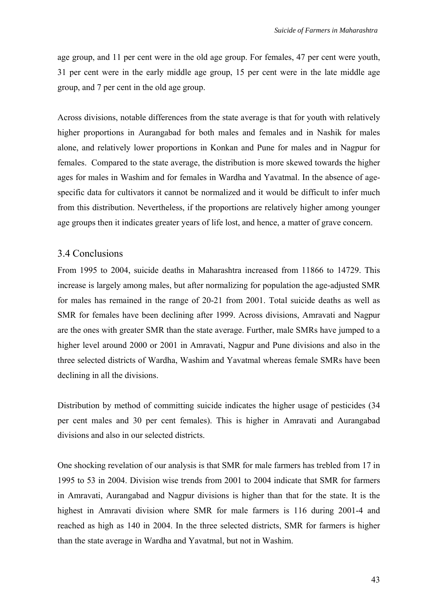age group, and 11 per cent were in the old age group. For females, 47 per cent were youth, 31 per cent were in the early middle age group, 15 per cent were in the late middle age group, and 7 per cent in the old age group.

Across divisions, notable differences from the state average is that for youth with relatively higher proportions in Aurangabad for both males and females and in Nashik for males alone, and relatively lower proportions in Konkan and Pune for males and in Nagpur for females. Compared to the state average, the distribution is more skewed towards the higher ages for males in Washim and for females in Wardha and Yavatmal. In the absence of agespecific data for cultivators it cannot be normalized and it would be difficult to infer much from this distribution. Nevertheless, if the proportions are relatively higher among younger age groups then it indicates greater years of life lost, and hence, a matter of grave concern.

#### 3.4 Conclusions

From 1995 to 2004, suicide deaths in Maharashtra increased from 11866 to 14729. This increase is largely among males, but after normalizing for population the age-adjusted SMR for males has remained in the range of 20-21 from 2001. Total suicide deaths as well as SMR for females have been declining after 1999. Across divisions, Amravati and Nagpur are the ones with greater SMR than the state average. Further, male SMRs have jumped to a higher level around 2000 or 2001 in Amravati, Nagpur and Pune divisions and also in the three selected districts of Wardha, Washim and Yavatmal whereas female SMRs have been declining in all the divisions.

Distribution by method of committing suicide indicates the higher usage of pesticides (34 per cent males and 30 per cent females). This is higher in Amravati and Aurangabad divisions and also in our selected districts.

One shocking revelation of our analysis is that SMR for male farmers has trebled from 17 in 1995 to 53 in 2004. Division wise trends from 2001 to 2004 indicate that SMR for farmers in Amravati, Aurangabad and Nagpur divisions is higher than that for the state. It is the highest in Amravati division where SMR for male farmers is 116 during 2001-4 and reached as high as 140 in 2004. In the three selected districts, SMR for farmers is higher than the state average in Wardha and Yavatmal, but not in Washim.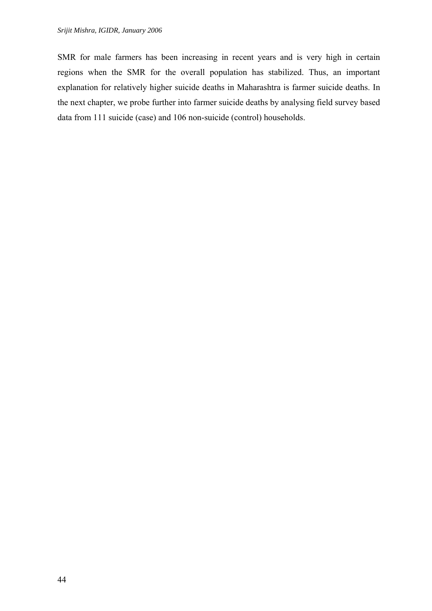SMR for male farmers has been increasing in recent years and is very high in certain regions when the SMR for the overall population has stabilized. Thus, an important explanation for relatively higher suicide deaths in Maharashtra is farmer suicide deaths. In the next chapter, we probe further into farmer suicide deaths by analysing field survey based data from 111 suicide (case) and 106 non-suicide (control) households.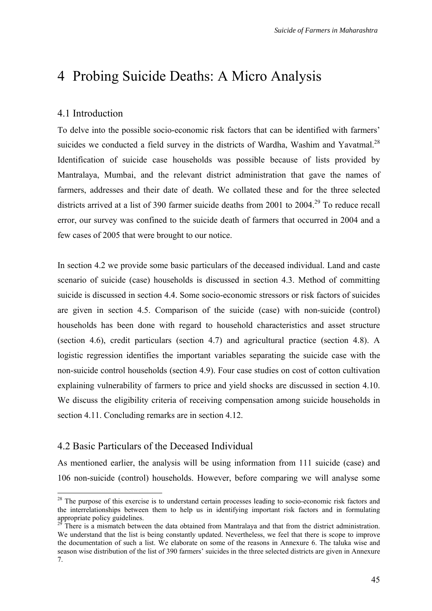# 4 Probing Suicide Deaths: A Micro Analysis

#### 4.1 Introduction

To delve into the possible socio-economic risk factors that can be identified with farmers' suicides we conducted a field survey in the districts of Wardha, Washim and Yavatmal. $^{28}$ Identification of suicide case households was possible because of lists provided by Mantralaya, Mumbai, and the relevant district administration that gave the names of farmers, addresses and their date of death. We collated these and for the three selected districts arrived at a list of 390 farmer suicide deaths from 2001 to 2004.<sup>29</sup> To reduce recall error, our survey was confined to the suicide death of farmers that occurred in 2004 and a few cases of 2005 that were brought to our notice.

In section 4.2 we provide some basic particulars of the deceased individual. Land and caste scenario of suicide (case) households is discussed in section 4.3. Method of committing suicide is discussed in section 4.4. Some socio-economic stressors or risk factors of suicides are given in section 4.5. Comparison of the suicide (case) with non-suicide (control) households has been done with regard to household characteristics and asset structure (section 4.6), credit particulars (section 4.7) and agricultural practice (section 4.8). A logistic regression identifies the important variables separating the suicide case with the non-suicide control households (section 4.9). Four case studies on cost of cotton cultivation explaining vulnerability of farmers to price and yield shocks are discussed in section 4.10. We discuss the eligibility criteria of receiving compensation among suicide households in section 4.11. Concluding remarks are in section 4.12.

## 4.2 Basic Particulars of the Deceased Individual

As mentioned earlier, the analysis will be using information from 111 suicide (case) and 106 non-suicide (control) households. However, before comparing we will analyse some

<span id="page-52-0"></span><sup>&</sup>lt;sup>28</sup> The purpose of this exercise is to understand certain processes leading to socio-economic risk factors and the interrelationships between them to help us in identifying important risk factors and in formulating appropriate policy guidelines.<br><sup>29</sup> There is a mismatch between the data obtained from Mantralaya and that from the district administration.

<span id="page-52-1"></span>We understand that the list is being constantly updated. Nevertheless, we feel that there is scope to improve the documentation of such a list. We elaborate on some of the reasons in Annexure 6. The taluka wise and season wise distribution of the list of 390 farmers' suicides in the three selected districts are given in Annexure 7.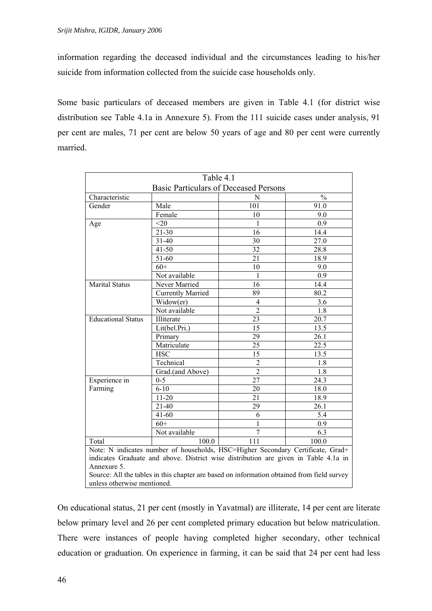information regarding the deceased individual and the circumstances leading to his/her suicide from information collected from the suicide case households only.

Some basic particulars of deceased members are given in Table 4.1 (for district wise distribution see Table 4.1a in Annexure 5). From the 111 suicide cases under analysis, 91 per cent are males, 71 per cent are below 50 years of age and 80 per cent were currently married.

| Table 4.1                                                                                                                                                                                                                                                                           |                          |                                              |                   |  |
|-------------------------------------------------------------------------------------------------------------------------------------------------------------------------------------------------------------------------------------------------------------------------------------|--------------------------|----------------------------------------------|-------------------|--|
|                                                                                                                                                                                                                                                                                     |                          | <b>Basic Particulars of Deceased Persons</b> |                   |  |
| Characteristic                                                                                                                                                                                                                                                                      |                          | N                                            | $\frac{0}{0}$     |  |
| Gender                                                                                                                                                                                                                                                                              | Male                     | 101                                          | 91.0              |  |
|                                                                                                                                                                                                                                                                                     | Female                   | 10                                           | 9.0               |  |
| Age                                                                                                                                                                                                                                                                                 | $<$ 20                   | 1                                            | 0.9               |  |
|                                                                                                                                                                                                                                                                                     | $21 - 30$                | 16                                           | 14.4              |  |
|                                                                                                                                                                                                                                                                                     | $31 - 40$                | 30                                           | 27.0              |  |
|                                                                                                                                                                                                                                                                                     | $41 - 50$                | 32                                           | 28.8              |  |
|                                                                                                                                                                                                                                                                                     | 51-60                    | 21                                           | 18.9              |  |
|                                                                                                                                                                                                                                                                                     | $60+$                    | 10                                           | 9.0               |  |
|                                                                                                                                                                                                                                                                                     | Not available            | 1                                            | 0.9               |  |
| <b>Marital Status</b>                                                                                                                                                                                                                                                               | Never Married            | 16                                           | 14.4              |  |
|                                                                                                                                                                                                                                                                                     | <b>Currently Married</b> | 89                                           | 80.2              |  |
|                                                                                                                                                                                                                                                                                     | Widow(er)                | 4                                            | 3.6               |  |
|                                                                                                                                                                                                                                                                                     | Not available            | $\overline{2}$                               | 1.8               |  |
| <b>Educational Status</b>                                                                                                                                                                                                                                                           | Illiterate               | 23                                           | 20.7              |  |
|                                                                                                                                                                                                                                                                                     | Lit(bel.Pri.)            | 15                                           | 13.5              |  |
|                                                                                                                                                                                                                                                                                     | Primary                  | 29                                           | 26.1              |  |
|                                                                                                                                                                                                                                                                                     | Matriculate              | 25                                           | 22.5              |  |
|                                                                                                                                                                                                                                                                                     | <b>HSC</b>               | $\overline{15}$                              | 13.5              |  |
|                                                                                                                                                                                                                                                                                     | Technical                | $\overline{c}$                               | 1.8               |  |
|                                                                                                                                                                                                                                                                                     | Grad.(and Above)         | $\overline{2}$                               | 1.8               |  |
| Experience in                                                                                                                                                                                                                                                                       | $0-5$                    | 27                                           | 24.3              |  |
| Farming                                                                                                                                                                                                                                                                             | $6 - 10$                 | 20                                           | 18.0              |  |
|                                                                                                                                                                                                                                                                                     | $11 - 20$                | 21                                           | 18.9              |  |
|                                                                                                                                                                                                                                                                                     | $21 - 40$                | 29                                           | $26.\overline{1}$ |  |
|                                                                                                                                                                                                                                                                                     | $41 - 60$                | 6                                            | 5.4               |  |
|                                                                                                                                                                                                                                                                                     | $60+$                    | 1                                            | 0.9               |  |
|                                                                                                                                                                                                                                                                                     | Not available            | 7                                            | 6.3               |  |
| Total                                                                                                                                                                                                                                                                               | 100.0                    | $\overline{111}$                             | 100.0             |  |
| Note: N indicates number of households, HSC=Higher Secondary Certificate, Grad+<br>indicates Graduate and above. District wise distribution are given in Table 4.1a in<br>Annexure 5.<br>Source: All the tables in this chapter are based on information obtained from field survey |                          |                                              |                   |  |
| unless otherwise mentioned.                                                                                                                                                                                                                                                         |                          |                                              |                   |  |

On educational status, 21 per cent (mostly in Yavatmal) are illiterate, 14 per cent are literate below primary level and 26 per cent completed primary education but below matriculation. There were instances of people having completed higher secondary, other technical education or graduation. On experience in farming, it can be said that 24 per cent had less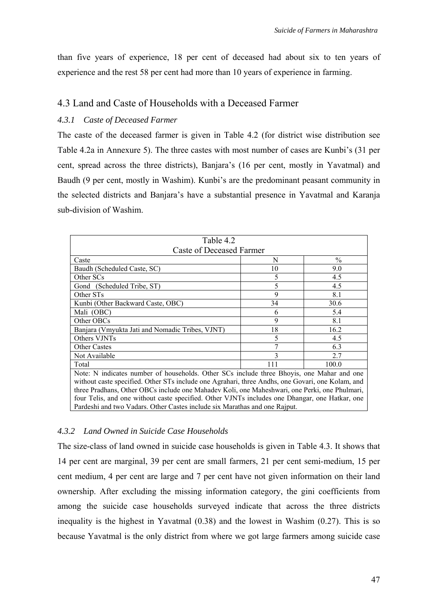than five years of experience, 18 per cent of deceased had about six to ten years of experience and the rest 58 per cent had more than 10 years of experience in farming.

## 4.3 Land and Caste of Households with a Deceased Farmer

## *4.3.1 Caste of Deceased Farmer*

The caste of the deceased farmer is given in Table 4.2 (for district wise distribution see Table 4.2a in Annexure 5). The three castes with most number of cases are Kunbi's (31 per cent, spread across the three districts), Banjara's (16 per cent, mostly in Yavatmal) and Baudh (9 per cent, mostly in Washim). Kunbi's are the predominant peasant community in the selected districts and Banjara's have a substantial presence in Yavatmal and Karanja sub-division of Washim.

| Table 4.2                                                                                        |                          |               |  |  |  |
|--------------------------------------------------------------------------------------------------|--------------------------|---------------|--|--|--|
|                                                                                                  | Caste of Deceased Farmer |               |  |  |  |
| Caste                                                                                            | N                        | $\frac{0}{0}$ |  |  |  |
| Baudh (Scheduled Caste, SC)                                                                      | 10                       | 9.0           |  |  |  |
| Other SCs                                                                                        | 5                        | 4.5           |  |  |  |
| Gond (Scheduled Tribe, ST)                                                                       | 5                        | 4.5           |  |  |  |
| Other STs                                                                                        | 9                        | 8.1           |  |  |  |
| Kunbi (Other Backward Caste, OBC)                                                                | 34                       | 30.6          |  |  |  |
| Mali (OBC)                                                                                       | 6                        | 5.4           |  |  |  |
| Other OBCs                                                                                       | 9                        | 8.1           |  |  |  |
| Banjara (Vmyukta Jati and Nomadic Tribes, VJNT)                                                  | 18                       | 16.2          |  |  |  |
| Others VJNTs                                                                                     | 5                        | 4.5           |  |  |  |
| <b>Other Castes</b>                                                                              |                          | 6.3           |  |  |  |
| Not Available                                                                                    | 3                        | 2.7           |  |  |  |
| Total                                                                                            | 111                      | 100.0         |  |  |  |
| Note: N indicates number of households. Other SCs include three Bhoyis, one Mahar and one        |                          |               |  |  |  |
| without caste specified. Other STs include one Agrahari, three Andhs, one Govari, one Kolam, and |                          |               |  |  |  |
| three Pradhans, Other OBCs include one Mahadev Koli, one Maheshwari, one Perki, one Phulmari,    |                          |               |  |  |  |
| four Telis, and one without caste specified. Other VJNTs includes one Dhangar, one Hatkar, one   |                          |               |  |  |  |
| Pardeshi and two Vadars. Other Castes include six Marathas and one Rajput.                       |                          |               |  |  |  |

## *4.3.2 Land Owned in Suicide Case Households*

The size-class of land owned in suicide case households is given in Table 4.3. It shows that 14 per cent are marginal, 39 per cent are small farmers, 21 per cent semi-medium, 15 per cent medium, 4 per cent are large and 7 per cent have not given information on their land ownership. After excluding the missing information category, the gini coefficients from among the suicide case households surveyed indicate that across the three districts inequality is the highest in Yavatmal (0.38) and the lowest in Washim (0.27). This is so because Yavatmal is the only district from where we got large farmers among suicide case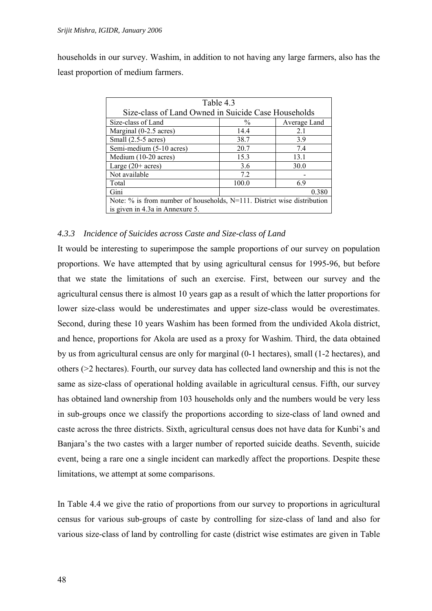households in our survey. Washim, in addition to not having any large farmers, also has the least proportion of medium farmers.

| Table 4.3                                                                  |               |              |  |  |
|----------------------------------------------------------------------------|---------------|--------------|--|--|
| Size-class of Land Owned in Suicide Case Households                        |               |              |  |  |
| Size-class of Land                                                         | $\frac{0}{0}$ | Average Land |  |  |
| Marginal (0-2.5 acres)                                                     | 14.4          | 2.1          |  |  |
| Small (2.5-5 acres)                                                        | 38.7          | 3.9          |  |  |
| Semi-medium (5-10 acres)                                                   | 20.7          | 7.4          |  |  |
| Medium (10-20 acres)                                                       | 15.3          | 13.1         |  |  |
| Large $(20+ \text{acres})$                                                 | 3.6           | 30.0         |  |  |
| Not available                                                              | 7.2           |              |  |  |
| Total                                                                      | 100.0         | 6.9          |  |  |
| Gini<br>0.380                                                              |               |              |  |  |
| Note: $\%$ is from number of households, N=111. District wise distribution |               |              |  |  |
| is given in 4.3a in Annexure 5.                                            |               |              |  |  |

#### *4.3.3 Incidence of Suicides across Caste and Size-class of Land*

It would be interesting to superimpose the sample proportions of our survey on population proportions. We have attempted that by using agricultural census for 1995-96, but before that we state the limitations of such an exercise. First, between our survey and the agricultural census there is almost 10 years gap as a result of which the latter proportions for lower size-class would be underestimates and upper size-class would be overestimates. Second, during these 10 years Washim has been formed from the undivided Akola district, and hence, proportions for Akola are used as a proxy for Washim. Third, the data obtained by us from agricultural census are only for marginal (0-1 hectares), small (1-2 hectares), and others (>2 hectares). Fourth, our survey data has collected land ownership and this is not the same as size-class of operational holding available in agricultural census. Fifth, our survey has obtained land ownership from 103 households only and the numbers would be very less in sub-groups once we classify the proportions according to size-class of land owned and caste across the three districts. Sixth, agricultural census does not have data for Kunbi's and Banjara's the two castes with a larger number of reported suicide deaths. Seventh, suicide event, being a rare one a single incident can markedly affect the proportions. Despite these limitations, we attempt at some comparisons.

In Table 4.4 we give the ratio of proportions from our survey to proportions in agricultural census for various sub-groups of caste by controlling for size-class of land and also for various size-class of land by controlling for caste (district wise estimates are given in Table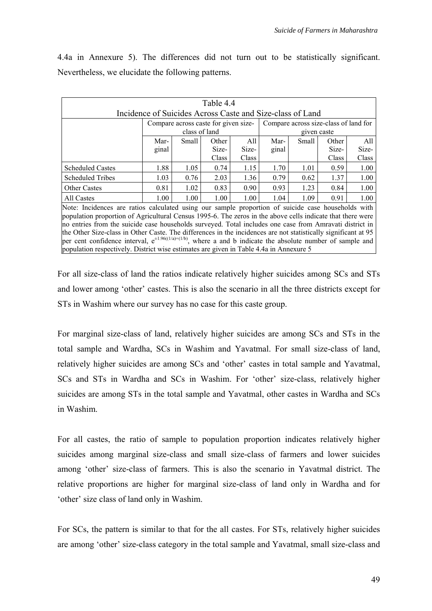4.4a in Annexure 5). The differences did not turn out to be statistically significant. Nevertheless, we elucidate the following patterns.

| Table 4.4                                                                                                                                                                                                                                                                                                                                                                                                                                                                                                                                                                                                                                                       |                                                           |                   |                                      |       |             |       |                                       |       |
|-----------------------------------------------------------------------------------------------------------------------------------------------------------------------------------------------------------------------------------------------------------------------------------------------------------------------------------------------------------------------------------------------------------------------------------------------------------------------------------------------------------------------------------------------------------------------------------------------------------------------------------------------------------------|-----------------------------------------------------------|-------------------|--------------------------------------|-------|-------------|-------|---------------------------------------|-------|
|                                                                                                                                                                                                                                                                                                                                                                                                                                                                                                                                                                                                                                                                 | Incidence of Suicides Across Caste and Size-class of Land |                   |                                      |       |             |       |                                       |       |
|                                                                                                                                                                                                                                                                                                                                                                                                                                                                                                                                                                                                                                                                 |                                                           |                   | Compare across caste for given size- |       |             |       | Compare across size-class of land for |       |
|                                                                                                                                                                                                                                                                                                                                                                                                                                                                                                                                                                                                                                                                 |                                                           | class of land     |                                      |       | given caste |       |                                       |       |
|                                                                                                                                                                                                                                                                                                                                                                                                                                                                                                                                                                                                                                                                 | Mar-                                                      | Small             | Other                                | All.  | Mar-        | Small | Other                                 | All   |
|                                                                                                                                                                                                                                                                                                                                                                                                                                                                                                                                                                                                                                                                 | ginal                                                     |                   | Size-                                | Size- | ginal       |       | Size-                                 | Size- |
|                                                                                                                                                                                                                                                                                                                                                                                                                                                                                                                                                                                                                                                                 |                                                           |                   | Class                                | Class |             |       | Class                                 | Class |
| <b>Scheduled Castes</b>                                                                                                                                                                                                                                                                                                                                                                                                                                                                                                                                                                                                                                         | 1.88                                                      | 1.05              | 0.74                                 | 1.15  | 1.70        | 1.01  | 0.59                                  | 1.00  |
| <b>Scheduled Tribes</b>                                                                                                                                                                                                                                                                                                                                                                                                                                                                                                                                                                                                                                         | 1.03                                                      | 0.76              | 2.03                                 | 1.36  | 0.79        | 0.62  | 1.37                                  | 1.00  |
| <b>Other Castes</b>                                                                                                                                                                                                                                                                                                                                                                                                                                                                                                                                                                                                                                             | 0.81                                                      | 1.02              | 0.83                                 | 0.90  | 0.93        | 1.23  | 0.84                                  | 1.00  |
| All Castes                                                                                                                                                                                                                                                                                                                                                                                                                                                                                                                                                                                                                                                      | 1.00                                                      | 1.00 <sub>l</sub> | 1.00                                 | 1.00  | 1.04        | 1.09  | 0.91                                  | 1.00  |
| Note: Incidences are ratios calculated using our sample proportion of suicide case households with<br>population proportion of Agricultural Census 1995-6. The zeros in the above cells indicate that there were<br>no entries from the suicide case households surveyed. Total includes one case from Amravati district in<br>the Other Size-class in Other Caste. The differences in the incidences are not statistically significant at 95<br>per cent confidence interval, $e^{\pm 1.96((1/a)+(1/b))}$ , where a and b indicate the absolute number of sample and<br>population respectively. District wise estimates are given in Table 4.4a in Annexure 5 |                                                           |                   |                                      |       |             |       |                                       |       |

For all size-class of land the ratios indicate relatively higher suicides among SCs and STs and lower among 'other' castes. This is also the scenario in all the three districts except for STs in Washim where our survey has no case for this caste group.

For marginal size-class of land, relatively higher suicides are among SCs and STs in the total sample and Wardha, SCs in Washim and Yavatmal. For small size-class of land, relatively higher suicides are among SCs and 'other' castes in total sample and Yavatmal, SCs and STs in Wardha and SCs in Washim. For 'other' size-class, relatively higher suicides are among STs in the total sample and Yavatmal, other castes in Wardha and SCs in Washim.

For all castes, the ratio of sample to population proportion indicates relatively higher suicides among marginal size-class and small size-class of farmers and lower suicides among 'other' size-class of farmers. This is also the scenario in Yavatmal district. The relative proportions are higher for marginal size-class of land only in Wardha and for 'other' size class of land only in Washim.

For SCs, the pattern is similar to that for the all castes. For STs, relatively higher suicides are among 'other' size-class category in the total sample and Yavatmal, small size-class and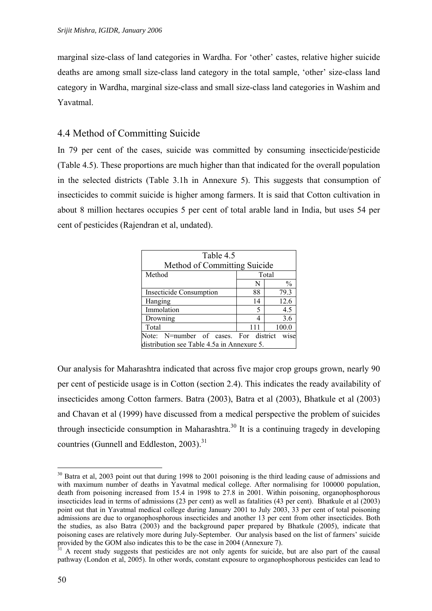<span id="page-57-1"></span>marginal size-class of land categories in Wardha. For 'other' castes, relative higher suicide deaths are among small size-class land category in the total sample, 'other' size-class land category in Wardha, marginal size-class and small size-class land categories in Washim and Yavatmal.

# 4.4 Method of Committing Suicide

In 79 per cent of the cases, suicide was committed by consuming insecticide/pesticide (Table 4.5). These proportions are much higher than that indicated for the overall population in the selected districts (Table 3.1h in Annexure 5). This suggests that consumption of insecticides to commit suicide is higher among farmers. It is said that Cotton cultivation in about 8 million hectares occupies 5 per cent of total arable land in India, but uses 54 per cent of pesticides (Rajendran et al, undated).

| Table 4.5                                  |     |               |
|--------------------------------------------|-----|---------------|
| Method of Committing Suicide               |     |               |
| Method                                     |     | Total         |
|                                            | N   | $\frac{0}{0}$ |
| <b>Insecticide Consumption</b>             | 88  | 79.3          |
| Hanging                                    | 14  | 12.6          |
| Immolation                                 | 5   | 4.5           |
| Drowning                                   |     | 3.6           |
| Total                                      | 111 | 100.0         |
| Note: N=number of cases. For district      |     | wise          |
| distribution see Table 4.5a in Annexure 5. |     |               |

Our analysis for Maharashtra indicated that across five major crop groups grown, nearly 90 per cent of pesticide usage is in Cotton (section 2.4). This indicates the ready availability of insecticides among Cotton farmers. Batra (2003), Batra et al (2003), Bhatkule et al (2003) and Chavan et al (1999) have discussed from a medical perspective the problem of suicides through insecticide consumption in Maharashtra.<sup>30</sup> It is a continuing tragedy in developing countries (Gunnell and Eddleston,  $2003$ ).<sup>[31](#page-57-1)</sup>

<span id="page-57-0"></span><sup>&</sup>lt;sup>30</sup> Batra et al, 2003 point out that during 1998 to 2001 poisoning is the third leading cause of admissions and with maximum number of deaths in Yavatmal medical college. After normalising for 100000 population, death from poisoning increased from 15.4 in 1998 to 27.8 in 2001. Within poisoning, organophosphorous insecticides lead in terms of admissions (23 per cent) as well as fatalities (43 per cent). Bhatkule et al (2003) point out that in Yavatmal medical college during January 2001 to July 2003, 33 per cent of total poisoning admissions are due to organophosphorous insecticides and another 13 per cent from other insecticides. Both the studies, as also Batra (2003) and the background paper prepared by Bhatkule (2005), indicate that poisoning cases are relatively more during July-September. Our analysis based on the list of farmers' suicide provided by the GOM also indicates this to be the case in 2004 (Annexure 7).<br><sup>31</sup> A recent study suggests that pesticides are not only agents for suicide, but are also part of the causal

pathway (London et al, 2005). In other words, constant exposure to organophosphorous pesticides can lead to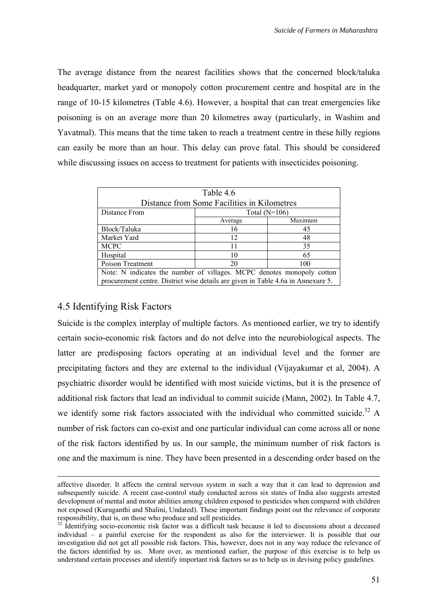The average distance from the nearest facilities shows that the concerned block/taluka headquarter, market yard or monopoly cotton procurement centre and hospital are in the range of 10-15 kilometres (Table 4.6). However, a hospital that can treat emergencies like poisoning is on an average more than 20 kilometres away (particularly, in Washim and Yavatmal). This means that the time taken to reach a treatment centre in these hilly regions can easily be more than an hour. This delay can prove fatal. This should be considered while discussing issues on access to treatment for patients with insecticides poisoning.

| Table 4.6                                                                        |                 |         |  |  |  |
|----------------------------------------------------------------------------------|-----------------|---------|--|--|--|
| Distance from Some Facilities in Kilometres                                      |                 |         |  |  |  |
| Distance From                                                                    | Total $(N=106)$ |         |  |  |  |
|                                                                                  | Average         | Maximum |  |  |  |
| Block/Taluka                                                                     | 16              | 45      |  |  |  |
| Market Yard                                                                      | 12              | 48      |  |  |  |
| <b>MCPC</b>                                                                      | 11              | 35      |  |  |  |
| Hospital                                                                         | 10              | 65      |  |  |  |
| Poison Treatment                                                                 | 20<br>100       |         |  |  |  |
| Note: N indicates the number of villages. MCPC denotes monopoly cotton           |                 |         |  |  |  |
| procurement centre. District wise details are given in Table 4.6a in Annexure 5. |                 |         |  |  |  |

## 4.5 Identifying Risk Factors

Suicide is the complex interplay of multiple factors. As mentioned earlier, we try to identify certain socio-economic risk factors and do not delve into the neurobiological aspects. The latter are predisposing factors operating at an individual level and the former are precipitating factors and they are external to the individual (Vijayakumar et al, 2004). A psychiatric disorder would be identified with most suicide victims, but it is the presence of additional risk factors that lead an individual to commit suicide (Mann, 2002). In Table 4.7, we identify some risk factors associated with the individual who committed suicide.<sup>32</sup> A number of risk factors can co-exist and one particular individual can come across all or none of the risk factors identified by us. In our sample, the minimum number of risk factors is one and the maximum is nine. They have been presented in a descending order based on the

affective disorder. It affects the central nervous system in such a way that it can lead to depression and subsequently suicide. A recent case-control study conducted across six states of India also suggests arrested development of mental and motor abilities among children exposed to pesticides when compared with children not exposed (Kuruganthi and Shalini, Undated). These important findings point out the relevance of corporate responsibility, that is, on those who produce and sell pesticides. 32 Identifying socio-economic risk factor was a difficult task because it led to discussions about a deceased

<span id="page-58-0"></span>individual – a painful exercise for the respondent as also for the interviewer. It is possible that our investigation did not get all possible risk factors. This, however, does not in any way reduce the relevance of the factors identified by us. More over, as mentioned earlier, the purpose of this exercise is to help us understand certain processes and identify important risk factors so as to help us in devising policy guidelines.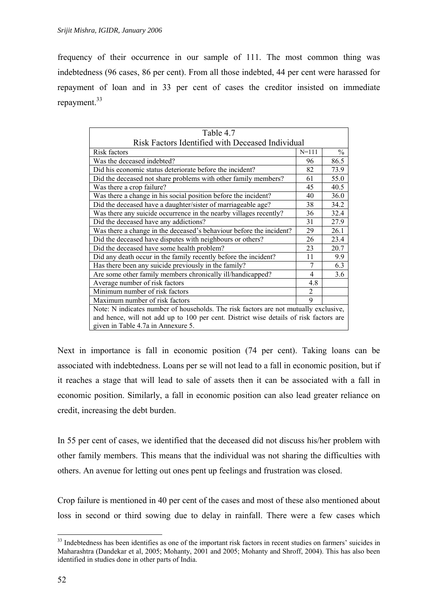frequency of their occurrence in our sample of 111. The most common thing was indebtedness (96 cases, 86 per cent). From all those indebted, 44 per cent were harassed for repayment of loan and in 33 per cent of cases the creditor insisted on immediate repayment.<sup>33</sup>

| Table 4.7                                                                             |                |      |
|---------------------------------------------------------------------------------------|----------------|------|
| Risk Factors Identified with Deceased Individual                                      |                |      |
| Risk factors                                                                          | $N = 111$      | $\%$ |
| Was the deceased indebted?                                                            | 96             | 86.5 |
| Did his economic status deteriorate before the incident?                              | 82             | 73.9 |
| Did the deceased not share problems with other family members?                        | 61             | 55.0 |
| Was there a crop failure?                                                             | 45             | 40.5 |
| Was there a change in his social position before the incident?                        | 40             | 36.0 |
| Did the deceased have a daughter/sister of marriageable age?                          | 38             | 34.2 |
| Was there any suicide occurrence in the nearby villages recently?                     | 36             | 32.4 |
| Did the deceased have any addictions?                                                 | 31             | 27.9 |
| Was there a change in the deceased's behaviour before the incident?                   | 29             | 26.1 |
| Did the deceased have disputes with neighbours or others?                             | 26             | 23.4 |
| Did the deceased have some health problem?                                            | 23             | 20.7 |
| Did any death occur in the family recently before the incident?                       | 11             | 9.9  |
| Has there been any suicide previously in the family?                                  | $\tau$         | 6.3  |
| Are some other family members chronically ill/handicapped?                            | 4              | 3.6  |
| Average number of risk factors                                                        | 4.8            |      |
| Minimum number of risk factors                                                        | $\overline{2}$ |      |
| Maximum number of risk factors                                                        | 9              |      |
| Note: N indicates number of households. The risk factors are not mutually exclusive,  |                |      |
| and hence, will not add up to 100 per cent. District wise details of risk factors are |                |      |
| given in Table 4.7a in Annexure 5.                                                    |                |      |

Next in importance is fall in economic position (74 per cent). Taking loans can be associated with indebtedness. Loans per se will not lead to a fall in economic position, but if it reaches a stage that will lead to sale of assets then it can be associated with a fall in economic position. Similarly, a fall in economic position can also lead greater reliance on credit, increasing the debt burden.

In 55 per cent of cases, we identified that the deceased did not discuss his/her problem with other family members. This means that the individual was not sharing the difficulties with others. An avenue for letting out ones pent up feelings and frustration was closed.

Crop failure is mentioned in 40 per cent of the cases and most of these also mentioned about loss in second or third sowing due to delay in rainfall. There were a few cases which

<span id="page-59-0"></span><sup>&</sup>lt;sup>33</sup> Indebtedness has been identifies as one of the important risk factors in recent studies on farmers' suicides in Maharashtra (Dandekar et al, 2005; Mohanty, 2001 and 2005; Mohanty and Shroff, 2004). This has also been identified in studies done in other parts of India.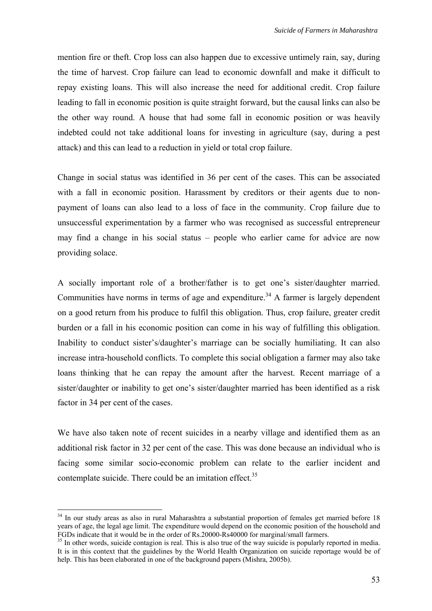mention fire or theft. Crop loss can also happen due to excessive untimely rain, say, during the time of harvest. Crop failure can lead to economic downfall and make it difficult to repay existing loans. This will also increase the need for additional credit. Crop failure leading to fall in economic position is quite straight forward, but the causal links can also be the other way round. A house that had some fall in economic position or was heavily indebted could not take additional loans for investing in agriculture (say, during a pest attack) and this can lead to a reduction in yield or total crop failure.

Change in social status was identified in 36 per cent of the cases. This can be associated with a fall in economic position. Harassment by creditors or their agents due to nonpayment of loans can also lead to a loss of face in the community. Crop failure due to unsuccessful experimentation by a farmer who was recognised as successful entrepreneur may find a change in his social status – people who earlier came for advice are now providing solace.

A socially important role of a brother/father is to get one's sister/daughter married. Communities have norms in terms of age and expenditure.<sup>34</sup> A farmer is largely dependent on a good return from his produce to fulfil this obligation. Thus, crop failure, greater credit burden or a fall in his economic position can come in his way of fulfilling this obligation. Inability to conduct sister's/daughter's marriage can be socially humiliating. It can also increase intra-household conflicts. To complete this social obligation a farmer may also take loans thinking that he can repay the amount after the harvest. Recent marriage of a sister/daughter or inability to get one's sister/daughter married has been identified as a risk factor in 34 per cent of the cases.

We have also taken note of recent suicides in a nearby village and identified them as an additional risk factor in 32 per cent of the case. This was done because an individual who is facing some similar socio-economic problem can relate to the earlier incident and contemplate suicide. There could be an imitation effect.<sup>35</sup>

<span id="page-60-0"></span><sup>&</sup>lt;sup>34</sup> In our study areas as also in rural Maharashtra a substantial proportion of females get married before 18 years of age, the legal age limit. The expenditure would depend on the economic position of the household and FGDs indicate that it would be in the order of Rs.20000-Rs40000 for marginal/small farmers.

<span id="page-60-1"></span> $^{35}$  In other words, suicide contagion is real. This is also true of the way suicide is popularly reported in media. It is in this context that the guidelines by the World Health Organization on suicide reportage would be of help. This has been elaborated in one of the background papers (Mishra, 2005b).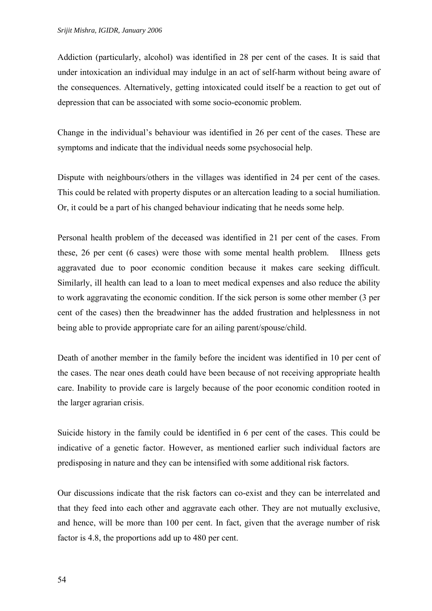Addiction (particularly, alcohol) was identified in 28 per cent of the cases. It is said that under intoxication an individual may indulge in an act of self-harm without being aware of the consequences. Alternatively, getting intoxicated could itself be a reaction to get out of depression that can be associated with some socio-economic problem.

Change in the individual's behaviour was identified in 26 per cent of the cases. These are symptoms and indicate that the individual needs some psychosocial help.

Dispute with neighbours/others in the villages was identified in 24 per cent of the cases. This could be related with property disputes or an altercation leading to a social humiliation. Or, it could be a part of his changed behaviour indicating that he needs some help.

Personal health problem of the deceased was identified in 21 per cent of the cases. From these, 26 per cent (6 cases) were those with some mental health problem. Illness gets aggravated due to poor economic condition because it makes care seeking difficult. Similarly, ill health can lead to a loan to meet medical expenses and also reduce the ability to work aggravating the economic condition. If the sick person is some other member (3 per cent of the cases) then the breadwinner has the added frustration and helplessness in not being able to provide appropriate care for an ailing parent/spouse/child.

Death of another member in the family before the incident was identified in 10 per cent of the cases. The near ones death could have been because of not receiving appropriate health care. Inability to provide care is largely because of the poor economic condition rooted in the larger agrarian crisis.

Suicide history in the family could be identified in 6 per cent of the cases. This could be indicative of a genetic factor. However, as mentioned earlier such individual factors are predisposing in nature and they can be intensified with some additional risk factors.

Our discussions indicate that the risk factors can co-exist and they can be interrelated and that they feed into each other and aggravate each other. They are not mutually exclusive, and hence, will be more than 100 per cent. In fact, given that the average number of risk factor is 4.8, the proportions add up to 480 per cent.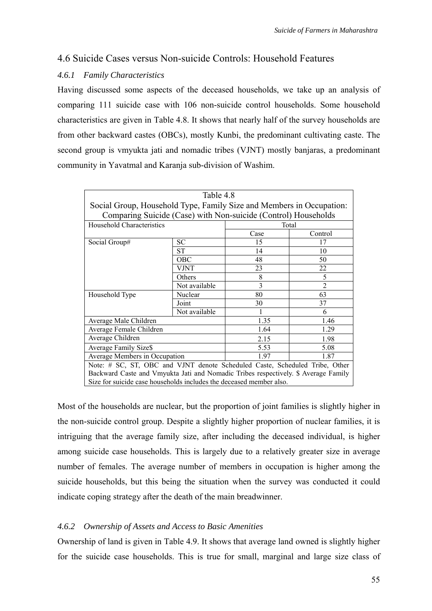# 4.6 Suicide Cases versus Non-suicide Controls: Household Features

## *4.6.1 Family Characteristics*

Having discussed some aspects of the deceased households, we take up an analysis of comparing 111 suicide case with 106 non-suicide control households. Some household characteristics are given in Table 4.8. It shows that nearly half of the survey households are from other backward castes (OBCs), mostly Kunbi, the predominant cultivating caste. The second group is vmyukta jati and nomadic tribes (VJNT) mostly banjaras, a predominant community in Yavatmal and Karanja sub-division of Washim.

| Table 4.8                                                                          |               |      |                |  |
|------------------------------------------------------------------------------------|---------------|------|----------------|--|
| Social Group, Household Type, Family Size and Members in Occupation:               |               |      |                |  |
| Comparing Suicide (Case) with Non-suicide (Control) Households                     |               |      |                |  |
| Household Characteristics                                                          |               |      | Total          |  |
|                                                                                    |               | Case | Control        |  |
| Social Group#                                                                      | SС            | 15   | 17             |  |
|                                                                                    | <b>ST</b>     | 14   | 10             |  |
|                                                                                    | <b>OBC</b>    | 48   | 50             |  |
|                                                                                    | <b>VJNT</b>   | 23   | 22             |  |
|                                                                                    | Others        | 8    | 5              |  |
|                                                                                    | Not available | 3    | $\overline{2}$ |  |
| Household Type                                                                     | Nuclear       | 80   | 63             |  |
|                                                                                    | Joint         | 30   | 37             |  |
|                                                                                    | Not available |      | 6              |  |
| Average Male Children                                                              |               | 1.35 | 1.46           |  |
| Average Female Children                                                            |               | 1.64 | 1.29           |  |
| Average Children                                                                   |               | 2.15 | 1.98           |  |
| Average Family Size\$                                                              |               | 5.53 | 5.08           |  |
| Average Members in Occupation                                                      |               | 1.97 | 1.87           |  |
| Note: # SC, ST, OBC and VJNT denote Scheduled Caste, Scheduled Tribe, Other        |               |      |                |  |
| Backward Caste and Vmyukta Jati and Nomadic Tribes respectively. \$ Average Family |               |      |                |  |
| Size for suicide case households includes the deceased member also.                |               |      |                |  |

Most of the households are nuclear, but the proportion of joint families is slightly higher in the non-suicide control group. Despite a slightly higher proportion of nuclear families, it is intriguing that the average family size, after including the deceased individual, is higher among suicide case households. This is largely due to a relatively greater size in average number of females. The average number of members in occupation is higher among the suicide households, but this being the situation when the survey was conducted it could indicate coping strategy after the death of the main breadwinner.

## *4.6.2 Ownership of Assets and Access to Basic Amenities*

Ownership of land is given in Table 4.9. It shows that average land owned is slightly higher for the suicide case households. This is true for small, marginal and large size class of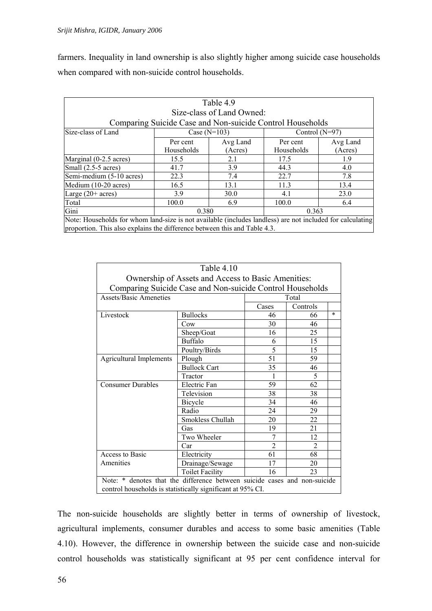farmers. Inequality in land ownership is also slightly higher among suicide case households when compared with non-suicide control households.

| Table 4.9                                                                                                 |                |          |                  |          |  |  |  |  |
|-----------------------------------------------------------------------------------------------------------|----------------|----------|------------------|----------|--|--|--|--|
| Size-class of Land Owned:                                                                                 |                |          |                  |          |  |  |  |  |
| Comparing Suicide Case and Non-suicide Control Households                                                 |                |          |                  |          |  |  |  |  |
| Size-class of Land                                                                                        | Case $(N=103)$ |          | Control $(N=97)$ |          |  |  |  |  |
|                                                                                                           | Per cent       | Avg Land | Per cent         | Avg Land |  |  |  |  |
|                                                                                                           | Households     | (Acres)  | Households       | (Acres)  |  |  |  |  |
| Marginal (0-2.5 acres)                                                                                    | 15.5           | 2.1      | 17.5             | 1.9      |  |  |  |  |
| Small (2.5-5 acres)                                                                                       | 41.7           | 3.9      | 44.3             | 4.0      |  |  |  |  |
| Semi-medium (5-10 acres)                                                                                  | 22.3           | 7.4      | 22.7             | 7.8      |  |  |  |  |
| Medium (10-20 acres)                                                                                      | 16.5           | 13.1     | 11.3             | 13.4     |  |  |  |  |
| Large $(20+ \text{ acres})$                                                                               | 3.9            | 30.0     | 4.1              | 23.0     |  |  |  |  |
| Total                                                                                                     | 100.0          | 6.9      | 100.0            | 6.4      |  |  |  |  |
| Gini                                                                                                      | 0.380          |          | 0.363            |          |  |  |  |  |
| Note: Households for whom land-size is not available (includes landless) are not included for calculating |                |          |                  |          |  |  |  |  |
| proportion. This also explains the difference between this and Table 4.3.                                 |                |          |                  |          |  |  |  |  |

| Table 4.10                                                                |                        |                |                |        |  |  |  |
|---------------------------------------------------------------------------|------------------------|----------------|----------------|--------|--|--|--|
| Ownership of Assets and Access to Basic Amenities:                        |                        |                |                |        |  |  |  |
| Comparing Suicide Case and Non-suicide Control Households                 |                        |                |                |        |  |  |  |
| <b>Assets/Basic Ameneties</b>                                             |                        |                | Total          |        |  |  |  |
|                                                                           |                        | Cases          | Controls       |        |  |  |  |
| Livestock                                                                 | <b>Bullocks</b>        | 46             | 66             | $\ast$ |  |  |  |
|                                                                           | Cow                    | 30             | 46             |        |  |  |  |
|                                                                           | Sheep/Goat             | 16             | 25             |        |  |  |  |
|                                                                           | <b>Buffalo</b>         | 6              | 15             |        |  |  |  |
|                                                                           | Poultry/Birds          | 5              | 15             |        |  |  |  |
| <b>Agricultural Implements</b>                                            | Plough                 | 51             | 59             |        |  |  |  |
|                                                                           | <b>Bullock Cart</b>    | 35             | 46             |        |  |  |  |
|                                                                           | Tractor                | 1              | 5              |        |  |  |  |
| <b>Consumer Durables</b>                                                  | Electric Fan           | 59             | 62             |        |  |  |  |
|                                                                           | Television             | 38             | 38             |        |  |  |  |
|                                                                           | Bicycle                | 34             | 46             |        |  |  |  |
|                                                                           | Radio                  | 24             | 29             |        |  |  |  |
|                                                                           | Smokless Chullah       | 20             | 22             |        |  |  |  |
|                                                                           | Gas                    | 19             | 21             |        |  |  |  |
|                                                                           | Two Wheeler            | 7              | 12             |        |  |  |  |
|                                                                           | Car                    | $\overline{2}$ | $\mathfrak{D}$ |        |  |  |  |
| Access to Basic                                                           | Electricity            | 61             | 68             |        |  |  |  |
| Amenities                                                                 | Drainage/Sewage        | 17             | 20             |        |  |  |  |
|                                                                           | <b>Toilet Facility</b> | 16             | 23             |        |  |  |  |
| Note: * denotes that the difference between suicide cases and non-suicide |                        |                |                |        |  |  |  |
| control households is statistically significant at 95% CI.                |                        |                |                |        |  |  |  |

The non-suicide households are slightly better in terms of ownership of livestock, agricultural implements, consumer durables and access to some basic amenities (Table 4.10). However, the difference in ownership between the suicide case and non-suicide control households was statistically significant at 95 per cent confidence interval for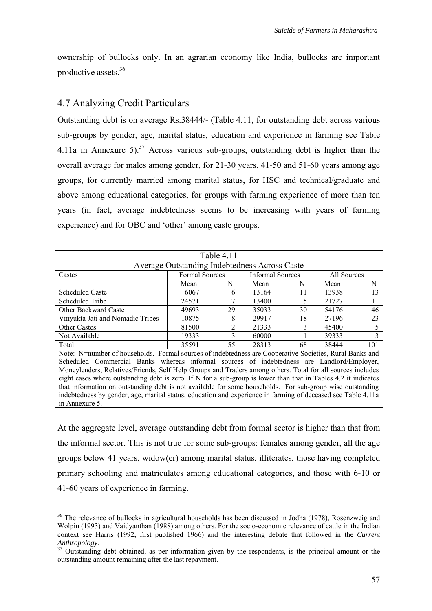ownership of bullocks only. In an agrarian economy like India, bullocks are important productive assets <sup>36</sup>

# 4.7 Analyzing Credit Particulars

Outstanding debt is on average Rs.38444/- (Table 4.11, for outstanding debt across various sub-groups by gender, age, marital status, education and experience in farming see Table 4.11a in Annexure 5).<sup>37</sup> Across various sub-groups, outstanding debt is higher than the overall average for males among gender, for 21-30 years, 41-50 and 51-60 years among age groups, for currently married among marital status, for HSC and technical/graduate and above among educational categories, for groups with farming experience of more than ten years (in fact, average indebtedness seems to be increasing with years of farming experience) and for OBC and 'other' among caste groups.

| Table 4.11                                                                                                     |                       |                                               |       |                  |             |     |  |  |
|----------------------------------------------------------------------------------------------------------------|-----------------------|-----------------------------------------------|-------|------------------|-------------|-----|--|--|
|                                                                                                                |                       | Average Outstanding Indebtedness Across Caste |       |                  |             |     |  |  |
| Castes                                                                                                         | <b>Formal Sources</b> |                                               |       | Informal Sources | All Sources |     |  |  |
|                                                                                                                | Mean                  | N                                             | Mean  | N                | Mean        | N   |  |  |
| <b>Scheduled Caste</b>                                                                                         | 6067                  | 6                                             | 13164 | 11               | 13938       | 13  |  |  |
| Scheduled Tribe                                                                                                | 24571                 | 7                                             | 13400 | 5                | 21727       | 11  |  |  |
| Other Backward Caste                                                                                           | 49693                 | 29                                            | 35033 | 30               | 54176       | 46  |  |  |
| Vmyukta Jati and Nomadic Tribes                                                                                | 10875                 | 8                                             | 29917 | 18               | 27196       | 23  |  |  |
| <b>Other Castes</b>                                                                                            | 81500                 | $\overline{2}$                                | 21333 | 3                | 45400       | 5   |  |  |
| Not Available                                                                                                  | 19333                 | 3                                             | 60000 |                  | 39333       | 3   |  |  |
| Total                                                                                                          | 35591                 | 55                                            | 28313 | 68               | 38444       | 101 |  |  |
| Note: N=number of households. Formal sources of indebtedness are Cooperative Societies, Rural Banks and        |                       |                                               |       |                  |             |     |  |  |
| Scheduled Commercial Banks whereas informal sources of indebtedness are Landlord/Employer,                     |                       |                                               |       |                  |             |     |  |  |
| Moneylenders, Relatives/Friends, Self Help Groups and Traders among others. Total for all sources includes     |                       |                                               |       |                  |             |     |  |  |
| eight cases where outstanding debt is zero. If N for a sub-group is lower than that in Tables 4.2 it indicates |                       |                                               |       |                  |             |     |  |  |
| that information on outstanding debt is not available for some households. For sub-group wise outstanding      |                       |                                               |       |                  |             |     |  |  |
| indebtedness by gender, age, marital status, education and experience in farming of deceased see Table 4.11a   |                       |                                               |       |                  |             |     |  |  |
| in Annexure 5.                                                                                                 |                       |                                               |       |                  |             |     |  |  |

At the aggregate level, average outstanding debt from formal sector is higher than that from the informal sector. This is not true for some sub-groups: females among gender, all the age groups below 41 years, widow(er) among marital status, illiterates, those having completed primary schooling and matriculates among educational categories, and those with 6-10 or 41-60 years of experience in farming.

<span id="page-64-0"></span><sup>&</sup>lt;sup>36</sup> The relevance of bullocks in agricultural households has been discussed in Jodha (1978), Rosenzweig and Wolpin (1993) and Vaidyanthan (1988) among others. For the socio-economic relevance of cattle in the Indian context see Harris (1992, first published 1966) and the interesting debate that followed in the *Current Anthropology*. 37 Outstanding debt obtained, as per information given by the respondents, is the principal amount or the

<span id="page-64-1"></span>outstanding amount remaining after the last repayment.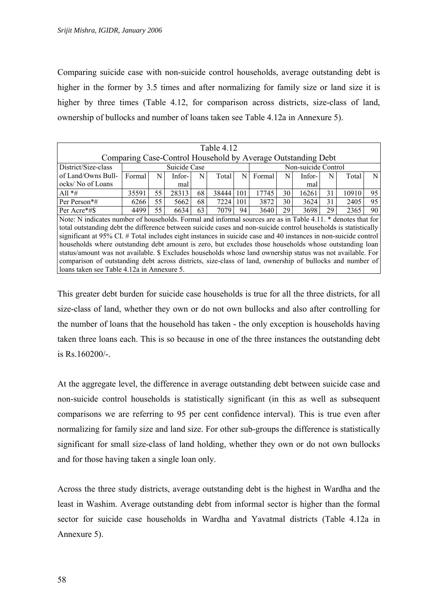Comparing suicide case with non-suicide control households, average outstanding debt is higher in the former by 3.5 times and after normalizing for family size or land size it is higher by three times (Table 4.12, for comparison across districts, size-class of land, ownership of bullocks and number of loans taken see Table 4.12a in Annexure 5).

| Table 4.12                                                                                                      |        |    |              |    |       |     |        |    |                     |    |       |    |
|-----------------------------------------------------------------------------------------------------------------|--------|----|--------------|----|-------|-----|--------|----|---------------------|----|-------|----|
| Comparing Case-Control Household by Average Outstanding Debt                                                    |        |    |              |    |       |     |        |    |                     |    |       |    |
| District/Size-class                                                                                             |        |    | Suicide Case |    |       |     |        |    | Non-suicide Control |    |       |    |
| of Land/Owns Bull-                                                                                              | Formal | N  | Infor-       | N  | Total | N   | Formal | N  | Infor-              | N  | Total | N  |
| ocks/No of Loans                                                                                                |        |    | mal          |    |       |     |        |    | mal                 |    |       |    |
| All $*$ #                                                                                                       | 35591  | 55 | 28313        | 68 | 38444 | 101 | 17745  | 30 | 16261               | 31 | 10910 | 95 |
| Per Person*#                                                                                                    | 6266   | 55 | 5662         | 68 | 7224  | 101 | 3872   | 30 | 3624                | 31 | 2405  | 95 |
| Per Acre*#\$                                                                                                    | 4499   | 55 | 6634         | 63 | 7079  | 94  | 3640   | 29 | 3698                | 29 | 2365  | 90 |
| Note: N indicates number of households. Formal and informal sources are as in Table 4.11. * denotes that for    |        |    |              |    |       |     |        |    |                     |    |       |    |
| total outstanding debt the difference between suicide cases and non-suicide control households is statistically |        |    |              |    |       |     |        |    |                     |    |       |    |
| significant at 95% CI. # Total includes eight instances in suicide case and 40 instances in non-suicide control |        |    |              |    |       |     |        |    |                     |    |       |    |
| households where outstanding debt amount is zero, but excludes those households whose outstanding loan          |        |    |              |    |       |     |        |    |                     |    |       |    |
| status/amount was not available. \$ Excludes households whose land ownership status was not available. For      |        |    |              |    |       |     |        |    |                     |    |       |    |
| comparison of outstanding debt across districts, size-class of land, ownership of bullocks and number of        |        |    |              |    |       |     |        |    |                     |    |       |    |
| loans taken see Table 4.12a in Annexure 5.                                                                      |        |    |              |    |       |     |        |    |                     |    |       |    |

This greater debt burden for suicide case households is true for all the three districts, for all size-class of land, whether they own or do not own bullocks and also after controlling for the number of loans that the household has taken - the only exception is households having taken three loans each. This is so because in one of the three instances the outstanding debt is Rs.160200/-.

At the aggregate level, the difference in average outstanding debt between suicide case and non-suicide control households is statistically significant (in this as well as subsequent comparisons we are referring to 95 per cent confidence interval). This is true even after normalizing for family size and land size. For other sub-groups the difference is statistically significant for small size-class of land holding, whether they own or do not own bullocks and for those having taken a single loan only.

Across the three study districts, average outstanding debt is the highest in Wardha and the least in Washim. Average outstanding debt from informal sector is higher than the formal sector for suicide case households in Wardha and Yavatmal districts (Table 4.12a in Annexure 5).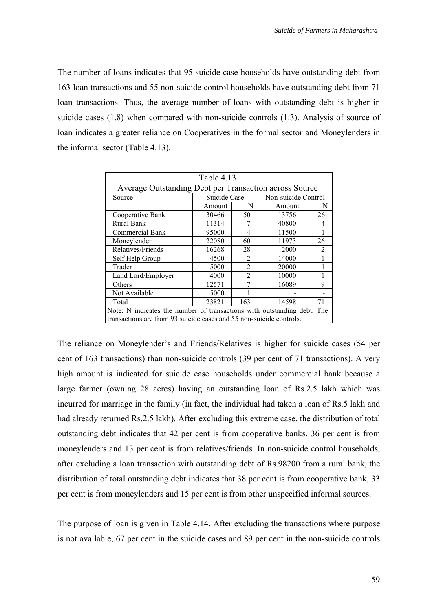The number of loans indicates that 95 suicide case households have outstanding debt from 163 loan transactions and 55 non-suicide control households have outstanding debt from 71 loan transactions. Thus, the average number of loans with outstanding debt is higher in suicide cases (1.8) when compared with non-suicide controls (1.3). Analysis of source of loan indicates a greater reliance on Cooperatives in the formal sector and Moneylenders in the informal sector (Table 4.13).

| Table 4.13                                                              |              |                |                     |                |  |  |  |
|-------------------------------------------------------------------------|--------------|----------------|---------------------|----------------|--|--|--|
| Average Outstanding Debt per Transaction across Source                  |              |                |                     |                |  |  |  |
| Source                                                                  | Suicide Case |                | Non-suicide Control |                |  |  |  |
|                                                                         | N<br>Amount  |                | Amount              | N              |  |  |  |
| Cooperative Bank                                                        | 30466        | 50             | 13756               | 26             |  |  |  |
| Rural Bank                                                              | 11314        |                | 40800               | 4              |  |  |  |
| Commercial Bank                                                         | 95000        | 4              | 11500               |                |  |  |  |
| Moneylender                                                             | 22080        | 60             | 11973               | 26             |  |  |  |
| Relatives/Friends                                                       | 16268        | 28             | 2000                | $\mathfrak{D}$ |  |  |  |
| Self Help Group                                                         | 4500         | $\mathfrak{D}$ | 14000               |                |  |  |  |
| Trader                                                                  | 5000         | $\overline{2}$ | 20000               |                |  |  |  |
| Land Lord/Employer                                                      | 4000         | $\mathfrak{D}$ | 10000               |                |  |  |  |
| Others                                                                  | 12571        |                | 16089               | 9              |  |  |  |
| Not Available                                                           | 5000         |                |                     |                |  |  |  |
| Total                                                                   | 23821        | 163            | 14598               | 71             |  |  |  |
| Note: N indicates the number of transactions with outstanding debt. The |              |                |                     |                |  |  |  |
| transactions are from 93 suicide cases and 55 non-suicide controls.     |              |                |                     |                |  |  |  |

The reliance on Moneylender's and Friends/Relatives is higher for suicide cases (54 per cent of 163 transactions) than non-suicide controls (39 per cent of 71 transactions). A very high amount is indicated for suicide case households under commercial bank because a large farmer (owning 28 acres) having an outstanding loan of Rs.2.5 lakh which was incurred for marriage in the family (in fact, the individual had taken a loan of Rs.5 lakh and had already returned Rs.2.5 lakh). After excluding this extreme case, the distribution of total outstanding debt indicates that 42 per cent is from cooperative banks, 36 per cent is from moneylenders and 13 per cent is from relatives/friends. In non-suicide control households, after excluding a loan transaction with outstanding debt of Rs.98200 from a rural bank, the distribution of total outstanding debt indicates that 38 per cent is from cooperative bank, 33 per cent is from moneylenders and 15 per cent is from other unspecified informal sources.

The purpose of loan is given in Table 4.14. After excluding the transactions where purpose is not available, 67 per cent in the suicide cases and 89 per cent in the non-suicide controls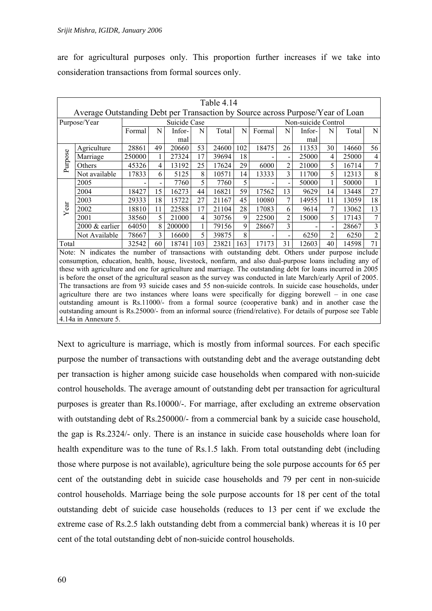are for agricultural purposes only. This proportion further increases if we take into consideration transactions from formal sources only.

|         | Table 4.14                                                                                                    |        |    |              |     |       |     |        |                |                     |                |       |                |
|---------|---------------------------------------------------------------------------------------------------------------|--------|----|--------------|-----|-------|-----|--------|----------------|---------------------|----------------|-------|----------------|
|         | Average Outstanding Debt per Transaction by Source across Purpose/Year of Loan                                |        |    |              |     |       |     |        |                |                     |                |       |                |
|         | Purpose/Year                                                                                                  |        |    | Suicide Case |     |       |     |        |                | Non-suicide Control |                |       |                |
|         |                                                                                                               | Formal | N  | Infor-       | N   | Total | N   | Formal | N              | Infor-              | N              | Total | N              |
|         |                                                                                                               |        |    | mal          |     |       |     |        |                | mal                 |                |       |                |
|         | Agriculture                                                                                                   | 28861  | 49 | 20660        | 53  | 24600 | 102 | 18475  | 26             | 11353               | 30             | 14660 | 56             |
| Purpose | Marriage                                                                                                      | 250000 |    | 27324        | 17  | 39694 | 18  |        |                | 25000               | 4              | 25000 | 4              |
|         | Others                                                                                                        | 45326  | 4  | 13192        | 25  | 17624 | 29  | 6000   | $\overline{2}$ | 21000               | 5              | 16714 | 7              |
|         | Not available                                                                                                 | 17833  | 6  | 5125         | 8   | 10571 | 14  | 13333  | 3              | 11700               | 5              | 12313 | 8              |
|         | 2005                                                                                                          |        |    | 7760         | 5   | 7760  | 5   |        |                | 50000               |                | 50000 |                |
|         | 2004                                                                                                          | 18427  | 15 | 16273        | 44  | 16821 | 59  | 17562  | 13             | 9629                | 14             | 13448 | 27             |
|         | 2003                                                                                                          | 29333  | 18 | 15722        | 27  | 21167 | 45  | 10080  | 7              | 14955               | 11             | 13059 | 18             |
| Year    | 2002                                                                                                          | 18810  | 11 | 22588        | 17  | 21104 | 28  | 17083  | 6              | 9614                | 7              | 13062 | 13             |
|         | 2001                                                                                                          | 38560  | 5  | 21000        | 4   | 30756 | 9   | 22500  | $\mathfrak{D}$ | 15000               | 5              | 17143 | 7              |
|         | $2000 \&$ earlier                                                                                             | 64050  | 8  | 200000       | 1   | 79156 | 9   | 28667  | 3              |                     |                | 28667 | 3              |
|         | Not Available                                                                                                 | 78667  | 3  | 16600        | 5   | 39875 | 8   |        |                | 6250                | $\overline{2}$ | 6250  | $\overline{2}$ |
| Total   |                                                                                                               | 32542  | 60 | 18741        | 103 | 23821 | 163 | 17173  | 31             | 12603               | 40             | 14598 | 71             |
|         | Note: N indicates the number of transactions with outstanding debt. Others under purpose include              |        |    |              |     |       |     |        |                |                     |                |       |                |
|         | consumption, education, health, house, livestock, nonfarm, and also dual-purpose loans including any of       |        |    |              |     |       |     |        |                |                     |                |       |                |
|         | these with agriculture and one for agriculture and marriage. The outstanding debt for loans incurred in 2005  |        |    |              |     |       |     |        |                |                     |                |       |                |
|         | is before the onset of the agricultural season as the survey was conducted in late March/early April of 2005. |        |    |              |     |       |     |        |                |                     |                |       |                |
|         | The transactions are from 93 suicide cases and 55 non-suicide controls. In suicide case households, under     |        |    |              |     |       |     |        |                |                     |                |       |                |
|         | agriculture there are two instances where loans were specifically for digging borewell – in one case          |        |    |              |     |       |     |        |                |                     |                |       |                |
|         | outstanding amount is Rs.11000/- from a formal source (cooperative bank) and in another case the              |        |    |              |     |       |     |        |                |                     |                |       |                |
|         | outstanding amount is Rs.25000/- from an informal source (friend/relative). For details of purpose see Table  |        |    |              |     |       |     |        |                |                     |                |       |                |
|         | 4.14a in Annexure 5.                                                                                          |        |    |              |     |       |     |        |                |                     |                |       |                |

Next to agriculture is marriage, which is mostly from informal sources. For each specific purpose the number of transactions with outstanding debt and the average outstanding debt per transaction is higher among suicide case households when compared with non-suicide control households. The average amount of outstanding debt per transaction for agricultural purposes is greater than Rs.10000/-. For marriage, after excluding an extreme observation with outstanding debt of Rs.250000/- from a commercial bank by a suicide case household, the gap is Rs.2324/- only. There is an instance in suicide case households where loan for health expenditure was to the tune of Rs.1.5 lakh. From total outstanding debt (including those where purpose is not available), agriculture being the sole purpose accounts for 65 per cent of the outstanding debt in suicide case households and 79 per cent in non-suicide control households. Marriage being the sole purpose accounts for 18 per cent of the total outstanding debt of suicide case households (reduces to 13 per cent if we exclude the extreme case of Rs.2.5 lakh outstanding debt from a commercial bank) whereas it is 10 per cent of the total outstanding debt of non-suicide control households.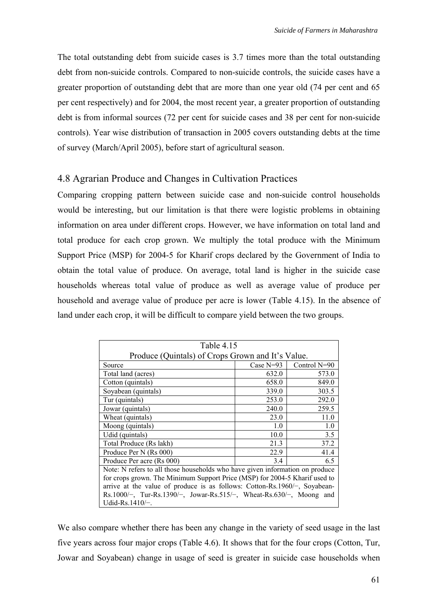The total outstanding debt from suicide cases is 3.7 times more than the total outstanding debt from non-suicide controls. Compared to non-suicide controls, the suicide cases have a greater proportion of outstanding debt that are more than one year old (74 per cent and 65 per cent respectively) and for 2004, the most recent year, a greater proportion of outstanding debt is from informal sources (72 per cent for suicide cases and 38 per cent for non-suicide controls). Year wise distribution of transaction in 2005 covers outstanding debts at the time of survey (March/April 2005), before start of agricultural season.

## 4.8 Agrarian Produce and Changes in Cultivation Practices

Comparing cropping pattern between suicide case and non-suicide control households would be interesting, but our limitation is that there were logistic problems in obtaining information on area under different crops. However, we have information on total land and total produce for each crop grown. We multiply the total produce with the Minimum Support Price (MSP) for 2004-5 for Kharif crops declared by the Government of India to obtain the total value of produce. On average, total land is higher in the suicide case households whereas total value of produce as well as average value of produce per household and average value of produce per acre is lower (Table 4.15). In the absence of land under each crop, it will be difficult to compare yield between the two groups.

| Table 4.15                                                                    |             |              |  |  |  |  |  |
|-------------------------------------------------------------------------------|-------------|--------------|--|--|--|--|--|
| Produce (Quintals) of Crops Grown and It's Value.                             |             |              |  |  |  |  |  |
| Source                                                                        | Case $N=93$ | Control N=90 |  |  |  |  |  |
| Total land (acres)                                                            | 632.0       | 573.0        |  |  |  |  |  |
| Cotton (quintals)                                                             | 658.0       | 849.0        |  |  |  |  |  |
| Soyabean (quintals)                                                           | 339.0       | 303.5        |  |  |  |  |  |
| Tur (quintals)                                                                | 253.0       | 292.0        |  |  |  |  |  |
| Jowar (quintals)                                                              | 240.0       | 259.5        |  |  |  |  |  |
| Wheat (quintals)                                                              | 23.0        | 11.0         |  |  |  |  |  |
| Moong (quintals)                                                              | 1.0         | 1.0          |  |  |  |  |  |
| Udid (quintals)                                                               | 10.0        | 3.5          |  |  |  |  |  |
| Total Produce (Rs lakh)                                                       | 21.3        | 37.2         |  |  |  |  |  |
| Produce Per N (Rs 000)                                                        | 22.9        | 41.4         |  |  |  |  |  |
| Produce Per acre (Rs 000)                                                     | 3.4         | 6.5          |  |  |  |  |  |
| Note: N refers to all those households who have given information on produce  |             |              |  |  |  |  |  |
| for crops grown. The Minimum Support Price (MSP) for 2004-5 Kharif used to    |             |              |  |  |  |  |  |
| arrive at the value of produce is as follows: Cotton-Rs.1960/ $-$ , Soyabean- |             |              |  |  |  |  |  |
| Rs.1000/-, Tur-Rs.1390/-, Jowar-Rs.515/-, Wheat-Rs.630/-, Moong and           |             |              |  |  |  |  |  |
| Udid-Rs.1410/ $-$ .                                                           |             |              |  |  |  |  |  |

We also compare whether there has been any change in the variety of seed usage in the last five years across four major crops (Table 4.6). It shows that for the four crops (Cotton, Tur, Jowar and Soyabean) change in usage of seed is greater in suicide case households when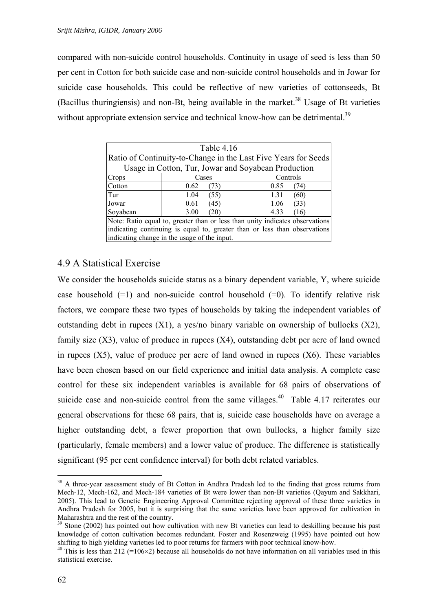compared with non-suicide control households. Continuity in usage of seed is less than 50 per cent in Cotton for both suicide case and non-suicide control households and in Jowar for suicide case households. This could be reflective of new varieties of cottonseeds, Bt (Bacillus thuringiensis) and non-Bt, being available in the market.<sup>38</sup> Usage of Bt varieties without appropriate extension service and technical know-how can be detrimental.<sup>39</sup>

| Table 4.16                                                                   |                                              |              |  |  |  |  |  |
|------------------------------------------------------------------------------|----------------------------------------------|--------------|--|--|--|--|--|
| Ratio of Continuity-to-Change in the Last Five Years for Seeds               |                                              |              |  |  |  |  |  |
| Usage in Cotton, Tur, Jowar and Soyabean Production                          |                                              |              |  |  |  |  |  |
| Crops                                                                        | Controls<br>Cases                            |              |  |  |  |  |  |
| Cotton                                                                       | 0.62<br>(73)                                 | 0.85<br>(74) |  |  |  |  |  |
| Tur                                                                          | 1.04<br>(55)                                 | 1.31<br>(60) |  |  |  |  |  |
| Jowar                                                                        | 0.61<br>(45)                                 | 1.06<br>(33) |  |  |  |  |  |
| Soyabean                                                                     | 3.00<br>(20)                                 | 4.33<br>(16) |  |  |  |  |  |
| Note: Ratio equal to, greater than or less than unity indicates observations |                                              |              |  |  |  |  |  |
| indicating continuing is equal to, greater than or less than observations    |                                              |              |  |  |  |  |  |
|                                                                              | indicating change in the usage of the input. |              |  |  |  |  |  |

## 4.9 A Statistical Exercise

We consider the households suicide status as a binary dependent variable, Y, where suicide case household  $(=1)$  and non-suicide control household  $(=0)$ . To identify relative risk factors, we compare these two types of households by taking the independent variables of outstanding debt in rupees  $(X1)$ , a yes/no binary variable on ownership of bullocks  $(X2)$ , family size  $(X3)$ , value of produce in rupees  $(X4)$ , outstanding debt per acre of land owned in rupees (X5), value of produce per acre of land owned in rupees (X6). These variables have been chosen based on our field experience and initial data analysis. A complete case control for these six independent variables is available for 68 pairs of observations of suicide case and non-suicide control from the same villages.<sup>40</sup> Table 4.17 reiterates our general observations for these 68 pairs, that is, suicide case households have on average a higher outstanding debt, a fewer proportion that own bullocks, a higher family size (particularly, female members) and a lower value of produce. The difference is statistically significant (95 per cent confidence interval) for both debt related variables.

<span id="page-69-0"></span><sup>&</sup>lt;sup>38</sup> A three-year assessment study of Bt Cotton in Andhra Pradesh led to the finding that gross returns from Mech-12, Mech-162, and Mech-184 varieties of Bt were lower than non-Bt varieties (Qayum and Sakkhari, 2005). This lead to Genetic Engineering Approval Committee rejecting approval of these three varieties in Andhra Pradesh for 2005, but it is surprising that the same varieties have been approved for cultivation in Maharashtra and the rest of the country.<br><sup>39</sup> Stone (2002) has pointed out how cultivation with new Bt varieties can lead to deskilling because his past

<span id="page-69-1"></span>knowledge of cotton cultivation becomes redundant. Foster and Rosenzweig (1995) have pointed out how shifting to high yielding varieties led to poor returns for farmers with poor technical know-how.<br><sup>40</sup> This is less than 212 (=106×2) because all households do not have information on all variables used in this

<span id="page-69-2"></span>statistical exercise.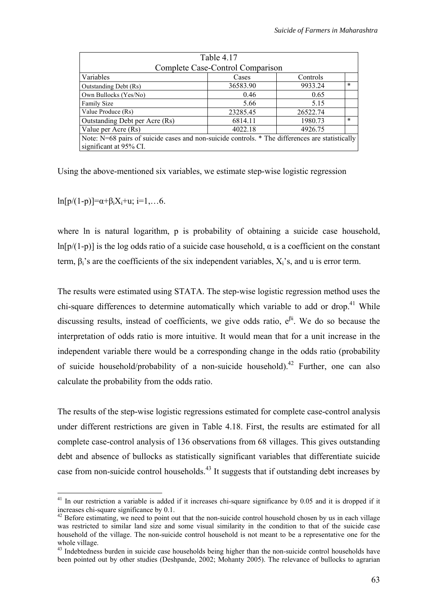<span id="page-70-2"></span>

| Table 4.17                                                                                      |          |          |        |  |  |  |  |  |
|-------------------------------------------------------------------------------------------------|----------|----------|--------|--|--|--|--|--|
| Complete Case-Control Comparison                                                                |          |          |        |  |  |  |  |  |
| Variables                                                                                       | Cases    | Controls |        |  |  |  |  |  |
| Outstanding Debt (Rs)                                                                           | 36583.90 | 9933.24  | $\ast$ |  |  |  |  |  |
| Own Bullocks (Yes/No)                                                                           | 0.46     | 0.65     |        |  |  |  |  |  |
| <b>Family Size</b>                                                                              | 5.66     | 5.15     |        |  |  |  |  |  |
| Value Produce (Rs)                                                                              | 23285.45 | 26522.74 |        |  |  |  |  |  |
| Outstanding Debt per Acre (Rs)                                                                  | 6814.11  | 1980.73  | $\ast$ |  |  |  |  |  |
| Value per Acre (Rs)                                                                             | 4022.18  | 4926.75  |        |  |  |  |  |  |
| Note: N=68 pairs of suicide cases and non-suicide controls. * The differences are statistically |          |          |        |  |  |  |  |  |
| significant at 95% CI.                                                                          |          |          |        |  |  |  |  |  |

Using the above-mentioned six variables, we estimate step-wise logistic regression

ln[p/(1-p)]= $\alpha + \beta_i X_i + u$ ; i=1,...6.

where ln is natural logarithm, p is probability of obtaining a suicide case household,  $ln[p/(1-p)]$  is the log odds ratio of a suicide case household,  $\alpha$  is a coefficient on the constant term,  $\beta_i$ 's are the coefficients of the six independent variables,  $X_i$ 's, and u is error term.

The results were estimated using STATA. The step-wise logistic regression method uses the chi-square differences to determine automatically which variable to add or drop.<sup>41</sup> While discussing results, instead of coefficients, we give odds ratio,  $e^{\beta i}$ . We do so because the interpretation of odds ratio is more intuitive. It would mean that for a unit increase in the independent variable there would be a corresponding change in the odds ratio (probability of suicide household/probability of a non-suicide household).<sup>42</sup> Further, one can also calculate the probability from the odds ratio.

The results of the step-wise logistic regressions estimated for complete case-control analysis under different restrictions are given in Table 4.18. First, the results are estimated for all complete case-control analysis of 136 observations from 68 villages. This gives outstanding debt and absence of bullocks as statistically significant variables that differentiate suicide case from non-suicide control households.<sup>43</sup> It suggests that if outstanding debt increases by

<span id="page-70-0"></span><sup>&</sup>lt;sup>41</sup> In our restriction a variable is added if it increases chi-square significance by 0.05 and it is dropped if it increases chi-square significance by 0.1.  $\frac{1}{2}$ <br><sup>42</sup> Before estimating, we need to point out that the non-suicide control household chosen by us in each village

<span id="page-70-1"></span>was restricted to similar land size and some visual similarity in the condition to that of the suicide case household of the village. The non-suicide control household is not meant to be a representative one for the

 $43$  Indebtedness burden in suicide case households being higher than the non-suicide control households have been pointed out by other studies (Deshpande, 2002; Mohanty 2005). The relevance of bullocks to agrarian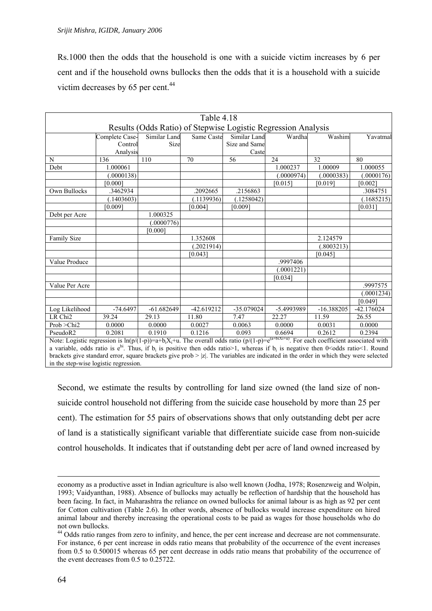Rs.1000 then the odds that the household is one with a suicide victim increases by 6 per cent and if the household owns bullocks then the odds that it is a household with a suicide victim decreases by 65 per cent. $44$ 

|                                                                                                                                           |                                                               |              | Table 4.18   |               |            |              |              |  |  |  |
|-------------------------------------------------------------------------------------------------------------------------------------------|---------------------------------------------------------------|--------------|--------------|---------------|------------|--------------|--------------|--|--|--|
|                                                                                                                                           | Results (Odds Ratio) of Stepwise Logistic Regression Analysis |              |              |               |            |              |              |  |  |  |
|                                                                                                                                           | Complete Case-                                                | Similar Land | Same Caste   | Similar Land  | Wardha     | Washim       | Yavatmal     |  |  |  |
|                                                                                                                                           | Control                                                       | Size         |              | Size and Same |            |              |              |  |  |  |
|                                                                                                                                           | Analysis                                                      |              |              | Caste         |            |              |              |  |  |  |
| N                                                                                                                                         | 136                                                           | 110          | 70           | 56            | 24         | 32           | 80           |  |  |  |
| Debt                                                                                                                                      | 1.000061                                                      |              |              |               | 1.000237   | 1.00009      | 1.000055     |  |  |  |
|                                                                                                                                           | (.0000138)                                                    |              |              |               | (.0000974) | (.0000383)   | (.0000176)   |  |  |  |
|                                                                                                                                           | [0.000]                                                       |              |              |               | [0.015]    | [0.019]      | [0.002]      |  |  |  |
| Own Bullocks                                                                                                                              | .3462934                                                      |              | .2092665     | .2156863      |            |              | .3084751     |  |  |  |
|                                                                                                                                           | (.1403603)                                                    |              | (.1139936)   | (.1258042)    |            |              | (.1685215)   |  |  |  |
|                                                                                                                                           | [0.009]                                                       |              | [0.004]      | [0.009]       |            |              | [0.031]      |  |  |  |
| Debt per Acre                                                                                                                             |                                                               | 1.000325     |              |               |            |              |              |  |  |  |
|                                                                                                                                           |                                                               | 0000776      |              |               |            |              |              |  |  |  |
|                                                                                                                                           |                                                               | [0.000]      |              |               |            |              |              |  |  |  |
| Family Size                                                                                                                               |                                                               |              | 1.352608     |               |            | 2.124579     |              |  |  |  |
|                                                                                                                                           |                                                               |              | (.2021914)   |               |            | (.8003213)   |              |  |  |  |
|                                                                                                                                           |                                                               |              | [0.043]      |               |            | [0.045]      |              |  |  |  |
| Value Produce                                                                                                                             |                                                               |              |              |               | .9997406   |              |              |  |  |  |
|                                                                                                                                           |                                                               |              |              |               | (.0001221) |              |              |  |  |  |
|                                                                                                                                           |                                                               |              |              |               | [0.034]    |              |              |  |  |  |
| Value Per Acre                                                                                                                            |                                                               |              |              |               |            |              | .9997575     |  |  |  |
|                                                                                                                                           |                                                               |              |              |               |            |              | (.0001234)   |  |  |  |
|                                                                                                                                           |                                                               |              |              |               |            |              | [0.049]      |  |  |  |
| Log Likelihood                                                                                                                            | $-74.6497$                                                    | $-61.682649$ | $-42.619212$ | $-35.079024$  | -5.4993989 | $-16.388205$ | $-42.176024$ |  |  |  |
| LR Chi <sub>2</sub>                                                                                                                       | 39.24                                                         | 29.13        | 11.80        | 7.47          | 22.27      | 11.59        | 26.55        |  |  |  |
| Prob > Chi2                                                                                                                               | 0.0000                                                        | 0.0000       | 0.0027       | 0.0063        | 0.0000     | 0.0031       | 0.0000       |  |  |  |
| PseudoR2                                                                                                                                  | 0.2081                                                        | 0.1910       | 0.1216       | 0.093         | 0.6694     | 0.2612       | 0.2394       |  |  |  |
| Note: Logistic regression is $\ln(n/(1-n))=a+b, X+n$ The overall odds ratio $(n/(1-n))=a^{(a+b)X+i}$ For each coefficient associated with |                                                               |              |              |               |            |              |              |  |  |  |

 $\sin(\frac{p}{1-p})=a+b_iX_i+u$ . The overall odds ratio (p/(1-p)=e<sup>(a+bi</sup>Xi+u) . For each coefficient associated with a variable, odds ratio is e<sup>bi</sup>. Thus, if  $b_i$  is positive then odds ratio >1, whereas if  $b_i$  is negative then 0 < odds ratio <1. Round brackets give standard error, square brackets give prob  $> |z|$ . The variables are indicated in the order in which they were selected in the step-wise logistic regression.

Second, we estimate the results by controlling for land size owned (the land size of nonsuicide control household not differing from the suicide case household by more than 25 per cent). The estimation for 55 pairs of observations shows that only outstanding debt per acre of land is a statistically significant variable that differentiate suicide case from non-suicide control households. It indicates that if outstanding debt per acre of land owned increased by

economy as a productive asset in Indian agriculture is also well known (Jodha, 1978; Rosenzweig and Wolpin, 1993; Vaidyanthan, 1988). Absence of bullocks may actually be reflection of hardship that the household has been facing. In fact, in Maharashtra the reliance on owned bullocks for animal labour is as high as 92 per cent for Cotton cultivation (Table 2.6). In other words, absence of bullocks would increase expenditure on hired animal labour and thereby increasing the operational costs to be paid as wages for those households who do not own bullocks.<br><sup>44</sup> Odds ratio ranges from zero to infinity, and hence, the per cent increase and decrease are not commensurate.

<span id="page-71-0"></span>For instance, 6 per cent increase in odds ratio means that probability of the occurrence of the event increases from 0.5 to 0.500015 whereas 65 per cent decrease in odds ratio means that probability of the occurrence of the event decreases from 0.5 to 0.25722.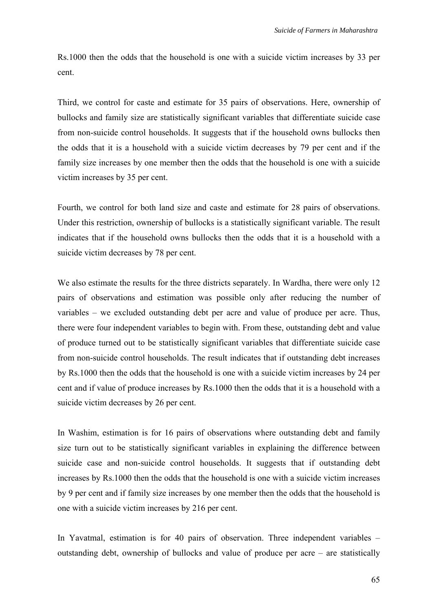Rs.1000 then the odds that the household is one with a suicide victim increases by 33 per cent.

Third, we control for caste and estimate for 35 pairs of observations. Here, ownership of bullocks and family size are statistically significant variables that differentiate suicide case from non-suicide control households. It suggests that if the household owns bullocks then the odds that it is a household with a suicide victim decreases by 79 per cent and if the family size increases by one member then the odds that the household is one with a suicide victim increases by 35 per cent.

Fourth, we control for both land size and caste and estimate for 28 pairs of observations. Under this restriction, ownership of bullocks is a statistically significant variable. The result indicates that if the household owns bullocks then the odds that it is a household with a suicide victim decreases by 78 per cent.

We also estimate the results for the three districts separately. In Wardha, there were only 12 pairs of observations and estimation was possible only after reducing the number of variables – we excluded outstanding debt per acre and value of produce per acre. Thus, there were four independent variables to begin with. From these, outstanding debt and value of produce turned out to be statistically significant variables that differentiate suicide case from non-suicide control households. The result indicates that if outstanding debt increases by Rs.1000 then the odds that the household is one with a suicide victim increases by 24 per cent and if value of produce increases by Rs.1000 then the odds that it is a household with a suicide victim decreases by 26 per cent.

In Washim, estimation is for 16 pairs of observations where outstanding debt and family size turn out to be statistically significant variables in explaining the difference between suicide case and non-suicide control households. It suggests that if outstanding debt increases by Rs.1000 then the odds that the household is one with a suicide victim increases by 9 per cent and if family size increases by one member then the odds that the household is one with a suicide victim increases by 216 per cent.

In Yavatmal, estimation is for 40 pairs of observation. Three independent variables – outstanding debt, ownership of bullocks and value of produce per acre – are statistically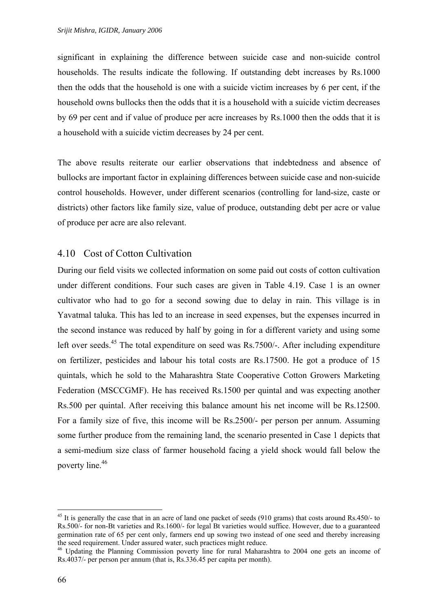significant in explaining the difference between suicide case and non-suicide control households. The results indicate the following. If outstanding debt increases by Rs.1000 then the odds that the household is one with a suicide victim increases by 6 per cent, if the household owns bullocks then the odds that it is a household with a suicide victim decreases by 69 per cent and if value of produce per acre increases by Rs.1000 then the odds that it is a household with a suicide victim decreases by 24 per cent.

The above results reiterate our earlier observations that indebtedness and absence of bullocks are important factor in explaining differences between suicide case and non-suicide control households. However, under different scenarios (controlling for land-size, caste or districts) other factors like family size, value of produce, outstanding debt per acre or value of produce per acre are also relevant.

## 4.10 Cost of Cotton Cultivation

During our field visits we collected information on some paid out costs of cotton cultivation under different conditions. Four such cases are given in Table 4.19. Case 1 is an owner cultivator who had to go for a second sowing due to delay in rain. This village is in Yavatmal taluka. This has led to an increase in seed expenses, but the expenses incurred in the second instance was reduced by half by going in for a different variety and using some left over seeds.<sup>45</sup> The total expenditure on seed was Rs.7500/-. After including expenditure on fertilizer, pesticides and labour his total costs are Rs.17500. He got a produce of 15 quintals, which he sold to the Maharashtra State Cooperative Cotton Growers Marketing Federation (MSCCGMF). He has received Rs.1500 per quintal and was expecting another Rs.500 per quintal. After receiving this balance amount his net income will be Rs.12500. For a family size of five, this income will be Rs.2500/- per person per annum. Assuming some further produce from the remaining land, the scenario presented in Case 1 depicts that a semi-medium size class of farmer household facing a yield shock would fall below the poverty line.<sup>[46](#page-73-1)</sup>

<span id="page-73-0"></span> $45$  It is generally the case that in an acre of land one packet of seeds (910 grams) that costs around Rs.450/- to Rs.500/- for non-Bt varieties and Rs.1600/- for legal Bt varieties would suffice. However, due to a guaranteed germination rate of 65 per cent only, farmers end up sowing two instead of one seed and thereby increasing the seed requirement. Under assured water, such practices might reduce.<br><sup>46</sup> Updating the Planning Commission poverty line for rural Maharashtra to 2004 one gets an income of

<span id="page-73-1"></span>Rs.4037/- per person per annum (that is, Rs.336.45 per capita per month).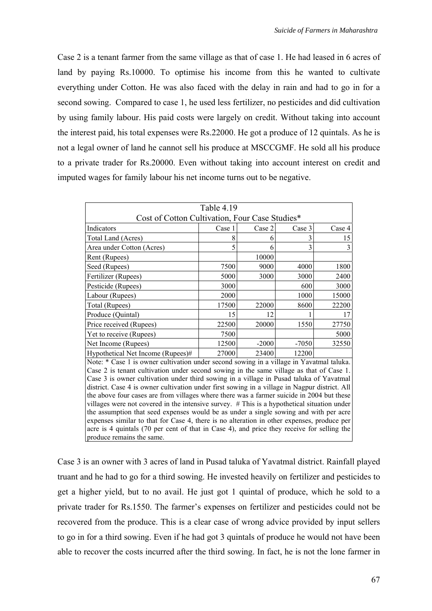Case 2 is a tenant farmer from the same village as that of case 1. He had leased in 6 acres of land by paying Rs.10000. To optimise his income from this he wanted to cultivate everything under Cotton. He was also faced with the delay in rain and had to go in for a second sowing. Compared to case 1, he used less fertilizer, no pesticides and did cultivation by using family labour. His paid costs were largely on credit. Without taking into account the interest paid, his total expenses were Rs.22000. He got a produce of 12 quintals. As he is not a legal owner of land he cannot sell his produce at MSCCGMF. He sold all his produce to a private trader for Rs.20000. Even without taking into account interest on credit and imputed wages for family labour his net income turns out to be negative.

| Table 4.19                                                                                    |        |         |         |        |
|-----------------------------------------------------------------------------------------------|--------|---------|---------|--------|
| Cost of Cotton Cultivation, Four Case Studies*                                                |        |         |         |        |
| Indicators                                                                                    | Case 1 | Case 2  | Case 3  | Case 4 |
| Total Land (Acres)                                                                            | 8      | 6       | 3       | 15     |
| Area under Cotton (Acres)                                                                     | 5      | 6       | 3       | 3      |
| Rent (Rupees)                                                                                 |        | 10000   |         |        |
| Seed (Rupees)                                                                                 | 7500   | 9000    | 4000    | 1800   |
| Fertilizer (Rupees)                                                                           | 5000   | 3000    | 3000    | 2400   |
| Pesticide (Rupees)                                                                            | 3000   |         | 600     | 3000   |
| Labour (Rupees)                                                                               | 2000   |         | 1000    | 15000  |
| Total (Rupees)                                                                                | 17500  | 22000   | 8600    | 22200  |
| Produce (Quintal)                                                                             | 15     | 12      |         | 17     |
| Price received (Rupees)                                                                       | 22500  | 20000   | 1550    | 27750  |
| Yet to receive (Rupees)                                                                       | 7500   |         |         | 5000   |
| Net Income (Rupees)                                                                           | 12500  | $-2000$ | $-7050$ | 32550  |
| Hypothetical Net Income (Rupees)#                                                             | 27000  | 23400   | 12200   |        |
| Note: * Case 1 is owner cultivation under second sowing in a village in Yavatmal taluka.      |        |         |         |        |
| Case 2 is tenant cultivation under second sowing in the same village as that of Case 1.       |        |         |         |        |
| Case 3 is owner cultivation under third sowing in a village in Pusad taluka of Yavatmal       |        |         |         |        |
| district. Case 4 is owner cultivation under first sowing in a village in Nagpur district. All |        |         |         |        |
| the above four cases are from villages where there was a farmer suicide in 2004 but these     |        |         |         |        |
| villages were not covered in the intensive survey. # This is a hypothetical situation under   |        |         |         |        |
| the assumption that seed expenses would be as under a single sowing and with per acre         |        |         |         |        |
| expenses similar to that for Case 4, there is no alteration in other expenses, produce per    |        |         |         |        |
| acre is 4 quintals (70 per cent of that in Case 4), and price they receive for selling the    |        |         |         |        |
| produce remains the same.                                                                     |        |         |         |        |

Case 3 is an owner with 3 acres of land in Pusad taluka of Yavatmal district. Rainfall played truant and he had to go for a third sowing. He invested heavily on fertilizer and pesticides to get a higher yield, but to no avail. He just got 1 quintal of produce, which he sold to a private trader for Rs.1550. The farmer's expenses on fertilizer and pesticides could not be recovered from the produce. This is a clear case of wrong advice provided by input sellers to go in for a third sowing. Even if he had got 3 quintals of produce he would not have been able to recover the costs incurred after the third sowing. In fact, he is not the lone farmer in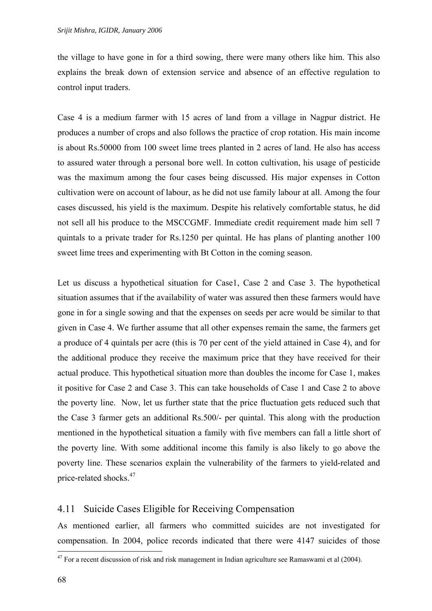the village to have gone in for a third sowing, there were many others like him. This also explains the break down of extension service and absence of an effective regulation to control input traders.

Case 4 is a medium farmer with 15 acres of land from a village in Nagpur district. He produces a number of crops and also follows the practice of crop rotation. His main income is about Rs.50000 from 100 sweet lime trees planted in 2 acres of land. He also has access to assured water through a personal bore well. In cotton cultivation, his usage of pesticide was the maximum among the four cases being discussed. His major expenses in Cotton cultivation were on account of labour, as he did not use family labour at all. Among the four cases discussed, his yield is the maximum. Despite his relatively comfortable status, he did not sell all his produce to the MSCCGMF. Immediate credit requirement made him sell 7 quintals to a private trader for Rs.1250 per quintal. He has plans of planting another 100 sweet lime trees and experimenting with Bt Cotton in the coming season.

Let us discuss a hypothetical situation for Case1, Case 2 and Case 3. The hypothetical situation assumes that if the availability of water was assured then these farmers would have gone in for a single sowing and that the expenses on seeds per acre would be similar to that given in Case 4. We further assume that all other expenses remain the same, the farmers get a produce of 4 quintals per acre (this is 70 per cent of the yield attained in Case 4), and for the additional produce they receive the maximum price that they have received for their actual produce. This hypothetical situation more than doubles the income for Case 1, makes it positive for Case 2 and Case 3. This can take households of Case 1 and Case 2 to above the poverty line. Now, let us further state that the price fluctuation gets reduced such that the Case 3 farmer gets an additional Rs.500/- per quintal. This along with the production mentioned in the hypothetical situation a family with five members can fall a little short of the poverty line. With some additional income this family is also likely to go above the poverty line. These scenarios explain the vulnerability of the farmers to yield-related and price-related shocks.[47](#page-75-0)

# 4.11 Suicide Cases Eligible for Receiving Compensation

As mentioned earlier, all farmers who committed suicides are not investigated for compensation. In 2004, police records indicated that there were 4147 suicides of those

<span id="page-75-0"></span> $47$  For a recent discussion of risk and risk management in Indian agriculture see Ramaswami et al (2004).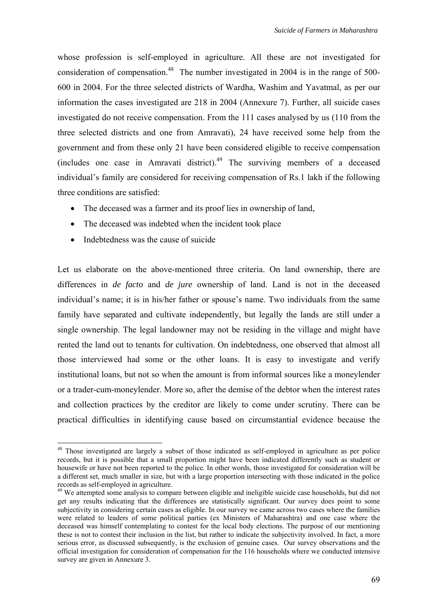whose profession is self-employed in agriculture. All these are not investigated for consideration of compensation.<sup>48</sup> The number investigated in 2004 is in the range of 500-600 in 2004. For the three selected districts of Wardha, Washim and Yavatmal, as per our information the cases investigated are 218 in 2004 (Annexure 7). Further, all suicide cases investigated do not receive compensation. From the 111 cases analysed by us (110 from the three selected districts and one from Amravati), 24 have received some help from the government and from these only 21 have been considered eligible to receive compensation (includes one case in Amravati district).<sup>49</sup> The surviving members of a deceased individual's family are considered for receiving compensation of Rs.1 lakh if the following three conditions are satisfied:

- The deceased was a farmer and its proof lies in ownership of land,
- The deceased was indebted when the incident took place
- Indebtedness was the cause of suicide

Let us elaborate on the above-mentioned three criteria. On land ownership, there are differences in *de facto* and *de jure* ownership of land. Land is not in the deceased individual's name; it is in his/her father or spouse's name. Two individuals from the same family have separated and cultivate independently, but legally the lands are still under a single ownership. The legal landowner may not be residing in the village and might have rented the land out to tenants for cultivation. On indebtedness, one observed that almost all those interviewed had some or the other loans. It is easy to investigate and verify institutional loans, but not so when the amount is from informal sources like a moneylender or a trader-cum-moneylender. More so, after the demise of the debtor when the interest rates and collection practices by the creditor are likely to come under scrutiny. There can be practical difficulties in identifying cause based on circumstantial evidence because the

<span id="page-76-0"></span><sup>&</sup>lt;sup>48</sup> Those investigated are largely a subset of those indicated as self-employed in agriculture as per police records, but it is possible that a small proportion might have been indicated differently such as student or housewife or have not been reported to the police. In other words, those investigated for consideration will be a different set, much smaller in size, but with a large proportion intersecting with those indicated in the police records as self-employed in agriculture.<br><sup>49</sup> We attempted some analysis to compare between eligible and ineligible suicide case households, but did not

<span id="page-76-1"></span>get any results indicating that the differences are statistically significant. Our survey does point to some subjectivity in considering certain cases as eligible. In our survey we came across two cases where the families were related to leaders of some political parties (ex Ministers of Maharashtra) and one case where the deceased was himself contemplating to contest for the local body elections. The purpose of our mentioning these is not to contest their inclusion in the list, but rather to indicate the subjectivity involved. In fact, a more serious error, as discussed subsequently, is the exclusion of genuine cases. Our survey observations and the official investigation for consideration of compensation for the 116 households where we conducted intensive survey are given in Annexure 3.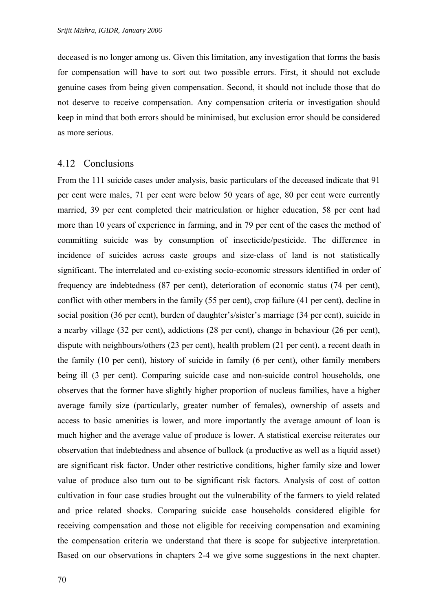deceased is no longer among us. Given this limitation, any investigation that forms the basis for compensation will have to sort out two possible errors. First, it should not exclude genuine cases from being given compensation. Second, it should not include those that do not deserve to receive compensation. Any compensation criteria or investigation should keep in mind that both errors should be minimised, but exclusion error should be considered as more serious.

#### 4.12 Conclusions

From the 111 suicide cases under analysis, basic particulars of the deceased indicate that 91 per cent were males, 71 per cent were below 50 years of age, 80 per cent were currently married, 39 per cent completed their matriculation or higher education, 58 per cent had more than 10 years of experience in farming, and in 79 per cent of the cases the method of committing suicide was by consumption of insecticide/pesticide. The difference in incidence of suicides across caste groups and size-class of land is not statistically significant. The interrelated and co-existing socio-economic stressors identified in order of frequency are indebtedness (87 per cent), deterioration of economic status (74 per cent), conflict with other members in the family (55 per cent), crop failure (41 per cent), decline in social position (36 per cent), burden of daughter's/sister's marriage (34 per cent), suicide in a nearby village (32 per cent), addictions (28 per cent), change in behaviour (26 per cent), dispute with neighbours/others (23 per cent), health problem (21 per cent), a recent death in the family (10 per cent), history of suicide in family (6 per cent), other family members being ill (3 per cent). Comparing suicide case and non-suicide control households, one observes that the former have slightly higher proportion of nucleus families, have a higher average family size (particularly, greater number of females), ownership of assets and access to basic amenities is lower, and more importantly the average amount of loan is much higher and the average value of produce is lower. A statistical exercise reiterates our observation that indebtedness and absence of bullock (a productive as well as a liquid asset) are significant risk factor. Under other restrictive conditions, higher family size and lower value of produce also turn out to be significant risk factors. Analysis of cost of cotton cultivation in four case studies brought out the vulnerability of the farmers to yield related and price related shocks. Comparing suicide case households considered eligible for receiving compensation and those not eligible for receiving compensation and examining the compensation criteria we understand that there is scope for subjective interpretation. Based on our observations in chapters 2-4 we give some suggestions in the next chapter.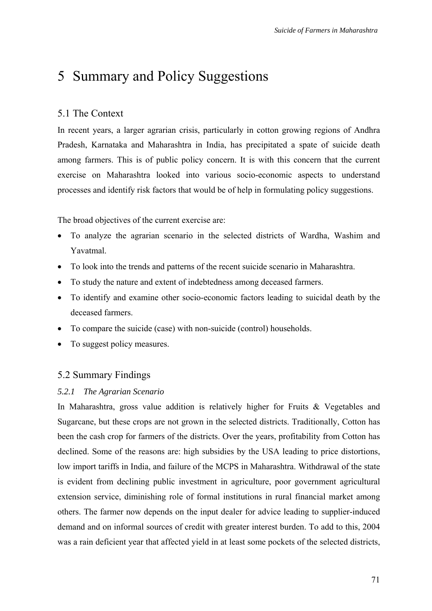# 5 Summary and Policy Suggestions

# 5.1 The Context

In recent years, a larger agrarian crisis, particularly in cotton growing regions of Andhra Pradesh, Karnataka and Maharashtra in India, has precipitated a spate of suicide death among farmers. This is of public policy concern. It is with this concern that the current exercise on Maharashtra looked into various socio-economic aspects to understand processes and identify risk factors that would be of help in formulating policy suggestions.

The broad objectives of the current exercise are:

- To analyze the agrarian scenario in the selected districts of Wardha, Washim and Yavatmal.
- To look into the trends and patterns of the recent suicide scenario in Maharashtra.
- To study the nature and extent of indebtedness among deceased farmers.
- To identify and examine other socio-economic factors leading to suicidal death by the deceased farmers.
- To compare the suicide (case) with non-suicide (control) households.
- To suggest policy measures.

# 5.2 Summary Findings

#### *5.2.1 The Agrarian Scenario*

In Maharashtra, gross value addition is relatively higher for Fruits & Vegetables and Sugarcane, but these crops are not grown in the selected districts. Traditionally, Cotton has been the cash crop for farmers of the districts. Over the years, profitability from Cotton has declined. Some of the reasons are: high subsidies by the USA leading to price distortions, low import tariffs in India, and failure of the MCPS in Maharashtra. Withdrawal of the state is evident from declining public investment in agriculture, poor government agricultural extension service, diminishing role of formal institutions in rural financial market among others. The farmer now depends on the input dealer for advice leading to supplier-induced demand and on informal sources of credit with greater interest burden. To add to this, 2004 was a rain deficient year that affected yield in at least some pockets of the selected districts,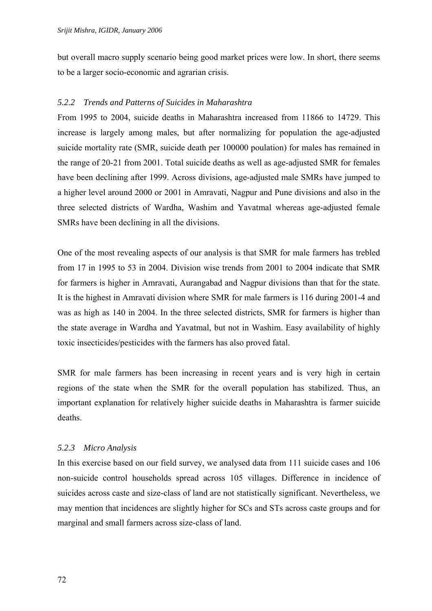but overall macro supply scenario being good market prices were low. In short, there seems to be a larger socio-economic and agrarian crisis.

### *5.2.2 Trends and Patterns of Suicides in Maharashtra*

From 1995 to 2004, suicide deaths in Maharashtra increased from 11866 to 14729. This increase is largely among males, but after normalizing for population the age-adjusted suicide mortality rate (SMR, suicide death per 100000 poulation) for males has remained in the range of 20-21 from 2001. Total suicide deaths as well as age-adjusted SMR for females have been declining after 1999. Across divisions, age-adjusted male SMRs have jumped to a higher level around 2000 or 2001 in Amravati, Nagpur and Pune divisions and also in the three selected districts of Wardha, Washim and Yavatmal whereas age-adjusted female SMRs have been declining in all the divisions.

One of the most revealing aspects of our analysis is that SMR for male farmers has trebled from 17 in 1995 to 53 in 2004. Division wise trends from 2001 to 2004 indicate that SMR for farmers is higher in Amravati, Aurangabad and Nagpur divisions than that for the state. It is the highest in Amravati division where SMR for male farmers is 116 during 2001-4 and was as high as 140 in 2004. In the three selected districts, SMR for farmers is higher than the state average in Wardha and Yavatmal, but not in Washim. Easy availability of highly toxic insecticides/pesticides with the farmers has also proved fatal.

SMR for male farmers has been increasing in recent years and is very high in certain regions of the state when the SMR for the overall population has stabilized. Thus, an important explanation for relatively higher suicide deaths in Maharashtra is farmer suicide deaths.

### *5.2.3 Micro Analysis*

In this exercise based on our field survey, we analysed data from 111 suicide cases and 106 non-suicide control households spread across 105 villages. Difference in incidence of suicides across caste and size-class of land are not statistically significant. Nevertheless, we may mention that incidences are slightly higher for SCs and STs across caste groups and for marginal and small farmers across size-class of land.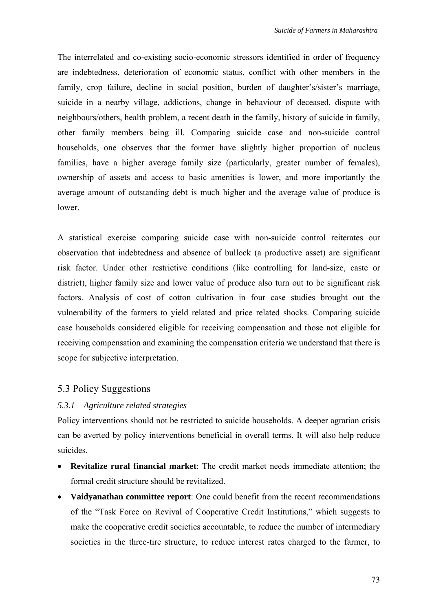The interrelated and co-existing socio-economic stressors identified in order of frequency are indebtedness, deterioration of economic status, conflict with other members in the family, crop failure, decline in social position, burden of daughter's/sister's marriage, suicide in a nearby village, addictions, change in behaviour of deceased, dispute with neighbours/others, health problem, a recent death in the family, history of suicide in family, other family members being ill. Comparing suicide case and non-suicide control households, one observes that the former have slightly higher proportion of nucleus families, have a higher average family size (particularly, greater number of females), ownership of assets and access to basic amenities is lower, and more importantly the average amount of outstanding debt is much higher and the average value of produce is lower.

A statistical exercise comparing suicide case with non-suicide control reiterates our observation that indebtedness and absence of bullock (a productive asset) are significant risk factor. Under other restrictive conditions (like controlling for land-size, caste or district), higher family size and lower value of produce also turn out to be significant risk factors. Analysis of cost of cotton cultivation in four case studies brought out the vulnerability of the farmers to yield related and price related shocks. Comparing suicide case households considered eligible for receiving compensation and those not eligible for receiving compensation and examining the compensation criteria we understand that there is scope for subjective interpretation.

# 5.3 Policy Suggestions

### *5.3.1 Agriculture related strategies*

Policy interventions should not be restricted to suicide households. A deeper agrarian crisis can be averted by policy interventions beneficial in overall terms. It will also help reduce suicides.

- **Revitalize rural financial market**: The credit market needs immediate attention; the formal credit structure should be revitalized.
- **Vaidyanathan committee report**: One could benefit from the recent recommendations of the "Task Force on Revival of Cooperative Credit Institutions," which suggests to make the cooperative credit societies accountable, to reduce the number of intermediary societies in the three-tire structure, to reduce interest rates charged to the farmer, to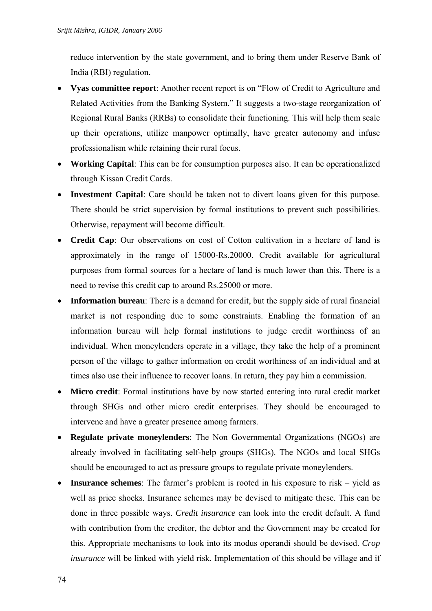reduce intervention by the state government, and to bring them under Reserve Bank of India (RBI) regulation.

- **Vyas committee report**: Another recent report is on "Flow of Credit to Agriculture and Related Activities from the Banking System." It suggests a two-stage reorganization of Regional Rural Banks (RRBs) to consolidate their functioning. This will help them scale up their operations, utilize manpower optimally, have greater autonomy and infuse professionalism while retaining their rural focus.
- **Working Capital**: This can be for consumption purposes also. It can be operationalized through Kissan Credit Cards.
- **Investment Capital**: Care should be taken not to divert loans given for this purpose. There should be strict supervision by formal institutions to prevent such possibilities. Otherwise, repayment will become difficult.
- **Credit Cap**: Our observations on cost of Cotton cultivation in a hectare of land is approximately in the range of 15000-Rs.20000. Credit available for agricultural purposes from formal sources for a hectare of land is much lower than this. There is a need to revise this credit cap to around Rs.25000 or more.
- **Information bureau**: There is a demand for credit, but the supply side of rural financial market is not responding due to some constraints. Enabling the formation of an information bureau will help formal institutions to judge credit worthiness of an individual. When moneylenders operate in a village, they take the help of a prominent person of the village to gather information on credit worthiness of an individual and at times also use their influence to recover loans. In return, they pay him a commission.
- **Micro credit**: Formal institutions have by now started entering into rural credit market through SHGs and other micro credit enterprises. They should be encouraged to intervene and have a greater presence among farmers.
- **Regulate private moneylenders**: The Non Governmental Organizations (NGOs) are already involved in facilitating self-help groups (SHGs). The NGOs and local SHGs should be encouraged to act as pressure groups to regulate private moneylenders.
- **Insurance schemes**: The farmer's problem is rooted in his exposure to risk yield as well as price shocks. Insurance schemes may be devised to mitigate these. This can be done in three possible ways. *Credit insurance* can look into the credit default. A fund with contribution from the creditor, the debtor and the Government may be created for this. Appropriate mechanisms to look into its modus operandi should be devised. *Crop insurance* will be linked with yield risk. Implementation of this should be village and if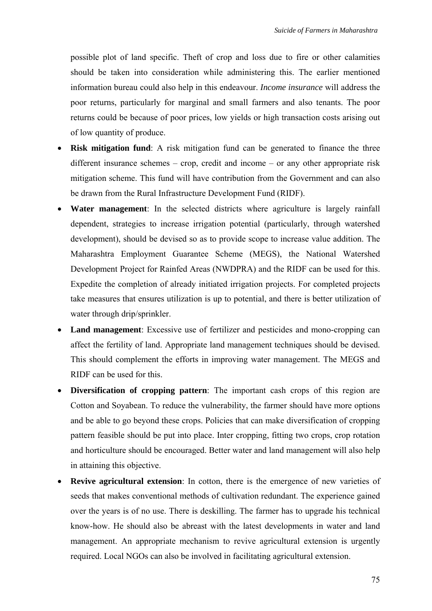possible plot of land specific. Theft of crop and loss due to fire or other calamities should be taken into consideration while administering this. The earlier mentioned information bureau could also help in this endeavour. *Income insurance* will address the poor returns, particularly for marginal and small farmers and also tenants. The poor returns could be because of poor prices, low yields or high transaction costs arising out of low quantity of produce.

- **Risk mitigation fund**: A risk mitigation fund can be generated to finance the three different insurance schemes – crop, credit and income – or any other appropriate risk mitigation scheme. This fund will have contribution from the Government and can also be drawn from the Rural Infrastructure Development Fund (RIDF).
- **Water management**: In the selected districts where agriculture is largely rainfall dependent, strategies to increase irrigation potential (particularly, through watershed development), should be devised so as to provide scope to increase value addition. The Maharashtra Employment Guarantee Scheme (MEGS), the National Watershed Development Project for Rainfed Areas (NWDPRA) and the RIDF can be used for this. Expedite the completion of already initiated irrigation projects. For completed projects take measures that ensures utilization is up to potential, and there is better utilization of water through drip/sprinkler.
- **Land management**: Excessive use of fertilizer and pesticides and mono-cropping can affect the fertility of land. Appropriate land management techniques should be devised. This should complement the efforts in improving water management. The MEGS and RIDF can be used for this.
- **Diversification of cropping pattern**: The important cash crops of this region are Cotton and Soyabean. To reduce the vulnerability, the farmer should have more options and be able to go beyond these crops. Policies that can make diversification of cropping pattern feasible should be put into place. Inter cropping, fitting two crops, crop rotation and horticulture should be encouraged. Better water and land management will also help in attaining this objective.
- **Revive agricultural extension**: In cotton, there is the emergence of new varieties of seeds that makes conventional methods of cultivation redundant. The experience gained over the years is of no use. There is deskilling. The farmer has to upgrade his technical know-how. He should also be abreast with the latest developments in water and land management. An appropriate mechanism to revive agricultural extension is urgently required. Local NGOs can also be involved in facilitating agricultural extension.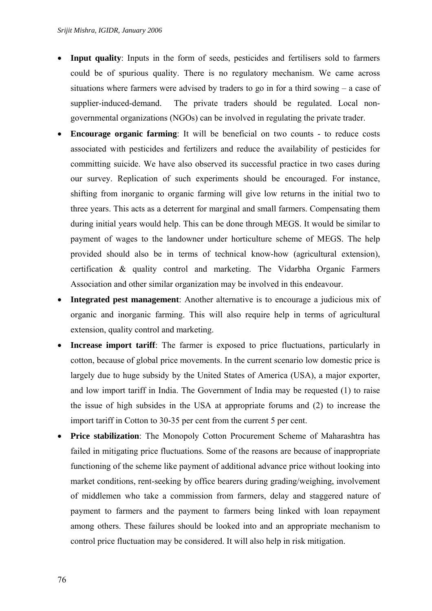- **Input quality**: Inputs in the form of seeds, pesticides and fertilisers sold to farmers could be of spurious quality. There is no regulatory mechanism. We came across situations where farmers were advised by traders to go in for a third sowing – a case of supplier-induced-demand. The private traders should be regulated. Local nongovernmental organizations (NGOs) can be involved in regulating the private trader.
- **Encourage organic farming**: It will be beneficial on two counts to reduce costs associated with pesticides and fertilizers and reduce the availability of pesticides for committing suicide. We have also observed its successful practice in two cases during our survey. Replication of such experiments should be encouraged. For instance, shifting from inorganic to organic farming will give low returns in the initial two to three years. This acts as a deterrent for marginal and small farmers. Compensating them during initial years would help. This can be done through MEGS. It would be similar to payment of wages to the landowner under horticulture scheme of MEGS. The help provided should also be in terms of technical know-how (agricultural extension), certification & quality control and marketing. The Vidarbha Organic Farmers Association and other similar organization may be involved in this endeavour.
- Integrated pest management: Another alternative is to encourage a judicious mix of organic and inorganic farming. This will also require help in terms of agricultural extension, quality control and marketing.
- **Increase import tariff**: The farmer is exposed to price fluctuations, particularly in cotton, because of global price movements. In the current scenario low domestic price is largely due to huge subsidy by the United States of America (USA), a major exporter, and low import tariff in India. The Government of India may be requested (1) to raise the issue of high subsides in the USA at appropriate forums and (2) to increase the import tariff in Cotton to 30-35 per cent from the current 5 per cent.
- **Price stabilization**: The Monopoly Cotton Procurement Scheme of Maharashtra has failed in mitigating price fluctuations. Some of the reasons are because of inappropriate functioning of the scheme like payment of additional advance price without looking into market conditions, rent-seeking by office bearers during grading/weighing, involvement of middlemen who take a commission from farmers, delay and staggered nature of payment to farmers and the payment to farmers being linked with loan repayment among others. These failures should be looked into and an appropriate mechanism to control price fluctuation may be considered. It will also help in risk mitigation.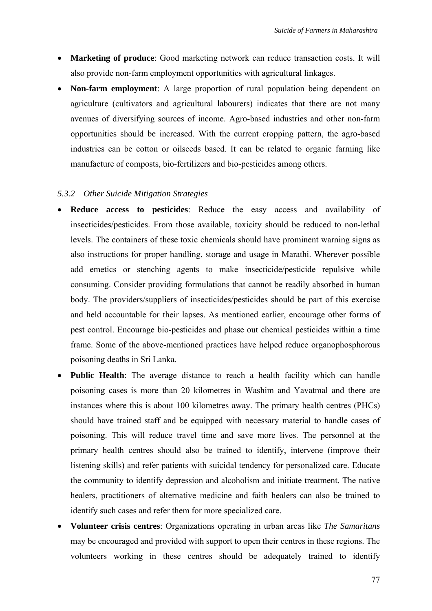- **Marketing of produce**: Good marketing network can reduce transaction costs. It will also provide non-farm employment opportunities with agricultural linkages.
- **Non-farm employment**: A large proportion of rural population being dependent on agriculture (cultivators and agricultural labourers) indicates that there are not many avenues of diversifying sources of income. Agro-based industries and other non-farm opportunities should be increased. With the current cropping pattern, the agro-based industries can be cotton or oilseeds based. It can be related to organic farming like manufacture of composts, bio-fertilizers and bio-pesticides among others.

## *5.3.2 Other Suicide Mitigation Strategies*

- **Reduce access to pesticides**: Reduce the easy access and availability of insecticides/pesticides. From those available, toxicity should be reduced to non-lethal levels. The containers of these toxic chemicals should have prominent warning signs as also instructions for proper handling, storage and usage in Marathi. Wherever possible add emetics or stenching agents to make insecticide/pesticide repulsive while consuming. Consider providing formulations that cannot be readily absorbed in human body. The providers/suppliers of insecticides/pesticides should be part of this exercise and held accountable for their lapses. As mentioned earlier, encourage other forms of pest control. Encourage bio-pesticides and phase out chemical pesticides within a time frame. Some of the above-mentioned practices have helped reduce organophosphorous poisoning deaths in Sri Lanka.
- **Public Health**: The average distance to reach a health facility which can handle poisoning cases is more than 20 kilometres in Washim and Yavatmal and there are instances where this is about 100 kilometres away. The primary health centres (PHCs) should have trained staff and be equipped with necessary material to handle cases of poisoning. This will reduce travel time and save more lives. The personnel at the primary health centres should also be trained to identify, intervene (improve their listening skills) and refer patients with suicidal tendency for personalized care. Educate the community to identify depression and alcoholism and initiate treatment. The native healers, practitioners of alternative medicine and faith healers can also be trained to identify such cases and refer them for more specialized care.
- **Volunteer crisis centres**: Organizations operating in urban areas like *The Samaritans* may be encouraged and provided with support to open their centres in these regions. The volunteers working in these centres should be adequately trained to identify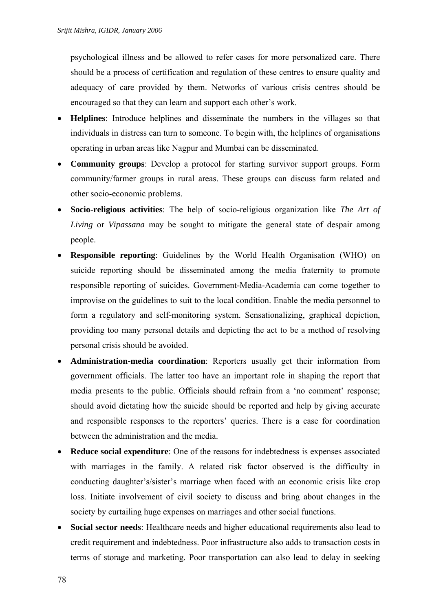psychological illness and be allowed to refer cases for more personalized care. There should be a process of certification and regulation of these centres to ensure quality and adequacy of care provided by them. Networks of various crisis centres should be encouraged so that they can learn and support each other's work.

- **Helplines**: Introduce helplines and disseminate the numbers in the villages so that individuals in distress can turn to someone. To begin with, the helplines of organisations operating in urban areas like Nagpur and Mumbai can be disseminated.
- **Community groups**: Develop a protocol for starting survivor support groups. Form community/farmer groups in rural areas. These groups can discuss farm related and other socio-economic problems.
- **Socio-religious activities**: The help of socio-religious organization like *The Art of Living* or *Vipassana* may be sought to mitigate the general state of despair among people.
- **Responsible reporting**: Guidelines by the World Health Organisation (WHO) on suicide reporting should be disseminated among the media fraternity to promote responsible reporting of suicides. Government-Media-Academia can come together to improvise on the guidelines to suit to the local condition. Enable the media personnel to form a regulatory and self-monitoring system. Sensationalizing, graphical depiction, providing too many personal details and depicting the act to be a method of resolving personal crisis should be avoided.
- **Administration-media coordination**: Reporters usually get their information from government officials. The latter too have an important role in shaping the report that media presents to the public. Officials should refrain from a 'no comment' response; should avoid dictating how the suicide should be reported and help by giving accurate and responsible responses to the reporters' queries. There is a case for coordination between the administration and the media.
- **Reduce social expenditure**: One of the reasons for indebtedness is expenses associated with marriages in the family. A related risk factor observed is the difficulty in conducting daughter's/sister's marriage when faced with an economic crisis like crop loss. Initiate involvement of civil society to discuss and bring about changes in the society by curtailing huge expenses on marriages and other social functions.
- **Social sector needs**: Healthcare needs and higher educational requirements also lead to credit requirement and indebtedness. Poor infrastructure also adds to transaction costs in terms of storage and marketing. Poor transportation can also lead to delay in seeking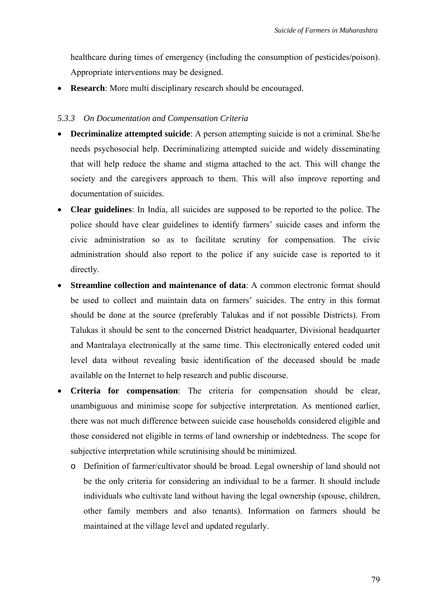healthcare during times of emergency (including the consumption of pesticides/poison). Appropriate interventions may be designed.

**Research**: More multi disciplinary research should be encouraged.

#### *5.3.3 On Documentation and Compensation Criteria*

- **Decriminalize attempted suicide**: A person attempting suicide is not a criminal. She/he needs psychosocial help. Decriminalizing attempted suicide and widely disseminating that will help reduce the shame and stigma attached to the act. This will change the society and the caregivers approach to them. This will also improve reporting and documentation of suicides.
- **Clear guidelines**: In India, all suicides are supposed to be reported to the police. The police should have clear guidelines to identify farmers' suicide cases and inform the civic administration so as to facilitate scrutiny for compensation. The civic administration should also report to the police if any suicide case is reported to it directly.
- **Streamline collection and maintenance of data:** A common electronic format should be used to collect and maintain data on farmers' suicides. The entry in this format should be done at the source (preferably Talukas and if not possible Districts). From Talukas it should be sent to the concerned District headquarter, Divisional headquarter and Mantralaya electronically at the same time. This electronically entered coded unit level data without revealing basic identification of the deceased should be made available on the Internet to help research and public discourse.
- **Criteria for compensation**: The criteria for compensation should be clear, unambiguous and minimise scope for subjective interpretation. As mentioned earlier, there was not much difference between suicide case households considered eligible and those considered not eligible in terms of land ownership or indebtedness. The scope for subjective interpretation while scrutinising should be minimized.
	- o Definition of farmer/cultivator should be broad. Legal ownership of land should not be the only criteria for considering an individual to be a farmer. It should include individuals who cultivate land without having the legal ownership (spouse, children, other family members and also tenants). Information on farmers should be maintained at the village level and updated regularly.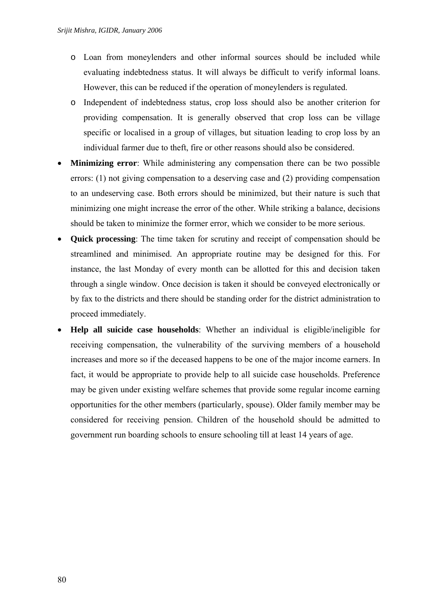- o Loan from moneylenders and other informal sources should be included while evaluating indebtedness status. It will always be difficult to verify informal loans. However, this can be reduced if the operation of moneylenders is regulated.
- o Independent of indebtedness status, crop loss should also be another criterion for providing compensation. It is generally observed that crop loss can be village specific or localised in a group of villages, but situation leading to crop loss by an individual farmer due to theft, fire or other reasons should also be considered.
- **Minimizing error**: While administering any compensation there can be two possible errors: (1) not giving compensation to a deserving case and (2) providing compensation to an undeserving case. Both errors should be minimized, but their nature is such that minimizing one might increase the error of the other. While striking a balance, decisions should be taken to minimize the former error, which we consider to be more serious.
- **Quick processing**: The time taken for scrutiny and receipt of compensation should be streamlined and minimised. An appropriate routine may be designed for this. For instance, the last Monday of every month can be allotted for this and decision taken through a single window. Once decision is taken it should be conveyed electronically or by fax to the districts and there should be standing order for the district administration to proceed immediately.
- **Help all suicide case households**: Whether an individual is eligible/ineligible for receiving compensation, the vulnerability of the surviving members of a household increases and more so if the deceased happens to be one of the major income earners. In fact, it would be appropriate to provide help to all suicide case households. Preference may be given under existing welfare schemes that provide some regular income earning opportunities for the other members (particularly, spouse). Older family member may be considered for receiving pension. Children of the household should be admitted to government run boarding schools to ensure schooling till at least 14 years of age.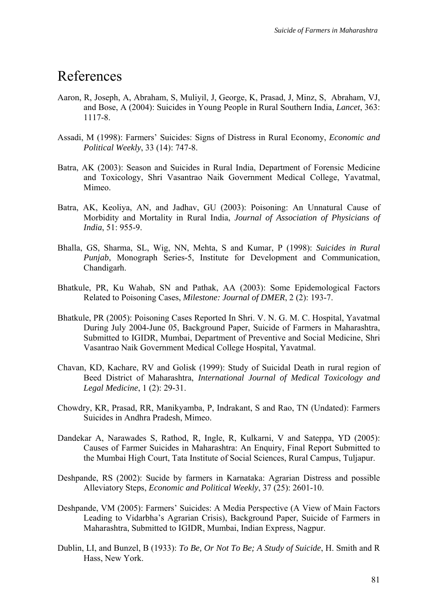# References

- Aaron, R, Joseph, A, Abraham, S, Muliyil, J, George, K, Prasad, J, Minz, S, Abraham, VJ, and Bose, A (2004): Suicides in Young People in Rural Southern India, *Lancet*, 363: 1117-8.
- Assadi, M (1998): Farmers' Suicides: Signs of Distress in Rural Economy, *Economic and Political Weekly*, 33 (14): 747-8.
- Batra, AK (2003): Season and Suicides in Rural India, Department of Forensic Medicine and Toxicology, Shri Vasantrao Naik Government Medical College, Yavatmal, Mimeo.
- Batra, AK, Keoliya, AN, and Jadhav, GU (2003): Poisoning: An Unnatural Cause of Morbidity and Mortality in Rural India, *Journal of Association of Physicians of India*, 51: 955-9.
- Bhalla, GS, Sharma, SL, Wig, NN, Mehta, S and Kumar, P (1998): *Suicides in Rural Punjab*, Monograph Series-5, Institute for Development and Communication, Chandigarh.
- Bhatkule, PR, Ku Wahab, SN and Pathak, AA (2003): Some Epidemological Factors Related to Poisoning Cases, *Milestone: Journal of DMER*, 2 (2): 193-7.
- Bhatkule, PR (2005): Poisoning Cases Reported In Shri. V. N. G. M. C. Hospital, Yavatmal During July 2004-June 05, Background Paper, Suicide of Farmers in Maharashtra, Submitted to IGIDR, Mumbai, Department of Preventive and Social Medicine, Shri Vasantrao Naik Government Medical College Hospital, Yavatmal.
- Chavan, KD, Kachare, RV and Golisk (1999): Study of Suicidal Death in rural region of Beed District of Maharashtra, *International Journal of Medical Toxicology and Legal Medicine*, 1 (2): 29-31.
- Chowdry, KR, Prasad, RR, Manikyamba, P, Indrakant, S and Rao, TN (Undated): Farmers Suicides in Andhra Pradesh, Mimeo.
- Dandekar A, Narawades S, Rathod, R, Ingle, R, Kulkarni, V and Sateppa, YD (2005): Causes of Farmer Suicides in Maharashtra: An Enquiry, Final Report Submitted to the Mumbai High Court, Tata Institute of Social Sciences, Rural Campus, Tuljapur.
- Deshpande, RS (2002): Sucide by farmers in Karnataka: Agrarian Distress and possible Alleviatory Steps, *Economic and Political Weekly*, 37 (25): 2601-10.
- Deshpande, VM (2005): Farmers' Suicides: A Media Perspective (A View of Main Factors Leading to Vidarbha's Agrarian Crisis), Background Paper, Suicide of Farmers in Maharashtra, Submitted to IGIDR, Mumbai, Indian Express, Nagpur.
- Dublin, LI, and Bunzel, B (1933): *To Be, Or Not To Be; A Study of Suicide*, H. Smith and R Hass, New York.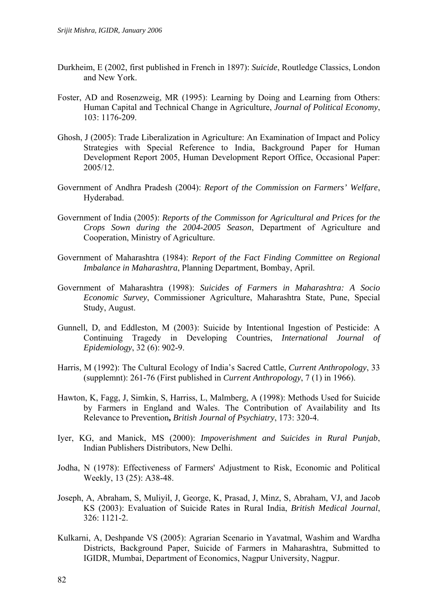- Durkheim, E (2002, first published in French in 1897): *Suicide*, Routledge Classics, London and New York.
- Foster, AD and Rosenzweig, MR (1995): Learning by Doing and Learning from Others: Human Capital and Technical Change in Agriculture, *Journal of Political Economy*, 103: 1176-209.
- Ghosh, J (2005): Trade Liberalization in Agriculture: An Examination of Impact and Policy Strategies with Special Reference to India, Background Paper for Human Development Report 2005, Human Development Report Office, Occasional Paper: 2005/12.
- Government of Andhra Pradesh (2004): *Report of the Commission on Farmers' Welfare*, Hyderabad.
- Government of India (2005): *Reports of the Commisson for Agricultural and Prices for the Crops Sown during the 2004-2005 Season*, Department of Agriculture and Cooperation, Ministry of Agriculture.
- Government of Maharashtra (1984): *Report of the Fact Finding Committee on Regional Imbalance in Maharashtra*, Planning Department, Bombay, April.
- Government of Maharashtra (1998): *Suicides of Farmers in Maharashtra: A Socio Economic Survey*, Commissioner Agriculture, Maharashtra State, Pune, Special Study, August.
- Gunnell, D, and Eddleston, M (2003): Suicide by Intentional Ingestion of Pesticide: A Continuing Tragedy in Developing Countries, *International Journal of Epidemiology*, 32 (6): 902-9.
- Harris, M (1992): The Cultural Ecology of India's Sacred Cattle, *Current Anthropology*, 33 (supplemnt): 261-76 (First published in *Current Anthropology*, 7 (1) in 1966).
- Hawton, K, Fagg, J, Simkin, S, Harriss, L, Malmberg, A (1998): Methods Used for Suicide by Farmers in England and Wales. The Contribution of Availability and Its Relevance to Prevention**,** *British Journal of Psychiatry*, 173: 320-4.
- Iyer, KG, and Manick, MS (2000): *Impoverishment and Suicides in Rural Punjab*, Indian Publishers Distributors, New Delhi.
- Jodha, N (1978): Effectiveness of Farmers' Adjustment to Risk, Economic and Political Weekly, 13 (25): A38-48.
- Joseph, A, Abraham, S, Muliyil, J, George, K, Prasad, J, Minz, S, Abraham, VJ, and Jacob KS (2003): Evaluation of Suicide Rates in Rural India, *British Medical Journal*, 326: 1121-2.
- Kulkarni, A, Deshpande VS (2005): Agrarian Scenario in Yavatmal, Washim and Wardha Districts, Background Paper, Suicide of Farmers in Maharashtra, Submitted to IGIDR, Mumbai, Department of Economics, Nagpur University, Nagpur.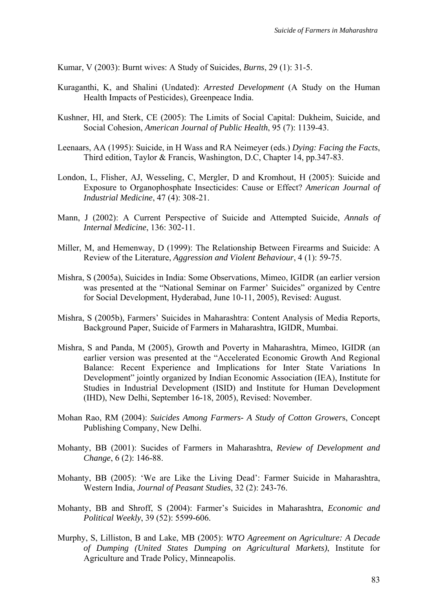Kumar, V (2003): Burnt wives: A Study of Suicides, *Burns*, 29 (1): 31-5.

- Kuraganthi, K, and Shalini (Undated): *Arrested Development* (A Study on the Human Health Impacts of Pesticides), Greenpeace India.
- Kushner, HI, and Sterk, CE (2005): The Limits of Social Capital: Dukheim, Suicide, and Social Cohesion, *American Journal of Public Health*, 95 (7): 1139-43.
- Leenaars, AA (1995): Suicide, in H Wass and RA Neimeyer (eds.) *Dying: Facing the Facts*, Third edition, Taylor & Francis, Washington, D.C, Chapter 14, pp.347-83.
- London, L, Flisher, AJ, Wesseling, C, Mergler, D and Kromhout, H (2005): Suicide and Exposure to Organophosphate Insecticides: Cause or Effect? *American Journal of Industrial Medicine*, 47 (4): 308-21.
- Mann, J (2002): A Current Perspective of Suicide and Attempted Suicide, *Annals of Internal Medicine*, 136: 302-11.
- Miller, M, and Hemenway, D (1999): The Relationship Between Firearms and Suicide: A Review of the Literature, *Aggression and Violent Behaviour*, 4 (1): 59-75.
- Mishra, S (2005a), Suicides in India: Some Observations, Mimeo, IGIDR (an earlier version was presented at the "National Seminar on Farmer' Suicides" organized by Centre for Social Development, Hyderabad, June 10-11, 2005), Revised: August.
- Mishra, S (2005b), Farmers' Suicides in Maharashtra: Content Analysis of Media Reports, Background Paper, Suicide of Farmers in Maharashtra, IGIDR, Mumbai.
- Mishra, S and Panda, M (2005), Growth and Poverty in Maharashtra, Mimeo, IGIDR (an earlier version was presented at the "Accelerated Economic Growth And Regional Balance: Recent Experience and Implications for Inter State Variations In Development" jointly organized by Indian Economic Association (IEA), Institute for Studies in Industrial Development (ISID) and Institute for Human Development (IHD), New Delhi, September 16-18, 2005), Revised: November.
- Mohan Rao, RM (2004): *Suicides Among Farmers- A Study of Cotton Grower*s, Concept Publishing Company, New Delhi.
- Mohanty, BB (2001): Sucides of Farmers in Maharashtra, *Review of Development and Change*, 6 (2): 146-88.
- Mohanty, BB (2005): 'We are Like the Living Dead': Farmer Suicide in Maharashtra, Western India, *Journal of Peasant Studies*, 32 (2): 243-76.
- Mohanty, BB and Shroff, S (2004): Farmer's Suicides in Maharashtra, *Economic and Political Weekly*, 39 (52): 5599-606.
- Murphy, S, Lilliston, B and Lake, MB (2005): *WTO Agreement on Agriculture: A Decade of Dumping (United States Dumping on Agricultural Markets)*, Institute for Agriculture and Trade Policy, Minneapolis.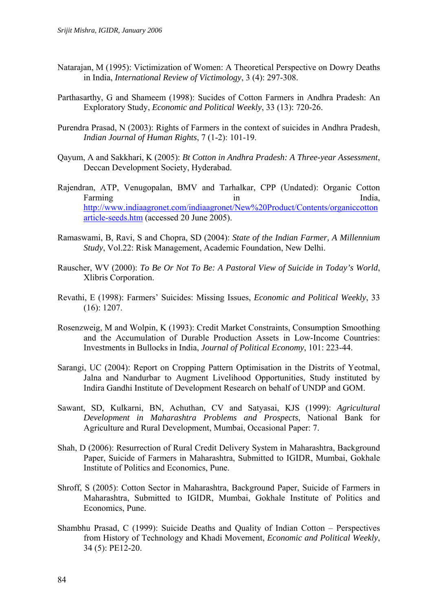- Natarajan, M (1995): Victimization of Women: A Theoretical Perspective on Dowry Deaths in India, *International Review of Victimology*, 3 (4): 297-308.
- Parthasarthy, G and Shameem (1998): Sucides of Cotton Farmers in Andhra Pradesh: An Exploratory Study, *Economic and Political Weekly*, 33 (13): 720-26.
- Purendra Prasad, N (2003): Rights of Farmers in the context of suicides in Andhra Pradesh, *Indian Journal of Human Rights*, 7 (1-2): 101-19.
- Qayum, A and Sakkhari, K (2005): *Bt Cotton in Andhra Pradesh: A Three-year Assessment*, Deccan Development Society, Hyderabad.
- Rajendran, ATP, Venugopalan, BMV and Tarhalkar, CPP (Undated): Organic Cotton Farming in in India, [http://www.indiaagronet.com/indiaagronet/New%20Product/Contents/organiccotton](http://www.indiaagronet.com/indiaagronet/New Product/Contents/organiccottonarticle-seeds.htm) [article-seeds.htm](http://www.indiaagronet.com/indiaagronet/New Product/Contents/organiccottonarticle-seeds.htm) (accessed 20 June 2005).
- Ramaswami, B, Ravi, S and Chopra, SD (2004): *State of the Indian Farmer, A Millennium Study*, Vol.22: Risk Management, Academic Foundation, New Delhi.
- Rauscher, WV (2000): *To Be Or Not To Be: A Pastoral View of Suicide in Today's World*, Xlibris Corporation.
- Revathi, E (1998): Farmers' Suicides: Missing Issues, *Economic and Political Weekly*, 33 (16): 1207.
- Rosenzweig, M and Wolpin, K (1993): Credit Market Constraints, Consumption Smoothing and the Accumulation of Durable Production Assets in Low-Income Countries: Investments in Bullocks in India, *Journal of Political Economy*, 101: 223-44.
- Sarangi, UC (2004): Report on Cropping Pattern Optimisation in the Distrits of Yeotmal, Jalna and Nandurbar to Augment Livelihood Opportunities, Study instituted by Indira Gandhi Institute of Development Research on behalf of UNDP and GOM.
- Sawant, SD, Kulkarni, BN, Achuthan, CV and Satyasai, KJS (1999): *Agricultural Development in Maharashtra Problems and Prospects*, National Bank for Agriculture and Rural Development, Mumbai, Occasional Paper: 7.
- Shah, D (2006): Resurrection of Rural Credit Delivery System in Maharashtra, Background Paper, Suicide of Farmers in Maharashtra, Submitted to IGIDR, Mumbai, Gokhale Institute of Politics and Economics, Pune.
- Shroff, S (2005): Cotton Sector in Maharashtra, Background Paper, Suicide of Farmers in Maharashtra, Submitted to IGIDR, Mumbai, Gokhale Institute of Politics and Economics, Pune.
- Shambhu Prasad, C (1999): Suicide Deaths and Quality of Indian Cotton Perspectives from History of Technology and Khadi Movement, *Economic and Political Weekly*, 34 (5): PE12-20.